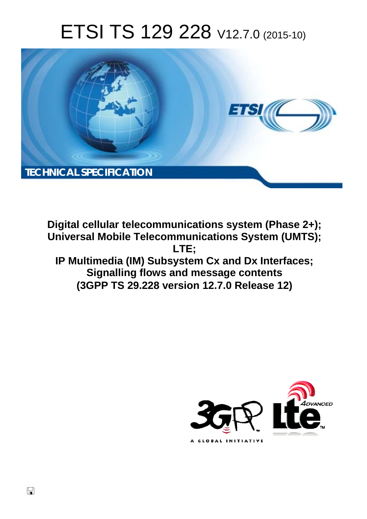# ETSI TS 129 228 V12.7.0 (2015-10)



**Digital cellular telecommunications system (Phase 2+); Universal Mobile Telecommunications System (UMTS); LTE; IP Multimedia (IM) Subsystem Cx and Dx Interfaces; Signalling flows and message contents (3GPP TS 29.228 version 12.7.0 Release 12)** 



 $\Box$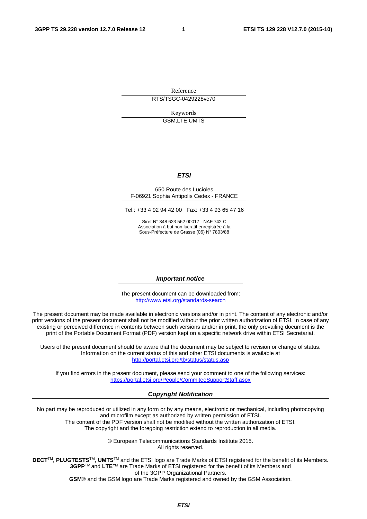Reference

RTS/TSGC-0429228vc70

Keywords GSM,LTE,UMTS

#### *ETSI*

#### 650 Route des Lucioles F-06921 Sophia Antipolis Cedex - FRANCE

Tel.: +33 4 92 94 42 00 Fax: +33 4 93 65 47 16

Siret N° 348 623 562 00017 - NAF 742 C Association à but non lucratif enregistrée à la Sous-Préfecture de Grasse (06) N° 7803/88

#### *Important notice*

The present document can be downloaded from: <http://www.etsi.org/standards-search>

The present document may be made available in electronic versions and/or in print. The content of any electronic and/or print versions of the present document shall not be modified without the prior written authorization of ETSI. In case of any existing or perceived difference in contents between such versions and/or in print, the only prevailing document is the print of the Portable Document Format (PDF) version kept on a specific network drive within ETSI Secretariat.

Users of the present document should be aware that the document may be subject to revision or change of status. Information on the current status of this and other ETSI documents is available at <http://portal.etsi.org/tb/status/status.asp>

If you find errors in the present document, please send your comment to one of the following services: <https://portal.etsi.org/People/CommiteeSupportStaff.aspx>

#### *Copyright Notification*

No part may be reproduced or utilized in any form or by any means, electronic or mechanical, including photocopying and microfilm except as authorized by written permission of ETSI.

The content of the PDF version shall not be modified without the written authorization of ETSI. The copyright and the foregoing restriction extend to reproduction in all media.

> © European Telecommunications Standards Institute 2015. All rights reserved.

**DECT**TM, **PLUGTESTS**TM, **UMTS**TM and the ETSI logo are Trade Marks of ETSI registered for the benefit of its Members. **3GPP**TM and **LTE**™ are Trade Marks of ETSI registered for the benefit of its Members and of the 3GPP Organizational Partners.

**GSM**® and the GSM logo are Trade Marks registered and owned by the GSM Association.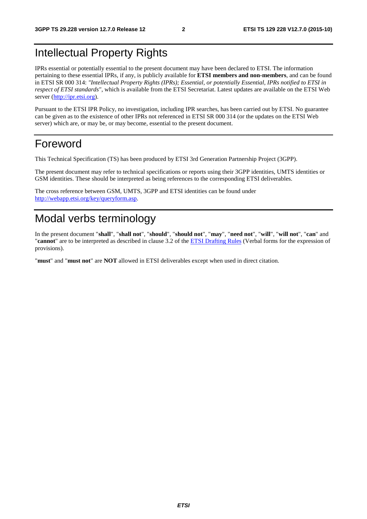# Intellectual Property Rights

IPRs essential or potentially essential to the present document may have been declared to ETSI. The information pertaining to these essential IPRs, if any, is publicly available for **ETSI members and non-members**, and can be found in ETSI SR 000 314: *"Intellectual Property Rights (IPRs); Essential, or potentially Essential, IPRs notified to ETSI in respect of ETSI standards"*, which is available from the ETSI Secretariat. Latest updates are available on the ETSI Web server ([http://ipr.etsi.org\)](http://webapp.etsi.org/IPR/home.asp).

Pursuant to the ETSI IPR Policy, no investigation, including IPR searches, has been carried out by ETSI. No guarantee can be given as to the existence of other IPRs not referenced in ETSI SR 000 314 (or the updates on the ETSI Web server) which are, or may be, or may become, essential to the present document.

# Foreword

This Technical Specification (TS) has been produced by ETSI 3rd Generation Partnership Project (3GPP).

The present document may refer to technical specifications or reports using their 3GPP identities, UMTS identities or GSM identities. These should be interpreted as being references to the corresponding ETSI deliverables.

The cross reference between GSM, UMTS, 3GPP and ETSI identities can be found under [http://webapp.etsi.org/key/queryform.asp.](http://webapp.etsi.org/key/queryform.asp)

# Modal verbs terminology

In the present document "**shall**", "**shall not**", "**should**", "**should not**", "**may**", "**need not**", "**will**", "**will not**", "**can**" and "**cannot**" are to be interpreted as described in clause 3.2 of the [ETSI Drafting Rules](http://portal.etsi.org/Help/editHelp!/Howtostart/ETSIDraftingRules.aspx) (Verbal forms for the expression of provisions).

"**must**" and "**must not**" are **NOT** allowed in ETSI deliverables except when used in direct citation.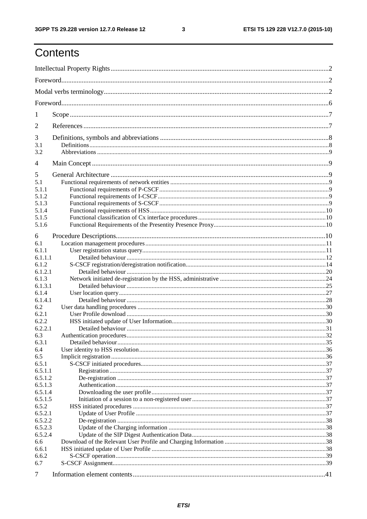$\mathbf{3}$ 

# Contents

| 1              |  |  |  |  |  |  |
|----------------|--|--|--|--|--|--|
| 2              |  |  |  |  |  |  |
| 3              |  |  |  |  |  |  |
| 3.1<br>3.2     |  |  |  |  |  |  |
| 4              |  |  |  |  |  |  |
|                |  |  |  |  |  |  |
| 5<br>5.1       |  |  |  |  |  |  |
| 5.1.1          |  |  |  |  |  |  |
| 5.1.2          |  |  |  |  |  |  |
| 5.1.3          |  |  |  |  |  |  |
| 5.1.4          |  |  |  |  |  |  |
| 5.1.5          |  |  |  |  |  |  |
| 5.1.6          |  |  |  |  |  |  |
|                |  |  |  |  |  |  |
| 6              |  |  |  |  |  |  |
| 6.1            |  |  |  |  |  |  |
| 6.1.1          |  |  |  |  |  |  |
| 6.1.1.1        |  |  |  |  |  |  |
| 6.1.2          |  |  |  |  |  |  |
| 6.1.2.1        |  |  |  |  |  |  |
| 6.1.3          |  |  |  |  |  |  |
| 6.1.3.1        |  |  |  |  |  |  |
| 6.1.4          |  |  |  |  |  |  |
| 6.1.4.1        |  |  |  |  |  |  |
| 6.2            |  |  |  |  |  |  |
| 6.2.1          |  |  |  |  |  |  |
| 6.2.2          |  |  |  |  |  |  |
| 6.2.2.1        |  |  |  |  |  |  |
| 6.3            |  |  |  |  |  |  |
| 6.3.1          |  |  |  |  |  |  |
| 6.4            |  |  |  |  |  |  |
| 6.5            |  |  |  |  |  |  |
| 6.5.1          |  |  |  |  |  |  |
| 6.5.1.1        |  |  |  |  |  |  |
| 6.5.1.2        |  |  |  |  |  |  |
| 6.5.1.3        |  |  |  |  |  |  |
| 6.5.1.4        |  |  |  |  |  |  |
| 6.5.1.5        |  |  |  |  |  |  |
| 6.5.2          |  |  |  |  |  |  |
| 6.5.2.1        |  |  |  |  |  |  |
| 6.5.2.2        |  |  |  |  |  |  |
| 6.5.2.3        |  |  |  |  |  |  |
| 6.5.2.4<br>6.6 |  |  |  |  |  |  |
|                |  |  |  |  |  |  |
| 6.6.1          |  |  |  |  |  |  |
| 6.6.2<br>6.7   |  |  |  |  |  |  |
|                |  |  |  |  |  |  |
| 7              |  |  |  |  |  |  |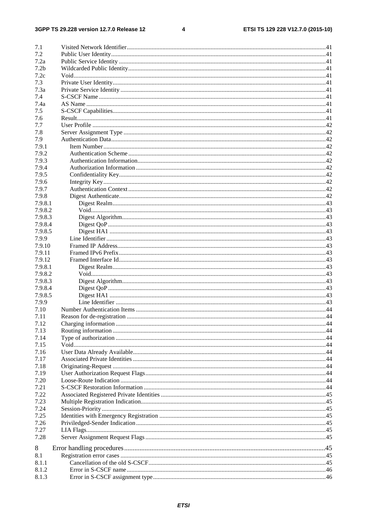#### $\overline{\mathbf{4}}$

| 7.1              |                            |  |
|------------------|----------------------------|--|
| 7.2              |                            |  |
| 7.2a             |                            |  |
| 7.2 <sub>b</sub> |                            |  |
| 7.2c             |                            |  |
| 7.3              |                            |  |
| 7.3a             |                            |  |
|                  |                            |  |
| 7.4              |                            |  |
| 7.4a             |                            |  |
| 7.5              |                            |  |
| 7.6              |                            |  |
| 7.7              |                            |  |
| 7.8              |                            |  |
| 7.9              |                            |  |
| 7.9.1            |                            |  |
| 7.9.2            |                            |  |
| 7.9.3            |                            |  |
| 7.9.4            |                            |  |
| 7.9.5            |                            |  |
| 7.9.6            |                            |  |
| 7.9.7            |                            |  |
| 7.9.8            |                            |  |
| 7.9.8.1          |                            |  |
| 7.9.8.2          |                            |  |
| 7.9.8.3          |                            |  |
| 7.9.8.4          |                            |  |
| 7.9.8.5          |                            |  |
| 7.9.9            |                            |  |
|                  |                            |  |
| 7.9.10           |                            |  |
| 7.9.11           |                            |  |
| 7.9.12           |                            |  |
| 7.9.8.1          |                            |  |
| 7.9.8.2          |                            |  |
| 7.9.8.3          |                            |  |
| 7.9.8.4          |                            |  |
| 7.9.8.5          |                            |  |
| 7.9.9            |                            |  |
| 7.10             |                            |  |
| 7.11             | Reason for de-registration |  |
| 7.12             |                            |  |
| 7.13             |                            |  |
| 7.14             |                            |  |
| 7.15             |                            |  |
| 7.16             |                            |  |
|                  |                            |  |
| 7.17             |                            |  |
| 7.18             |                            |  |
| 7.19             |                            |  |
| 7.20             |                            |  |
| 7.21             |                            |  |
| 7.22             |                            |  |
| 7.23             |                            |  |
| 7.24             |                            |  |
| 7.25             |                            |  |
| 7.26             |                            |  |
| 7.27             |                            |  |
| 7.28             |                            |  |
|                  |                            |  |
| 8                |                            |  |
| 8.1              |                            |  |
| 8.1.1            |                            |  |
| 8.1.2            |                            |  |
| 8.1.3            |                            |  |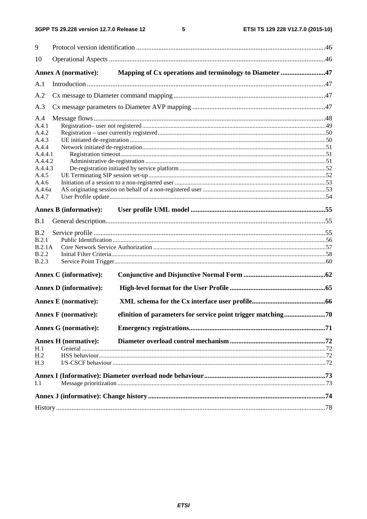#### $5\phantom{a}$

| 9               |                               |                                                              |  |  |  |  |  |
|-----------------|-------------------------------|--------------------------------------------------------------|--|--|--|--|--|
| 10              |                               |                                                              |  |  |  |  |  |
|                 | <b>Annex A (normative):</b>   | Mapping of Cx operations and terminology to Diameter 47      |  |  |  |  |  |
| A.1             |                               |                                                              |  |  |  |  |  |
| A.2             |                               |                                                              |  |  |  |  |  |
| A.3             |                               |                                                              |  |  |  |  |  |
| A.4             |                               |                                                              |  |  |  |  |  |
| A.4.1           |                               |                                                              |  |  |  |  |  |
| A.4.2           |                               |                                                              |  |  |  |  |  |
| A.4.3           |                               |                                                              |  |  |  |  |  |
| A.4.4           |                               |                                                              |  |  |  |  |  |
| A.4.4.1         |                               |                                                              |  |  |  |  |  |
| A.4.4.2         |                               |                                                              |  |  |  |  |  |
| A.4.4.3         |                               |                                                              |  |  |  |  |  |
| A.4.5           |                               |                                                              |  |  |  |  |  |
| A.4.6           |                               |                                                              |  |  |  |  |  |
| A.4.6a          |                               |                                                              |  |  |  |  |  |
| A.4.7           |                               |                                                              |  |  |  |  |  |
|                 | <b>Annex B</b> (informative): |                                                              |  |  |  |  |  |
| B.1             |                               |                                                              |  |  |  |  |  |
| B.2             |                               |                                                              |  |  |  |  |  |
| B.2.1           |                               |                                                              |  |  |  |  |  |
| <b>B.2.1A</b>   |                               |                                                              |  |  |  |  |  |
| <b>B.2.2</b>    |                               |                                                              |  |  |  |  |  |
| <b>B.2.3</b>    |                               |                                                              |  |  |  |  |  |
|                 | <b>Annex C</b> (informative): |                                                              |  |  |  |  |  |
|                 |                               |                                                              |  |  |  |  |  |
|                 | <b>Annex D</b> (informative): |                                                              |  |  |  |  |  |
|                 | <b>Annex E</b> (normative):   |                                                              |  |  |  |  |  |
|                 | <b>Annex F</b> (normative):   | efinition of parameters for service point trigger matching70 |  |  |  |  |  |
|                 | <b>Annex G</b> (normative):   |                                                              |  |  |  |  |  |
|                 | <b>Annex H</b> (normative):   |                                                              |  |  |  |  |  |
| H.1             |                               |                                                              |  |  |  |  |  |
| H <sub>.2</sub> |                               |                                                              |  |  |  |  |  |
| H.3             |                               |                                                              |  |  |  |  |  |
|                 |                               |                                                              |  |  |  |  |  |
| I.1             |                               |                                                              |  |  |  |  |  |
|                 |                               |                                                              |  |  |  |  |  |
|                 |                               |                                                              |  |  |  |  |  |
|                 |                               |                                                              |  |  |  |  |  |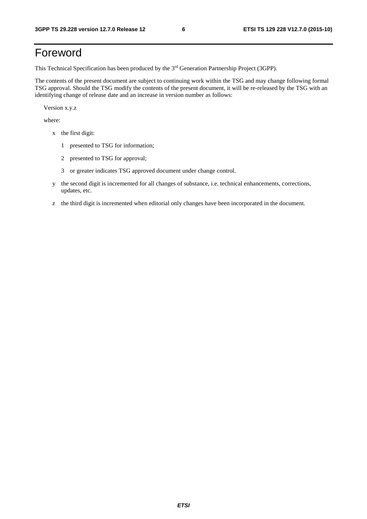# Foreword

This Technical Specification has been produced by the 3rd Generation Partnership Project (3GPP).

The contents of the present document are subject to continuing work within the TSG and may change following formal TSG approval. Should the TSG modify the contents of the present document, it will be re-released by the TSG with an identifying change of release date and an increase in version number as follows:

Version x.y.z

where:

- x the first digit:
	- 1 presented to TSG for information;
	- 2 presented to TSG for approval;
	- 3 or greater indicates TSG approved document under change control.
- y the second digit is incremented for all changes of substance, i.e. technical enhancements, corrections, updates, etc.
- z the third digit is incremented when editorial only changes have been incorporated in the document.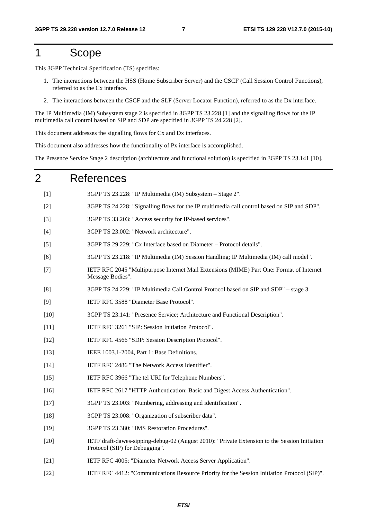# 1 Scope

This 3GPP Technical Specification (TS) specifies:

- 1. The interactions between the HSS (Home Subscriber Server) and the CSCF (Call Session Control Functions), referred to as the Cx interface.
- 2. The interactions between the CSCF and the SLF (Server Locator Function), referred to as the Dx interface.

The IP Multimedia (IM) Subsystem stage 2 is specified in 3GPP TS 23.228 [1] and the signalling flows for the IP multimedia call control based on SIP and SDP are specified in 3GPP TS 24.228 [2].

This document addresses the signalling flows for Cx and Dx interfaces.

This document also addresses how the functionality of Px interface is accomplished.

The Presence Service Stage 2 description (architecture and functional solution) is specified in 3GPP TS 23.141 [10].

# 2 References

| [1]    | 3GPP TS 23.228: "IP Multimedia (IM) Subsystem - Stage 2".                                                                       |
|--------|---------------------------------------------------------------------------------------------------------------------------------|
| $[2]$  | 3GPP TS 24.228: "Signalling flows for the IP multimedia call control based on SIP and SDP".                                     |
| $[3]$  | 3GPP TS 33.203: "Access security for IP-based services".                                                                        |
| $[4]$  | 3GPP TS 23.002: "Network architecture".                                                                                         |
| $[5]$  | 3GPP TS 29.229: "Cx Interface based on Diameter - Protocol details".                                                            |
| [6]    | 3GPP TS 23.218: "IP Multimedia (IM) Session Handling; IP Multimedia (IM) call model".                                           |
| $[7]$  | IETF RFC 2045 "Multipurpose Internet Mail Extensions (MIME) Part One: Format of Internet<br>Message Bodies".                    |
| [8]    | 3GPP TS 24.229: "IP Multimedia Call Control Protocol based on SIP and SDP" - stage 3.                                           |
| $[9]$  | IETF RFC 3588 "Diameter Base Protocol".                                                                                         |
| $[10]$ | 3GPP TS 23.141: "Presence Service; Architecture and Functional Description".                                                    |
| $[11]$ | IETF RFC 3261 "SIP: Session Initiation Protocol".                                                                               |
| $[12]$ | IETF RFC 4566 "SDP: Session Description Protocol".                                                                              |
| $[13]$ | IEEE 1003.1-2004, Part 1: Base Definitions.                                                                                     |
| $[14]$ | IETF RFC 2486 "The Network Access Identifier".                                                                                  |
| $[15]$ | IETF RFC 3966 "The tel URI for Telephone Numbers".                                                                              |
| $[16]$ | IETF RFC 2617 "HTTP Authentication: Basic and Digest Access Authentication".                                                    |
| $[17]$ | 3GPP TS 23.003: "Numbering, addressing and identification".                                                                     |
| $[18]$ | 3GPP TS 23.008: "Organization of subscriber data".                                                                              |
| $[19]$ | 3GPP TS 23.380: "IMS Restoration Procedures".                                                                                   |
| $[20]$ | IETF draft-dawes-sipping-debug-02 (August 2010): "Private Extension to the Session Initiation<br>Protocol (SIP) for Debugging". |
| $[21]$ | IETF RFC 4005: "Diameter Network Access Server Application".                                                                    |
| $[22]$ | IETF RFC 4412: "Communications Resource Priority for the Session Initiation Protocol (SIP)".                                    |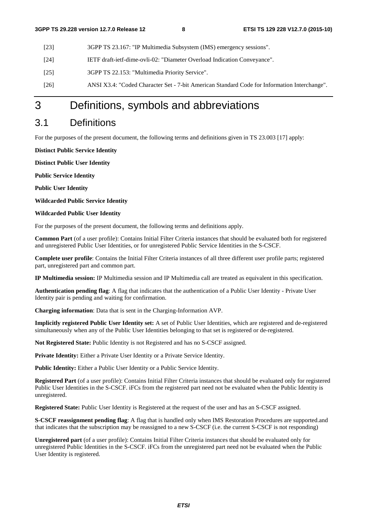- [23] 3GPP TS 23.167: "IP Multimedia Subsystem (IMS) emergency sessions".
- [24] IETF draft-ietf-dime-ovli-02: "Diameter Overload Indication Conveyance".
- [25] 3GPP TS 22.153: "Multimedia Priority Service".
- [26] ANSI X3.4: "Coded Character Set 7-bit American Standard Code for Information Interchange".

# 3 Definitions, symbols and abbreviations

## 3.1 Definitions

For the purposes of the present document, the following terms and definitions given in TS 23.003 [17] apply:

**Distinct Public Service Identity** 

**Distinct Public User Identity** 

**Public Service Identity** 

**Public User Identity** 

**Wildcarded Public Service Identity** 

**Wildcarded Public User Identity** 

For the purposes of the present document, the following terms and definitions apply.

**Common Part** (of a user profile): Contains Initial Filter Criteria instances that should be evaluated both for registered and unregistered Public User Identities, or for unregistered Public Service Identities in the S-CSCF.

**Complete user profile**: Contains the Initial Filter Criteria instances of all three different user profile parts; registered part, unregistered part and common part.

**IP Multimedia session:** IP Multimedia session and IP Multimedia call are treated as equivalent in this specification.

**Authentication pending flag**: A flag that indicates that the authentication of a Public User Identity - Private User Identity pair is pending and waiting for confirmation.

**Charging information**: Data that is sent in the Charging-Information AVP.

**Implicitly registered Public User Identity set:** A set of Public User Identities, which are registered and de-registered simultaneously when any of the Public User Identities belonging to that set is registered or de-registered.

**Not Registered State:** Public Identity is not Registered and has no S-CSCF assigned.

Private Identity: Either a Private User Identity or a Private Service Identity.

Public Identity: Either a Public User Identity or a Public Service Identity.

**Registered Part** (of a user profile): Contains Initial Filter Criteria instances that should be evaluated only for registered Public User Identities in the S-CSCF. iFCs from the registered part need not be evaluated when the Public Identity is unregistered.

**Registered State:** Public User Identity is Registered at the request of the user and has an S-CSCF assigned.

**S-CSCF reassignment pending flag**: A flag that is handled only when IMS Restoration Procedures are supported.and that indicates that the subscription may be reassigned to a new S-CSCF (i.e. the current S-CSCF is not responding)

**Unregistered part** (of a user profile): Contains Initial Filter Criteria instances that should be evaluated only for unregistered Public Identities in the S-CSCF. iFCs from the unregistered part need not be evaluated when the Public User Identity is registered.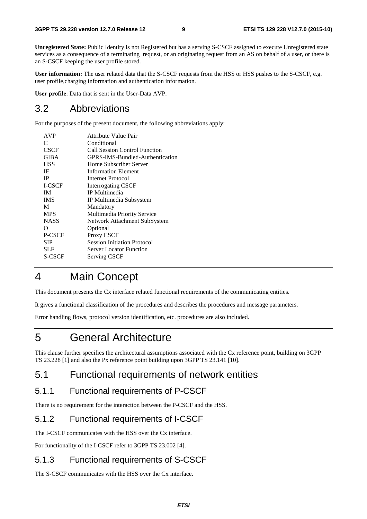**Unregistered State:** Public Identity is not Registered but has a serving S-CSCF assigned to execute Unregistered state services as a consequence of a terminating request, or an originating request from an AS on behalf of a user, or there is an S-CSCF keeping the user profile stored.

**User information:** The user related data that the S-CSCF requests from the HSS or HSS pushes to the S-CSCF, e.g. user profile,charging information and authentication information.

**User profile**: Data that is sent in the User-Data AVP.

# 3.2 Abbreviations

For the purposes of the present document, the following abbreviations apply:

| <b>AVP</b>    | Attribute Value Pair               |
|---------------|------------------------------------|
| C             | Conditional                        |
| <b>CSCF</b>   | Call Session Control Function      |
| <b>GIBA</b>   | GPRS-IMS-Bundled-Authentication    |
| <b>HSS</b>    | Home Subscriber Server             |
| IE            | <b>Information Element</b>         |
| <b>IP</b>     | Internet Protocol                  |
| I-CSCF        | <b>Interrogating CSCF</b>          |
| <b>IM</b>     | IP Multimedia                      |
| <b>IMS</b>    | IP Multimedia Subsystem            |
| M             | Mandatory                          |
| <b>MPS</b>    | Multimedia Priority Service        |
| <b>NASS</b>   | Network Attachment SubSystem       |
| Ω             | Optional                           |
| P-CSCF        | Proxy CSCF                         |
| <b>SIP</b>    | <b>Session Initiation Protocol</b> |
| <b>SLF</b>    | <b>Server Locator Function</b>     |
| <b>S-CSCF</b> | <b>Serving CSCF</b>                |
|               |                                    |

# 4 Main Concept

This document presents the Cx interface related functional requirements of the communicating entities.

It gives a functional classification of the procedures and describes the procedures and message parameters.

Error handling flows, protocol version identification, etc. procedures are also included.

# 5 General Architecture

This clause further specifies the architectural assumptions associated with the Cx reference point, building on 3GPP TS 23.228 [1] and also the Px reference point building upon 3GPP TS 23.141 [10].

# 5.1 Functional requirements of network entities

# 5.1.1 Functional requirements of P-CSCF

There is no requirement for the interaction between the P-CSCF and the HSS.

# 5.1.2 Functional requirements of I-CSCF

The I-CSCF communicates with the HSS over the Cx interface.

For functionality of the I-CSCF refer to 3GPP TS 23.002 [4].

# 5.1.3 Functional requirements of S-CSCF

The S-CSCF communicates with the HSS over the Cx interface.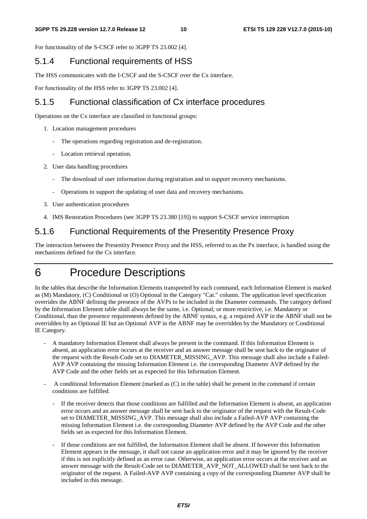For functionality of the S-CSCF refer to 3GPP TS 23.002 [4].

### 5.1.4 Functional requirements of HSS

The HSS communicates with the I-CSCF and the S-CSCF over the Cx interface.

For functionality of the HSS refer to 3GPP TS 23.002 [4].

### 5.1.5 Functional classification of Cx interface procedures

Operations on the Cx interface are classified in functional groups:

- 1. Location management procedures
	- The operations regarding registration and de-registration.
	- Location retrieval operation.
- 2. User data handling procedures
	- The download of user information during registration and to support recovery mechanisms.
	- Operations to support the updating of user data and recovery mechanisms.
- 3. User authentication procedures
- 4. IMS Restoration Procedures (see 3GPP TS 23.380 [19]) to support S-CSCF service interruption

### 5.1.6 Functional Requirements of the Presentity Presence Proxy

The interaction between the Presentity Presence Proxy and the HSS, referred to as the Px interface, is handled using the mechanisms defined for the Cx interface.

# 6 Procedure Descriptions

In the tables that describe the Information Elements transported by each command, each Information Element is marked as (M) Mandatory, (C) Conditional or (O) Optional in the Category "Cat." column. The application level specification overrides the ABNF defining the presence of the AVPs to be included in the Diameter commands. The category defined by the Information Element table shall always be the same, i.e. Optional; or more restrictive, i.e. Mandatory or Conditional, than the presence requirements defined by the ABNF syntax, e.g. a required AVP in the ABNF shall not be overridden by an Optional IE but an Optional AVP in the ABNF may be overridden by the Mandatory or Conditional IE Category.

- A mandatory Information Element shall always be present in the command. If this Information Element is absent, an application error occurs at the receiver and an answer message shall be sent back to the originator of the request with the Result-Code set to DIAMETER\_MISSING\_AVP. This message shall also include a Failed-AVP AVP containing the missing Information Element i.e. the corresponding Diameter AVP defined by the AVP Code and the other fields set as expected for this Information Element.
- A conditional Information Element (marked as (C) in the table) shall be present in the command if certain conditions are fulfilled.
	- If the receiver detects that those conditions are fulfilled and the Information Element is absent, an application error occurs and an answer message shall be sent back to the originator of the request with the Result-Code set to DIAMETER\_MISSING\_AVP. This message shall also include a Failed-AVP AVP containing the missing Information Element i.e. the corresponding Diameter AVP defined by the AVP Code and the other fields set as expected for this Information Element.
	- If those conditions are not fulfilled, the Information Element shall be absent. If however this Information Element appears in the message, it shall not cause an application error and it may be ignored by the receiver if this is not explicitly defined as an error case. Otherwise, an application error occurs at the receiver and an answer message with the Result-Code set to DIAMETER\_AVP\_NOT\_ALLOWED shall be sent back to the originator of the request. A Failed-AVP AVP containing a copy of the corresponding Diameter AVP shall be included in this message.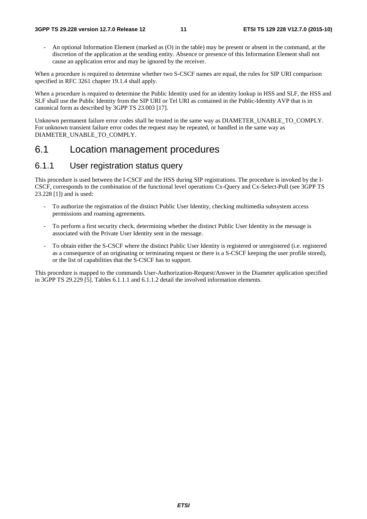- An optional Information Element (marked as (O) in the table) may be present or absent in the command, at the discretion of the application at the sending entity. Absence or presence of this Information Element shall not cause an application error and may be ignored by the receiver.

When a procedure is required to determine whether two S-CSCF names are equal, the rules for SIP URI comparison specified in RFC 3261 chapter 19.1.4 shall apply.

When a procedure is required to determine the Public Identity used for an identity lookup in HSS and SLF, the HSS and SLF shall use the Public Identity from the SIP URI or Tel URI as contained in the Public-Identity AVP that is in canonical form as described by 3GPP TS 23.003 [17].

Unknown permanent failure error codes shall be treated in the same way as DIAMETER\_UNABLE\_TO\_COMPLY. For unknown transient failure error codes the request may be repeated, or handled in the same way as DIAMETER\_UNABLE\_TO\_COMPLY.

# 6.1 Location management procedures

### 6.1.1 User registration status query

This procedure is used between the I-CSCF and the HSS during SIP registrations. The procedure is invoked by the I-CSCF, corresponds to the combination of the functional level operations Cx-Query and Cx-Select-Pull (see 3GPP TS 23.228 [1]) and is used:

- To authorize the registration of the distinct Public User Identity, checking multimedia subsystem access permissions and roaming agreements.
- To perform a first security check, determining whether the distinct Public User Identity in the message is associated with the Private User Identity sent in the message.
- To obtain either the S-CSCF where the distinct Public User Identity is registered or unregistered (i.e. registered as a consequence of an originating or terminating request or there is a S-CSCF keeping the user profile stored), or the list of capabilities that the S-CSCF has to support.

This procedure is mapped to the commands User-Authorization-Request/Answer in the Diameter application specified in 3GPP TS 29.229 [5]. Tables 6.1.1.1 and 6.1.1.2 detail the involved information elements.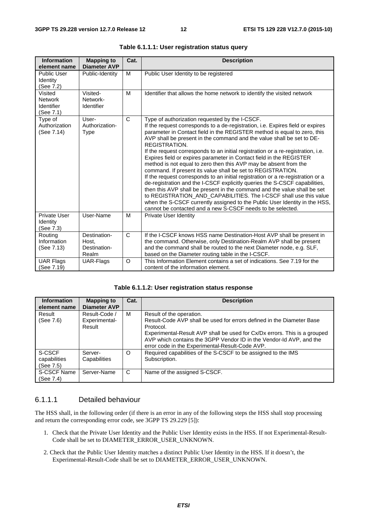| <b>Information</b><br>element name                          | <b>Mapping to</b><br><b>Diameter AVP</b>       | Cat.         | <b>Description</b>                                                                                                                                                                                                                                                                                                                                                                                                                                                                                                                                                                                                                                                                                                                                                                                                                                                                                                                                                                                                                                                        |
|-------------------------------------------------------------|------------------------------------------------|--------------|---------------------------------------------------------------------------------------------------------------------------------------------------------------------------------------------------------------------------------------------------------------------------------------------------------------------------------------------------------------------------------------------------------------------------------------------------------------------------------------------------------------------------------------------------------------------------------------------------------------------------------------------------------------------------------------------------------------------------------------------------------------------------------------------------------------------------------------------------------------------------------------------------------------------------------------------------------------------------------------------------------------------------------------------------------------------------|
| <b>Public User</b><br>Identity<br>(See 7.2)                 | Public-Identity                                | M            | Public User Identity to be registered                                                                                                                                                                                                                                                                                                                                                                                                                                                                                                                                                                                                                                                                                                                                                                                                                                                                                                                                                                                                                                     |
| Visited<br><b>Network</b><br><b>Identifier</b><br>(See 7.1) | Visited-<br>Network-<br>Identifier             | M            | Identifier that allows the home network to identify the visited network                                                                                                                                                                                                                                                                                                                                                                                                                                                                                                                                                                                                                                                                                                                                                                                                                                                                                                                                                                                                   |
| Type of<br>Authorization<br>(See 7.14)                      | User-<br>Authorization-<br><b>Type</b>         | C            | Type of authorization requested by the I-CSCF.<br>If the request corresponds to a de-registration, i.e. Expires field or expires<br>parameter in Contact field in the REGISTER method is equal to zero, this<br>AVP shall be present in the command and the value shall be set to DE-<br><b>REGISTRATION.</b><br>If the request corresponds to an initial registration or a re-registration, i.e.<br>Expires field or expires parameter in Contact field in the REGISTER<br>method is not equal to zero then this AVP may be absent from the<br>command. If present its value shall be set to REGISTRATION.<br>If the request corresponds to an initial registration or a re-registration or a<br>de-registration and the I-CSCF explicitly queries the S-CSCF capabilities,<br>then this AVP shall be present in the command and the value shall be set<br>to REGISTRATION_AND_CAPABILITIES. The I-CSCF shall use this value<br>when the S-CSCF currently assigned to the Public User Identity in the HSS,<br>cannot be contacted and a new S-CSCF needs to be selected. |
| Private User<br>Identity<br>(See 7.3)                       | User-Name                                      | M            | Private User Identity                                                                                                                                                                                                                                                                                                                                                                                                                                                                                                                                                                                                                                                                                                                                                                                                                                                                                                                                                                                                                                                     |
| Routing<br>Information<br>(See 7.13)                        | Destination-<br>Host.<br>Destination-<br>Realm | $\mathsf{C}$ | If the I-CSCF knows HSS name Destination-Host AVP shall be present in<br>the command. Otherwise, only Destination-Realm AVP shall be present<br>and the command shall be routed to the next Diameter node, e.g. SLF,<br>based on the Diameter routing table in the I-CSCF.                                                                                                                                                                                                                                                                                                                                                                                                                                                                                                                                                                                                                                                                                                                                                                                                |
| <b>UAR Flags</b><br>(See 7.19)                              | UAR-Flags                                      | $\circ$      | This Information Element contains a set of indications. See 7.19 for the<br>content of the information element.                                                                                                                                                                                                                                                                                                                                                                                                                                                                                                                                                                                                                                                                                                                                                                                                                                                                                                                                                           |

| Table 6.1.1.1: User registration status query |  |
|-----------------------------------------------|--|
|-----------------------------------------------|--|

#### **Table 6.1.1.2: User registration status response**

| <b>Information</b><br>element name  | <b>Mapping to</b><br><b>Diameter AVP</b> | Cat.    | <b>Description</b>                                                                                                                                                                                                                                                                                                    |
|-------------------------------------|------------------------------------------|---------|-----------------------------------------------------------------------------------------------------------------------------------------------------------------------------------------------------------------------------------------------------------------------------------------------------------------------|
| Result<br>(See 7.6)                 | Result-Code /<br>Experimental-<br>Result | м       | Result of the operation.<br>Result-Code AVP shall be used for errors defined in the Diameter Base<br>Protocol.<br>Experimental-Result AVP shall be used for Cx/Dx errors. This is a grouped<br>AVP which contains the 3GPP Vendor ID in the Vendor-Id AVP, and the<br>error code in the Experimental-Result-Code AVP. |
| S-CSCF<br>capabilities<br>(See 7.5) | Server-<br>Capabilities                  | $\circ$ | Required capabilities of the S-CSCF to be assigned to the IMS<br>Subscription.                                                                                                                                                                                                                                        |
| S-CSCF Name<br>(See 7.4)            | Server-Name                              | C       | Name of the assigned S-CSCF.                                                                                                                                                                                                                                                                                          |

#### 6.1.1.1 Detailed behaviour

The HSS shall, in the following order (if there is an error in any of the following steps the HSS shall stop processing and return the corresponding error code, see 3GPP TS 29.229 [5]):

- 1. Check that the Private User Identity and the Public User Identity exists in the HSS. If not Experimental-Result-Code shall be set to DIAMETER\_ERROR\_USER\_UNKNOWN.
- 2. Check that the Public User Identity matches a distinct Public User Identity in the HSS. If it doesn't, the Experimental-Result-Code shall be set to DIAMETER\_ERROR\_USER\_UNKNOWN.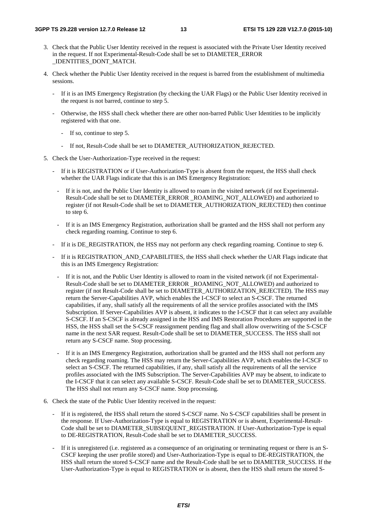- 3. Check that the Public User Identity received in the request is associated with the Private User Identity received in the request. If not Experimental-Result-Code shall be set to DIAMETER\_ERROR \_IDENTITIES\_DONT\_MATCH.
- 4. Check whether the Public User Identity received in the request is barred from the establishment of multimedia sessions.
	- If it is an IMS Emergency Registration (by checking the UAR Flags) or the Public User Identity received in the request is not barred, continue to step 5.
	- Otherwise, the HSS shall check whether there are other non-barred Public User Identities to be implicitly registered with that one.
		- If so, continue to step 5.
		- If not, Result-Code shall be set to DIAMETER\_AUTHORIZATION\_REJECTED.
- 5. Check the User-Authorization-Type received in the request:
	- If it is REGISTRATION or if User-Authorization-Type is absent from the request, the HSS shall check whether the UAR Flags indicate that this is an IMS Emergency Registration:
		- If it is not, and the Public User Identity is allowed to roam in the visited network (if not Experimental-Result-Code shall be set to DIAMETER\_ERROR \_ROAMING\_NOT\_ALLOWED) and authorized to register (if not Result-Code shall be set to DIAMETER\_AUTHORIZATION\_REJECTED) then continue to step 6.
		- If it is an IMS Emergency Registration, authorization shall be granted and the HSS shall not perform any check regarding roaming. Continue to step 6.
	- If it is DE\_REGISTRATION, the HSS may not perform any check regarding roaming. Continue to step 6.
	- If it is REGISTRATION\_AND\_CAPABILITIES, the HSS shall check whether the UAR Flags indicate that this is an IMS Emergency Registration:
		- If it is not, and the Public User Identity is allowed to roam in the visited network (if not Experimental-Result-Code shall be set to DIAMETER\_ERROR \_ROAMING\_NOT\_ALLOWED) and authorized to register (if not Result-Code shall be set to DIAMETER\_AUTHORIZATION\_REJECTED). The HSS may return the Server-Capabilities AVP, which enables the I-CSCF to select an S-CSCF. The returned capabilities, if any, shall satisfy all the requirements of all the service profiles associated with the IMS Subscription. If Server-Capabilities AVP is absent, it indicates to the I-CSCF that it can select any available S-CSCF. If an S-CSCF is already assigned in the HSS and IMS Restoration Procedures are supported in the HSS, the HSS shall set the S-CSCF reassignment pending flag and shall allow overwriting of the S-CSCF name in the next SAR request. Result-Code shall be set to DIAMETER\_SUCCESS. The HSS shall not return any S-CSCF name. Stop processing.
		- If it is an IMS Emergency Registration, authorization shall be granted and the HSS shall not perform any check regarding roaming. The HSS may return the Server-Capabilities AVP, which enables the I-CSCF to select an S-CSCF. The returned capabilities, if any, shall satisfy all the requirements of all the service profiles associated with the IMS Subscription. The Server-Capabilities AVP may be absent, to indicate to the I-CSCF that it can select any available S-CSCF. Result-Code shall be set to DIAMETER\_SUCCESS. The HSS shall not return any S-CSCF name. Stop processing.
- 6. Check the state of the Public User Identity received in the request:
	- If it is registered, the HSS shall return the stored S-CSCF name. No S-CSCF capabilities shall be present in the response. If User-Authorization-Type is equal to REGISTRATION or is absent, Experimental-Result-Code shall be set to DIAMETER\_SUBSEQUENT\_REGISTRATION. If User-Authorization-Type is equal to DE-REGISTRATION, Result-Code shall be set to DIAMETER\_SUCCESS.
	- If it is unregistered (i.e. registered as a consequence of an originating or terminating request or there is an S-CSCF keeping the user profile stored) and User-Authorization-Type is equal to DE-REGISTRATION, the HSS shall return the stored S-CSCF name and the Result-Code shall be set to DIAMETER\_SUCCESS. If the User-Authorization-Type is equal to REGISTRATION or is absent, then the HSS shall return the stored S-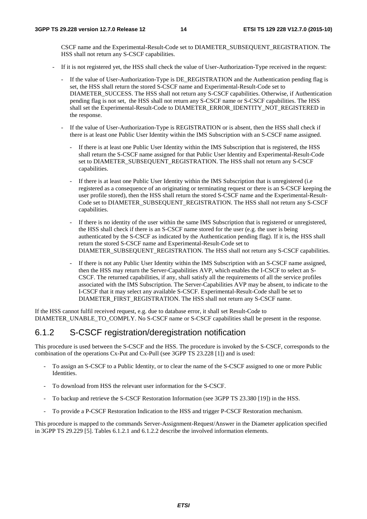CSCF name and the Experimental-Result-Code set to DIAMETER\_SUBSEQUENT\_REGISTRATION. The HSS shall not return any S-CSCF capabilities.

- If it is not registered yet, the HSS shall check the value of User-Authorization-Type received in the request:
	- If the value of User-Authorization-Type is DE\_REGISTRATION and the Authentication pending flag is set, the HSS shall return the stored S-CSCF name and Experimental-Result-Code set to DIAMETER\_SUCCESS. The HSS shall not return any S-CSCF capabilities. Otherwise, if Authentication pending flag is not set, the HSS shall not return any S-CSCF name or S-CSCF capabilities. The HSS shall set the Experimental-Result-Code to DIAMETER\_ERROR\_IDENTITY\_NOT\_REGISTERED in the response.
	- If the value of User-Authorization-Type is REGISTRATION or is absent, then the HSS shall check if there is at least one Public User Identity within the IMS Subscription with an S-CSCF name assigned.
		- If there is at least one Public User Identity within the IMS Subscription that is registered, the HSS shall return the S-CSCF name assigned for that Public User Identity and Experimental-Result-Code set to DIAMETER\_SUBSEQUENT\_REGISTRATION. The HSS shall not return any S-CSCF capabilities.
		- If there is at least one Public User Identity within the IMS Subscription that is unregistered (i.e. registered as a consequence of an originating or terminating request or there is an S-CSCF keeping the user profile stored), then the HSS shall return the stored S-CSCF name and the Experimental-Result-Code set to DIAMETER\_SUBSEQUENT\_REGISTRATION. The HSS shall not return any S-CSCF capabilities.
		- If there is no identity of the user within the same IMS Subscription that is registered or unregistered, the HSS shall check if there is an S-CSCF name stored for the user (e.g. the user is being authenticated by the S-CSCF as indicated by the Authentication pending flag). If it is, the HSS shall return the stored S-CSCF name and Experimental-Result-Code set to DIAMETER\_SUBSEQUENT\_REGISTRATION. The HSS shall not return any S-CSCF capabilities.
		- If there is not any Public User Identity within the IMS Subscription with an S-CSCF name assigned, then the HSS may return the Server-Capabilities AVP, which enables the I-CSCF to select an S-CSCF. The returned capabilities, if any, shall satisfy all the requirements of all the service profiles associated with the IMS Subscription. The Server-Capabilities AVP may be absent, to indicate to the I-CSCF that it may select any available S-CSCF. Experimental-Result-Code shall be set to DIAMETER\_FIRST\_REGISTRATION. The HSS shall not return any S-CSCF name.

If the HSS cannot fulfil received request, e.g. due to database error, it shall set Result-Code to DIAMETER\_UNABLE\_TO\_COMPLY. No S-CSCF name or S-CSCF capabilities shall be present in the response.

### 6.1.2 S-CSCF registration/deregistration notification

This procedure is used between the S-CSCF and the HSS. The procedure is invoked by the S-CSCF, corresponds to the combination of the operations Cx-Put and Cx-Pull (see 3GPP TS 23.228 [1]) and is used:

- To assign an S-CSCF to a Public Identity, or to clear the name of the S-CSCF assigned to one or more Public Identities.
- To download from HSS the relevant user information for the S-CSCF.
- To backup and retrieve the S-CSCF Restoration Information (see 3GPP TS 23.380 [19]) in the HSS.
- To provide a P-CSCF Restoration Indication to the HSS and trigger P-CSCF Restoration mechanism.

This procedure is mapped to the commands Server-Assignment-Request/Answer in the Diameter application specified in 3GPP TS 29.229 [5]. Tables 6.1.2.1 and 6.1.2.2 describe the involved information elements.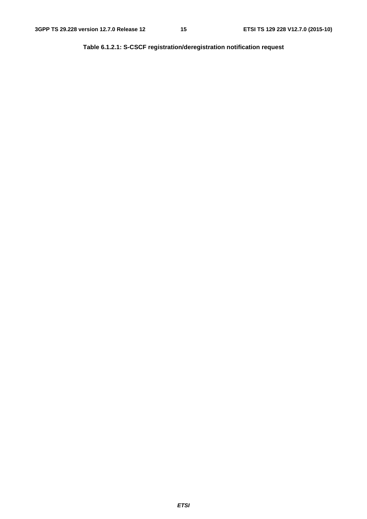**Table 6.1.2.1: S-CSCF registration/deregistration notification request**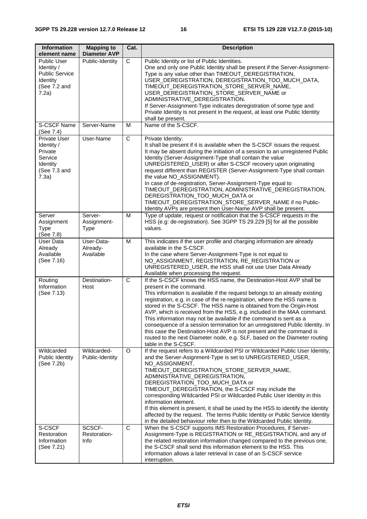| <b>Information</b><br>element name                                                             | <b>Mapping to</b><br><b>Diameter AVP</b> | Cat.           | <b>Description</b>                                                                                                                                                                                                                                                                                                                                                                                                                                                                                                                                                                                                                                                                                                                           |
|------------------------------------------------------------------------------------------------|------------------------------------------|----------------|----------------------------------------------------------------------------------------------------------------------------------------------------------------------------------------------------------------------------------------------------------------------------------------------------------------------------------------------------------------------------------------------------------------------------------------------------------------------------------------------------------------------------------------------------------------------------------------------------------------------------------------------------------------------------------------------------------------------------------------------|
| <b>Public User</b><br>Identity /<br><b>Public Service</b><br>Identity<br>(See 7.2 and<br>7.2a) | Public-Identity                          | С              | Public Identity or list of Public Identities.<br>One and only one Public Identity shall be present if the Server-Assignment-<br>Type is any value other than TIMEOUT_DEREGISTRATION,<br>USER_DEREGISTRATION, DEREGISTRATION_TOO_MUCH_DATA,<br>TIMEOUT_DEREGISTRATION_STORE_SERVER_NAME,<br>USER_DEREGISTRATION_STORE_SERVER_NAME or<br>ADMINISTRATIVE_DEREGISTRATION.<br>If Server-Assignment-Type indicates deregistration of some type and<br>Private Identity is not present in the request, at least one Public Identity<br>shall be present.                                                                                                                                                                                            |
| <b>S-CSCF Name</b><br>(See 7.4)                                                                | Server-Name                              | M              | Name of the S-CSCF.                                                                                                                                                                                                                                                                                                                                                                                                                                                                                                                                                                                                                                                                                                                          |
| <b>Private User</b><br>Identity /<br>Private<br>Service<br>Identity<br>(See 7.3 and<br>7.3a)   | User-Name                                | C              | Private Identity.<br>It shall be present if it is available when the S-CSCF issues the request.<br>It may be absent during the initiation of a session to an unregistered Public<br>Identity (Server-Assignment-Type shall contain the value<br>UNREGISTERED_USER) or after S-CSCF recovery upon originating<br>request different than REGISTER (Server-Assignment-Type shall contain<br>the value NO_ASSIGNMENT).<br>In case of de-registration, Server-Assignment-Type equal to<br>TIMEOUT_DEREGISTRATION, ADMINISTRATIVE_DEREGISTRATION,<br>DEREGISTRATION_TOO_MUCH_DATA or<br>TIMEOUT_DEREGISTRATION_STORE_SERVER_NAME if no Public-<br>Identity AVPs are present then User-Name AVP shall be present.                                   |
| Server<br>Assignment<br><b>Type</b><br>(See 7.8)                                               | Server-<br>Assignment-<br><b>Type</b>    | M              | Type of update, request or notification that the S-CSCF requests in the<br>HSS (e.g: de-registration). See 3GPP TS 29.229 [5] for all the possible<br>values.                                                                                                                                                                                                                                                                                                                                                                                                                                                                                                                                                                                |
| User Data<br>Already<br>Available<br>(See 7.16)                                                | User-Data-<br>Already-<br>Available      | M              | This indicates if the user profile and charging information are already<br>available in the S-CSCF.<br>In the case where Server-Assignment-Type is not equal to<br>NO_ASSIGNMENT, REGISTRATION, RE_REGISTRATION or<br>UNREGISTERED_USER, the HSS shall not use User Data Already<br>Available when processing the request.                                                                                                                                                                                                                                                                                                                                                                                                                   |
| Routing<br>Information<br>(See 7.13)                                                           | Destination-<br>Host                     | $\overline{C}$ | If the S-CSCF knows the HSS name, the Destination-Host AVP shall be<br>present in the command.<br>This information is available if the request belongs to an already existing<br>registration, e.g. in case of the re-registration, where the HSS name is<br>stored in the S-CSCF. The HSS name is obtained from the Origin-Host<br>AVP, which is received from the HSS, e.g. included in the MAA command.<br>This information may not be available if the command is sent as a<br>consequence of a session termination for an unregistered Public Identity. In<br>this case the Destination-Host AVP is not present and the command is<br>routed to the next Diameter node, e.g. SLF, based on the Diameter routing<br>table in the S-CSCF. |
| Wildcarded<br>Public Identity<br>(See 7.2b)                                                    | Wildcarded-<br>Public-Identity           | O              | If the request refers to a Wildcarded PSI or Wildcarded Public User Identity,<br>and the Server-Asignment-Type is set to UNREGISTERED_USER,<br>NO_ASSIGNMENT,<br>TIMEOUT_DEREGISTRATION_STORE_SERVER_NAME,<br>ADMINISTRATIVE_DEREGISTRATION,<br>DEREGISTRATION_TOO_MUCH_DATA or<br>TIMEOUT_DEREGISTRATION, the S-CSCF may include the<br>corresponding Wildcarded PSI or Wildcarded Public User Identity in this<br>information element.<br>If this element is present, it shall be used by the HSS to identify the identity<br>affected by the request. The terms Public Identity or Public Service Identity<br>in the detailed behaviour refer then to the Wildcarded Public Identity.                                                     |
| S-CSCF<br>Restoration<br>Information<br>(See 7.21)                                             | SCSCF-<br>Restoration-<br>Info           | $\mathsf{C}$   | When the S-CSCF supports IMS Restoration Procedures, if Server-<br>Assignment-Type is REGISTRATION or RE_REGISTRATION, and any of<br>the related restoration information changed compared to the previous one,<br>the S-CSCF shall send this information element to the HSS. This<br>information allows a later retrieval in case of an S-CSCF service<br>interruption.                                                                                                                                                                                                                                                                                                                                                                      |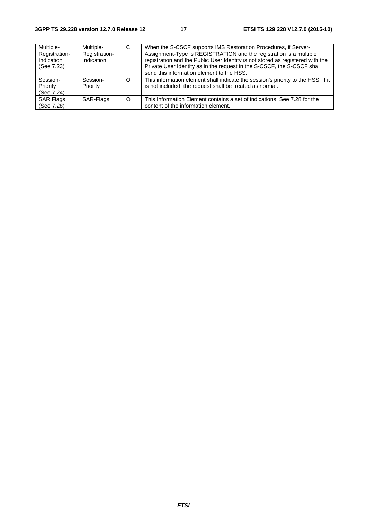| Multiple-<br>Registration-<br>Indication<br>(See 7.23) | Multiple-<br>Registration-<br>Indication | C        | When the S-CSCF supports IMS Restoration Procedures, if Server-<br>Assignment-Type is REGISTRATION and the registration is a multiple<br>registration and the Public User Identity is not stored as registered with the<br>Private User Identity as in the request in the S-CSCF, the S-CSCF shall<br>send this information element to the HSS. |
|--------------------------------------------------------|------------------------------------------|----------|-------------------------------------------------------------------------------------------------------------------------------------------------------------------------------------------------------------------------------------------------------------------------------------------------------------------------------------------------|
| Session-<br>Priority<br>(See 7.24)                     | Session-<br>Priority                     | O        | This information element shall indicate the session's priority to the HSS. If it<br>is not included, the request shall be treated as normal.                                                                                                                                                                                                    |
| <b>SAR Flags</b><br>(See 7.28)                         | SAR-Flags                                | $\Omega$ | This Information Element contains a set of indications. See 7.28 for the<br>content of the information element.                                                                                                                                                                                                                                 |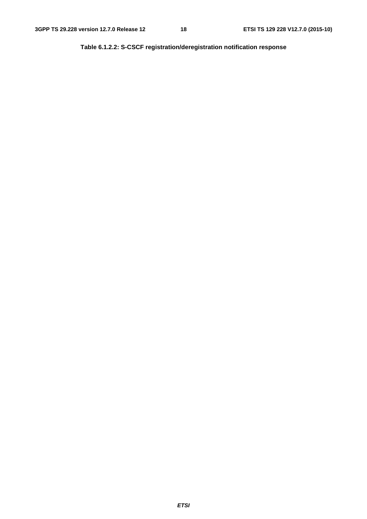**Table 6.1.2.2: S-CSCF registration/deregistration notification response**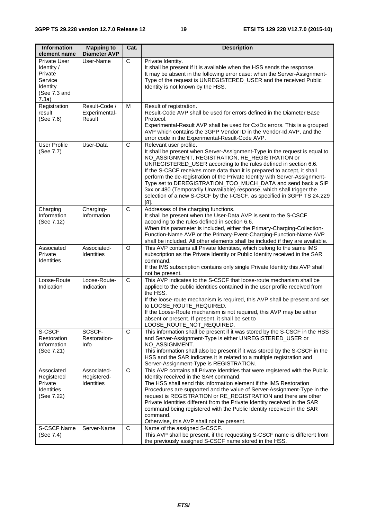| <b>Information</b><br>element name                                                           | <b>Mapping to</b><br><b>Diameter AVP</b>        | Cat.           | <b>Description</b>                                                                                                                                                                                                                                                                                                                                                                                                                                                                                                                                                                                                     |
|----------------------------------------------------------------------------------------------|-------------------------------------------------|----------------|------------------------------------------------------------------------------------------------------------------------------------------------------------------------------------------------------------------------------------------------------------------------------------------------------------------------------------------------------------------------------------------------------------------------------------------------------------------------------------------------------------------------------------------------------------------------------------------------------------------------|
| <b>Private User</b><br>Identity /<br>Private<br>Service<br>Identity<br>(See 7.3 and<br>7.3a) | User-Name                                       | $\mathsf{C}$   | Private Identity.<br>It shall be present if it is available when the HSS sends the response.<br>It may be absent in the following error case: when the Server-Assignment-<br>Type of the request is UNREGISTERED_USER and the received Public<br>Identity is not known by the HSS.                                                                                                                                                                                                                                                                                                                                     |
| Registration<br>result<br>(See 7.6)                                                          | Result-Code /<br>Experimental-<br>Result        | M              | Result of registration.<br>Result-Code AVP shall be used for errors defined in the Diameter Base<br>Protocol.<br>Experimental-Result AVP shall be used for Cx/Dx errors. This is a grouped<br>AVP which contains the 3GPP Vendor ID in the Vendor-Id AVP, and the<br>error code in the Experimental-Result-Code AVP.                                                                                                                                                                                                                                                                                                   |
| <b>User Profile</b><br>(See 7.7)                                                             | User-Data                                       | $\mathsf C$    | Relevant user profile.<br>It shall be present when Server-Assignment-Type in the request is equal to<br>NO_ASSIGNMENT, REGISTRATION, RE_REGISTRATION or<br>UNREGISTERED_USER according to the rules defined in section 6.6.<br>If the S-CSCF receives more data than it is prepared to accept, it shall<br>perform the de-registration of the Private Identity with Server-Assignment-<br>Type set to DEREGISTRATION_TOO_MUCH_DATA and send back a SIP<br>3xx or 480 (Temporarily Unavailable) response, which shall trigger the<br>selection of a new S-CSCF by the I-CSCF, as specified in 3GPP TS 24.229<br>$[8]$ . |
| Charging<br>Information<br>(See 7.12)                                                        | Charging-<br>Information                        | C              | Addresses of the charging functions.<br>It shall be present when the User-Data AVP is sent to the S-CSCF<br>according to the rules defined in section 6.6.<br>When this parameter is included, either the Primary-Charging-Collection-<br>Function-Name AVP or the Primary-Event-Charging-Function-Name AVP<br>shall be included. All other elements shall be included if they are available.                                                                                                                                                                                                                          |
| Associated<br>Private<br><b>Identities</b>                                                   | Associated-<br>Identities                       | O              | This AVP contains all Private Identities, which belong to the same IMS<br>subscription as the Private Identity or Public Identity received in the SAR<br>command.<br>If the IMS subscription contains only single Private Identity this AVP shall<br>not be present.                                                                                                                                                                                                                                                                                                                                                   |
| Loose-Route<br>Indication                                                                    | Loose-Route-<br>Indication                      | C              | This AVP indicates to the S-CSCF that loose-route mechanism shall be<br>applied to the public identities contained in the user profile received from<br>the HSS.<br>If the loose-route mechanism is required, this AVP shall be present and set<br>to LOOSE_ROUTE_REQUIRED.<br>If the Loose-Route mechanism is not required, this AVP may be either<br>absent or present. If present, it shall be set to<br>LOOSE_ROUTE_NOT_REQUIRED.                                                                                                                                                                                  |
| S-CSCF<br>Restoration<br>Information<br>(See 7.21)                                           | SCSCF-<br>Restoration-<br>Info                  | $\overline{C}$ | This information shall be present if it was stored by the S-CSCF in the HSS<br>and Server-Assignment-Type is either UNREGISTERED_USER or<br>NO_ASSIGNMENT.<br>This information shall also be present if it was stored by the S-CSCF in the<br>HSS and the SAR indicates it is related to a multiple registration and<br>Server-Assignment-Type is REGISTRATION.                                                                                                                                                                                                                                                        |
| Associated<br>Registered<br>Private<br><b>Identities</b><br>(See 7.22)                       | Associated-<br>Registered-<br><b>Identities</b> | C              | This AVP contains all Private Identities that were registered with the Public<br>Identity received in the SAR command.<br>The HSS shall send this information element if the IMS Restoration<br>Procedures are supported and the value of Server-Assignment-Type in the<br>request is REGISTRATION or RE_REGISTRATION and there are other<br>Private Identities different from the Private Identity received in the SAR<br>command being registered with the Public Identity received in the SAR<br>command.<br>Otherwise, this AVP shall not be present.                                                              |
| <b>S-CSCF Name</b><br>(See 7.4)                                                              | Server-Name                                     | C              | Name of the assigned S-CSCF.<br>This AVP shall be present, if the requesting S-CSCF name is different from<br>the previously assigned S-CSCF name stored in the HSS.                                                                                                                                                                                                                                                                                                                                                                                                                                                   |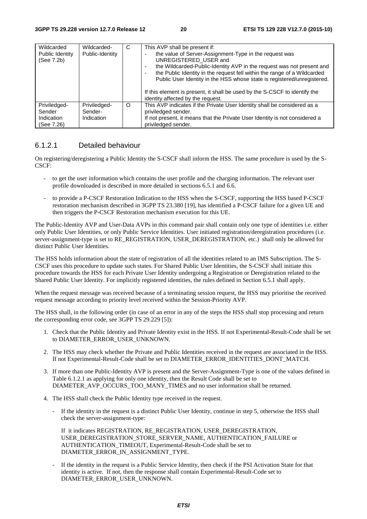| Wildcarded<br>Public Identity<br>(See 7.2b)        | Wildcarded-<br>Public-Identity        | C       | This AVP shall be present if:<br>the value of Server-Assignment-Type in the request was<br>UNREGISTERED USER and<br>the Wildcarded-Public-Identity AVP in the request was not present and<br>۰<br>the Public Identity in the request fell within the range of a Wildcarded<br>Public User Identity in the HSS whose state is registered/unregistered.<br>If this element is present, it shall be used by the S-CSCF to identify the<br>identity affected by the request. |
|----------------------------------------------------|---------------------------------------|---------|--------------------------------------------------------------------------------------------------------------------------------------------------------------------------------------------------------------------------------------------------------------------------------------------------------------------------------------------------------------------------------------------------------------------------------------------------------------------------|
| Priviledged-<br>Sender<br>Indication<br>(See 7.26) | Priviledged-<br>Sender-<br>Indication | $\circ$ | This AVP indicates if the Private User Identity shall be considered as a<br>priviledged sender.<br>If not present, it means that the Private User Identity is not considered a<br>priviledged sender.                                                                                                                                                                                                                                                                    |

### 6.1.2.1 Detailed behaviour

On registering/deregistering a Public Identity the S-CSCF shall inform the HSS. The same procedure is used by the S-CSCF:

- to get the user information which contains the user profile and the charging information. The relevant user profile downloaded is described in more detailed in sections 6.5.1 and 6.6.
- to provide a P-CSCF Restoration Indication to the HSS when the S-CSCF, supporting the HSS based P-CSCF restoration mechanism described in 3GPP TS 23.380 [19], has identified a P-CSCF failure for a given UE and then triggers the P-CSCF Restoration mechanism execution for this UE.

The Public-Identity AVP and User-Data AVPs in this command pair shall contain only one type of identities i.e. either only Public User Identities, or only Public Service Identities. User initiated registration/deregistration procedures (i.e. server-assignment-type is set to RE\_REGISTRATION, USER\_DEREGISTRATION, etc.) shall only be allowed for distinct Public User Identities.

The HSS holds information about the state of registration of all the identities related to an IMS Subscription. The S-CSCF uses this procedure to update such states. For Shared Public User Identities, the S-CSCF shall initiate this procedure towards the HSS for each Private User Identity undergoing a Registration or Deregistration related to the Shared Public User Identity. For implicitly registered identities, the rules defined in Section 6.5.1 shall apply.

When the request message was received because of a terminating session request, the HSS may prioritise the received request message according to priority level received within the Session-Priority AVP.

The HSS shall, in the following order (in case of an error in any of the steps the HSS shall stop processing and return the corresponding error code, see 3GPP TS 29.229 [5]):

- 1. Check that the Public Identity and Private Identity exist in the HSS. If not Experimental-Result-Code shall be set to DIAMETER\_ERROR\_USER\_UNKNOWN.
- 2. The HSS may check whether the Private and Public Identities received in the request are associated in the HSS. If not Experimental-Result-Code shall be set to DIAMETER\_ERROR\_IDENTITIES\_DONT\_MATCH.
- 3. If more than one Public-Identity AVP is present and the Server-Assignment-Type is one of the values defined in Table 6.1.2.1 as applying for only one identity, then the Result Code shall be set to DIAMETER\_AVP\_OCCURS\_TOO\_MANY\_TIMES and no user information shall be returned.
- 4. The HSS shall check the Public Identity type received in the request.
	- If the identity in the request is a distinct Public User Identity, continue in step 5, otherwise the HSS shall check the server-assignment-type:

 If it indicates REGISTRATION, RE\_REGISTRATION, USER\_DEREGISTRATION, USER\_DEREGISTRATION\_STORE\_SERVER\_NAME, AUTHENTICATION\_FAILURE or AUTHENTICATION\_TIMEOUT, Experimental-Result-Code shall be set to DIAMETER\_ERROR\_IN\_ASSIGNMENT\_TYPE.

If the identity in the request is a Public Service Identity, then check if the PSI Activation State for that identity is active. If not, then the response shall contain Experimental-Result-Code set to DIAMETER\_ERROR\_USER\_UNKNOWN.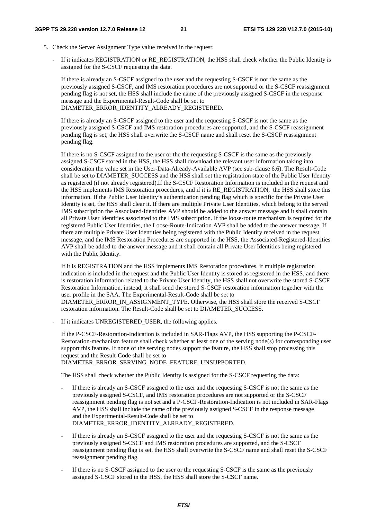- 5. Check the Server Assignment Type value received in the request:
	- If it indicates REGISTRATION or RE\_REGISTRATION, the HSS shall check whether the Public Identity is assigned for the S-CSCF requesting the data.

If there is already an S-CSCF assigned to the user and the requesting S-CSCF is not the same as the previously assigned S-CSCF, and IMS restoration procedures are not supported or the S-CSCF reassignment pending flag is not set, the HSS shall include the name of the previously assigned S-CSCF in the response message and the Experimental-Result-Code shall be set to DIAMETER\_ERROR\_IDENTITY\_ALREADY\_REGISTERED.

If there is already an S-CSCF assigned to the user and the requesting S-CSCF is not the same as the previously assigned S-CSCF and IMS restoration procedures are supported, and the S-CSCF reassignment pending flag is set, the HSS shall overwrite the S-CSCF name and shall reset the S-CSCF reassignment pending flag.

 If there is no S-CSCF assigned to the user or the the requesting S-CSCF is the same as the previously assigned S-CSCF stored in the HSS, the HSS shall download the relevant user information taking into consideration the value set in the User-Data-Already-Available AVP (see sub-clause 6.6). The Result-Code shall be set to DIAMETER\_SUCCESS and the HSS shall set the registration state of the Public User Identity as registered (if not already registered).If the S-CSCF Restoration Information is included in the request and the HSS implements IMS Restoration procedures, and if it is RE\_REGISTRATION, the HSS shall store this information. If the Public User Identity's authentication pending flag which is specific for the Private User Identity is set, the HSS shall clear it. If there are multiple Private User Identities, which belong to the served IMS subscription the Associated-Identities AVP should be added to the answer message and it shall contain all Private User Identities associated to the IMS subscription. If the loose-route mechanism is required for the registered Public User Identities, the Loose-Route-Indication AVP shall be added to the answer message. If there are multiple Private User Identities being registered with the Public Identity received in the request message, and the IMS Restoration Procedures are supported in the HSS, the Associated-Registered-Identities AVP shall be added to the answer message and it shall contain all Private User Identities being registered with the Public Identity.

If it is REGISTRATION and the HSS implements IMS Restoration procedures, if multiple registration indication is included in the request and the Public User Identity is stored as registered in the HSS, and there is restoration information related to the Private User Identity, the HSS shall not overwrite the stored S-CSCF Restoration Information, instead, it shall send the stored S-CSCF restoration information together with the user profile in the SAA. The Experimental-Result-Code shall be set to DIAMETER\_ERROR\_IN\_ASSIGNMENT\_TYPE. Otherwise, the HSS shall store the received S-CSCF restoration information. The Result-Code shall be set to DIAMETER\_SUCCESS.

If it indicates UNREGISTERED USER, the following applies.

If the P-CSCF-Restoration-Indication is included in SAR-Flags AVP, the HSS supporting the P-CSCF-Restoration-mechanism feature shall check whether at least one of the serving node(s) for corresponding user support this feature. If none of the serving nodes support the feature, the HSS shall stop processing this request and the Result-Code shall be set to DIAMETER\_ERROR\_SERVING\_NODE\_FEATURE\_UNSUPPORTED.

The HSS shall check whether the Public Identity is assigned for the S-CSCF requesting the data:

- If there is already an S-CSCF assigned to the user and the requesting S-CSCF is not the same as the previously assigned S-CSCF, and IMS restoration procedures are not supported or the S-CSCF reassignment pending flag is not set and a P-CSCF-Restoration-Indication is not included in SAR-Flags AVP, the HSS shall include the name of the previously assigned S-CSCF in the response message and the Experimental-Result-Code shall be set to DIAMETER\_ERROR\_IDENTITY\_ALREADY\_REGISTERED.
- If there is already an S-CSCF assigned to the user and the requesting S-CSCF is not the same as the previously assigned S-CSCF and IMS restoration procedures are supported, and the S-CSCF reassignment pending flag is set, the HSS shall overwrite the S-CSCF name and shall reset the S-CSCF reassignment pending flag.
- If there is no S-CSCF assigned to the user or the requesting S-CSCF is the same as the previously assigned S-CSCF stored in the HSS, the HSS shall store the S-CSCF name.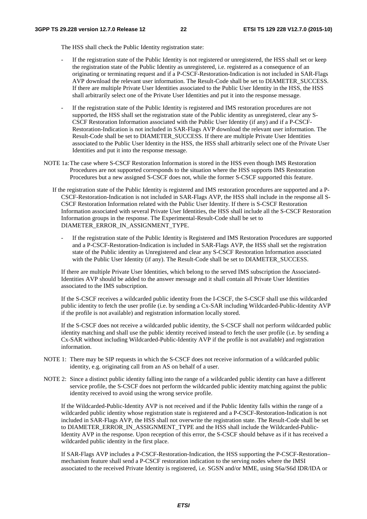The HSS shall check the Public Identity registration state:

- If the registration state of the Public Identity is not registered or unregistered, the HSS shall set or keep the registration state of the Public Identity as unregistered, i.e. registered as a consequence of an originating or terminating request and if a P-CSCF-Restoration-Indication is not included in SAR-Flags AVP download the relevant user information. The Result-Code shall be set to DIAMETER\_SUCCESS. If there are multiple Private User Identities associated to the Public User Identity in the HSS, the HSS shall arbitrarily select one of the Private User Identities and put it into the response message.
- If the registration state of the Public Identity is registered and IMS restoration procedures are not supported, the HSS shall set the registration state of the Public identity as unregistered, clear any S-CSCF Restoration Information associated with the Public User Identity (if any) and if a P-CSCF-Restoration-Indication is not included in SAR-Flags AVP download the relevant user information. The Result-Code shall be set to DIAMETER\_SUCCESS. If there are multiple Private User Identities associated to the Public User Identity in the HSS, the HSS shall arbitrarily select one of the Private User Identities and put it into the response message.
- NOTE 1a: The case where S-CSCF Restoration Information is stored in the HSS even though IMS Restoration Procedures are not supported corresponds to the situation where the HSS supports IMS Restoration Procedures but a new assigned S-CSCF does not, while the former S-CSCF supported this feature.
	- If the registration state of the Public Identity is registered and IMS restoration procedures are supported and a P-CSCF-Restoration-Indication is not included in SAR-Flags AVP, the HSS shall include in the response all S-CSCF Restoration Information related with the Public User Identity. If there is S-CSCF Restoration Information associated with several Private User Identities, the HSS shall include all the S-CSCF Restoration Information groups in the response. The Experimental-Result-Code shall be set to DIAMETER\_ERROR\_IN\_ASSIGNMENT\_TYPE.
		- If the registration state of the Public Identity is Registered and IMS Restoration Procedures are supported and a P-CSCF-Restoration-Indication is included in SAR-Flags AVP, the HSS shall set the registration state of the Public identity as Unregistered and clear any S-CSCF Restoration Information associated with the Public User Identity (if any). The Result-Code shall be set to DIAMETER SUCCESS.

If there are multiple Private User Identities, which belong to the served IMS subscription the Associated-Identities AVP should be added to the answer message and it shall contain all Private User Identities associated to the IMS subscription.

If the S-CSCF receives a wildcarded public identity from the I-CSCF, the S-CSCF shall use this wildcarded public identity to fetch the user profile (i.e. by sending a Cx-SAR including Wildcarded-Public-Identity AVP if the profile is not available) and registration information locally stored.

If the S-CSCF does not receive a wildcarded public identity, the S-CSCF shall not perform wildcarded public identity matching and shall use the public identity received instead to fetch the user profile (i.e. by sending a Cx-SAR without including Wildcarded-Public-Identity AVP if the profile is not available) and registration information.

- NOTE 1: There may be SIP requests in which the S-CSCF does not receive information of a wildcarded public identity, e.g. originating call from an AS on behalf of a user.
- NOTE 2: Since a distinct public identity falling into the range of a wildcarded public identity can have a different service profile, the S-CSCF does not perform the wildcarded public identity matching against the public identity received to avoid using the wrong service profile.

If the Wildcarded-Public-Identity AVP is not received and if the Public Identity falls within the range of a wildcarded public identity whose registration state is registered and a P-CSCF-Restoration-Indication is not included in SAR-Flags AVP, the HSS shall not overwrite the registration state. The Result-Code shall be set to DIAMETER\_ERROR\_IN\_ASSIGNMENT\_TYPE and the HSS shall include the Wildcarded-Public-Identity AVP in the response. Upon reception of this error, the S-CSCF should behave as if it has received a wildcarded public identity in the first place.

If SAR-Flags AVP includes a P-CSCF-Restoration-Indication, the HSS supporting the P-CSCF-Restoration– mechanism feature shall send a P-CSCF restoration indication to the serving nodes where the IMSI associated to the received Private Identity is registered, i.e. SGSN and/or MME, using S6a/S6d IDR/IDA or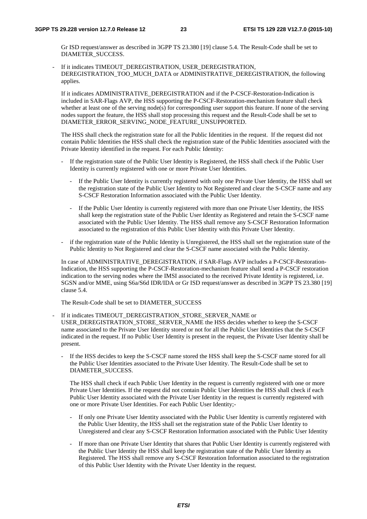Gr ISD request/answer as described in 3GPP TS 23.380 [19] clause 5.4. The Result-Code shall be set to DIAMETER\_SUCCESS.

If it indicates TIMEOUT\_DEREGISTRATION, USER\_DEREGISTRATION, DEREGISTRATION\_TOO\_MUCH\_DATA or ADMINISTRATIVE\_DEREGISTRATION, the following applies.

If it indicates ADMINISTRATIVE\_DEREGISTRATION and if the P-CSCF-Restoration-Indication is included in SAR-Flags AVP, the HSS supporting the P-CSCF-Restoration-mechanism feature shall check whether at least one of the serving node(s) for corresponding user support this feature. If none of the serving nodes support the feature, the HSS shall stop processing this request and the Result-Code shall be set to DIAMETER\_ERROR\_SERVING\_NODE\_FEATURE\_UNSUPPORTED.

The HSS shall check the registration state for all the Public Identities in the request. If the request did not contain Public Identities the HSS shall check the registration state of the Public Identities associated with the Private Identity identified in the request. For each Public Identity:

- If the registration state of the Public User Identity is Registered, the HSS shall check if the Public User Identity is currently registered with one or more Private User Identities.
	- If the Public User Identity is currently registered with only one Private User Identity, the HSS shall set the registration state of the Public User Identity to Not Registered and clear the S-CSCF name and any S-CSCF Restoration Information associated with the Public User Identity.
	- If the Public User Identity is currently registered with more than one Private User Identity, the HSS shall keep the registration state of the Public User Identity as Registered and retain the S-CSCF name associated with the Public User Identity. The HSS shall remove any S-CSCF Restoration Information associated to the registration of this Public User Identity with this Private User Identity.
- if the registration state of the Public Identity is Unregistered, the HSS shall set the registration state of the Public Identity to Not Registered and clear the S-CSCF name associated with the Public Identity.

In case of ADMINISTRATIVE\_DEREGISTRATION, if SAR-Flags AVP includes a P-CSCF-Restoration-Indication, the HSS supporting the P-CSCF-Restoration-mechanism feature shall send a P-CSCF restoration indication to the serving nodes where the IMSI associated to the received Private Identity is registered, i.e. SGSN and/or MME, using S6a/S6d IDR/IDA or Gr ISD request/answer as described in 3GPP TS 23.380 [19] clause 5.4.

The Result-Code shall be set to DIAMETER\_SUCCESS

- If it indicates TIMEOUT\_DEREGISTRATION\_STORE\_SERVER\_NAME or USER\_DEREGISTRATION\_STORE\_SERVER\_NAME the HSS decides whether to keep the S-CSCF name associated to the Private User Identity stored or not for all the Public User Identities that the S-CSCF indicated in the request. If no Public User Identity is present in the request, the Private User Identity shall be present.
	- If the HSS decides to keep the S-CSCF name stored the HSS shall keep the S-CSCF name stored for all the Public User Identities associated to the Private User Identity. The Result-Code shall be set to DIAMETER\_SUCCESS.

The HSS shall check if each Public User Identity in the request is currently registered with one or more Private User Identities. If the request did not contain Public User Identities the HSS shall check if each Public User Identity associated with the Private User Identity in the request is currently registered with one or more Private User Identities. For each Public User Identity;-

- If only one Private User Identity associated with the Public User Identity is currently registered with the Public User Identity, the HSS shall set the registration state of the Public User Identity to Unregistered and clear any S-CSCF Restoration Information associated with the Public User Identity
- If more than one Private User Identity that shares that Public User Identity is currently registered with the Public User Identity the HSS shall keep the registration state of the Public User Identity as Registered. The HSS shall remove any S-CSCF Restoration Information associated to the registration of this Public User Identity with the Private User Identity in the request.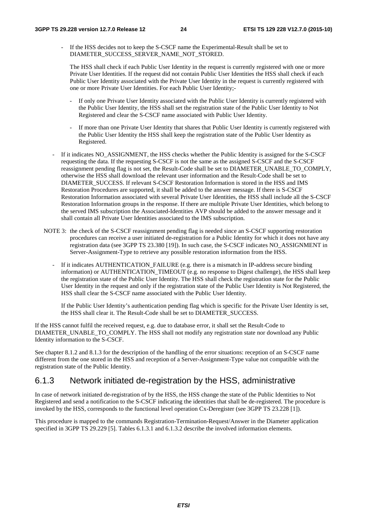- If the HSS decides not to keep the S-CSCF name the Experimental-Result shall be set to DIAMETER\_SUCCESS\_SERVER\_NAME\_NOT\_STORED.

The HSS shall check if each Public User Identity in the request is currently registered with one or more Private User Identities. If the request did not contain Public User Identities the HSS shall check if each Public User Identity associated with the Private User Identity in the request is currently registered with one or more Private User Identities. For each Public User Identity;-

- If only one Private User Identity associated with the Public User Identity is currently registered with the Public User Identity, the HSS shall set the registration state of the Public User Identity to Not Registered and clear the S-CSCF name associated with Public User Identity.
- If more than one Private User Identity that shares that Public User Identity is currently registered with the Public User Identity the HSS shall keep the registration state of the Public User Identity as Registered.
- If it indicates NO\_ASSIGNMENT, the HSS checks whether the Public Identity is assigned for the S-CSCF requesting the data. If the requesting S-CSCF is not the same as the assigned S-CSCF and the S-CSCF reassignment pending flag is not set, the Result-Code shall be set to DIAMETER\_UNABLE\_TO\_COMPLY, otherwise the HSS shall download the relevant user information and the Result-Code shall be set to DIAMETER\_SUCCESS. If relevant S-CSCF Restoration Information is stored in the HSS and IMS Restoration Procedures are supported, it shall be added to the answer message. If there is S-CSCF Restoration Information associated with several Private User Identities, the HSS shall include all the S-CSCF Restoration Information groups in the response. If there are multiple Private User Identities, which belong to the served IMS subscription the Associated-Identities AVP should be added to the answer message and it shall contain all Private User Identities associated to the IMS subscription.
- NOTE 3: the check of the S-CSCF reassignment pending flag is needed since an S-CSCF supporting restoration procedures can receive a user initiated de-registration for a Public Identity for which it does not have any registration data (see 3GPP TS 23.380 [19]). In such case, the S-CSCF indicates NO\_ASSIGNMENT in Server-Assignment-Type to retrieve any possible restoration information from the HSS.
	- If it indicates AUTHENTICATION FAILURE (e.g. there is a mismatch in IP-address secure binding information) or AUTHENTICATION TIMEOUT (e.g. no response to Digest challenge), the HSS shall keep the registration state of the Public User Identity. The HSS shall check the registration state for the Public User Identity in the request and only if the registration state of the Public User Identity is Not Registered, the HSS shall clear the S-CSCF name associated with the Public User Identity.

If the Public User Identity's authentication pending flag which is specific for the Private User Identity is set, the HSS shall clear it. The Result-Code shall be set to DIAMETER\_SUCCESS.

If the HSS cannot fulfil the received request, e.g. due to database error, it shall set the Result-Code to DIAMETER\_UNABLE\_TO\_COMPLY. The HSS shall not modify any registration state nor download any Public Identity information to the S-CSCF.

See chapter 8.1.2 and 8.1.3 for the description of the handling of the error situations: reception of an S-CSCF name different from the one stored in the HSS and reception of a Server-Assignment-Type value not compatible with the registration state of the Public Identity.

### 6.1.3 Network initiated de-registration by the HSS, administrative

In case of network initiated de-registration of by the HSS, the HSS change the state of the Public Identities to Not Registered and send a notification to the S-CSCF indicating the identities that shall be de-registered. The procedure is invoked by the HSS, corresponds to the functional level operation Cx-Deregister (see 3GPP TS 23.228 [1]).

This procedure is mapped to the commands Registration-Termination-Request/Answer in the Diameter application specified in 3GPP TS 29.229 [5]. Tables 6.1.3.1 and 6.1.3.2 describe the involved information elements.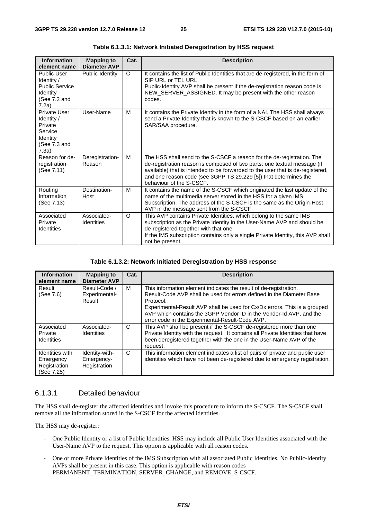| <b>Information</b><br>element name                                                             | <b>Mapping to</b><br><b>Diameter AVP</b> | Cat.         | <b>Description</b>                                                                                                                                                                                                                                                                                                                   |
|------------------------------------------------------------------------------------------------|------------------------------------------|--------------|--------------------------------------------------------------------------------------------------------------------------------------------------------------------------------------------------------------------------------------------------------------------------------------------------------------------------------------|
| <b>Public User</b><br>Identity /<br><b>Public Service</b><br>Identity<br>(See 7.2 and<br>7.2a) | Public-Identity                          | $\mathsf{C}$ | It contains the list of Public Identities that are de-registered, in the form of<br>SIP URL or TEL URL.<br>Public-Identity AVP shall be present if the de-registration reason code is<br>NEW_SERVER_ASSIGNED. It may be present with the other reason<br>codes.                                                                      |
| Private User<br>Identity /<br>Private<br>Service<br>Identity<br>(See 7.3 and<br>7.3a)          | User-Name                                | M            | It contains the Private Identity in the form of a NAI. The HSS shall always<br>send a Private Identity that is known to the S-CSCF based on an earlier<br>SAR/SAA procedure.                                                                                                                                                         |
| Reason for de-<br>registration<br>(See 7.11)                                                   | Deregistration-<br>Reason                | M            | The HSS shall send to the S-CSCF a reason for the de-registration. The<br>de-registration reason is composed of two parts: one textual message (if<br>available) that is intended to be forwarded to the user that is de-registered,<br>and one reason code (see 3GPP TS 29.229 [5]) that determines the<br>behaviour of the S-CSCF. |
| Routing<br>Information<br>(See 7.13)                                                           | Destination-<br>Host                     | M            | It contains the name of the S-CSCF which originated the last update of the<br>name of the multimedia server stored in the HSS for a given IMS<br>Subscription. The address of the S-CSCF is the same as the Origin-Host<br>AVP in the message sent from the S-CSCF.                                                                  |
| Associated<br>Private<br><b>Identities</b>                                                     | Associated-<br><b>Identities</b>         | $\Omega$     | This AVP contains Private Identities, which belong to the same IMS<br>subscription as the Private Identity in the User-Name AVP and should be<br>de-registered together with that one.<br>If the IMS subscription contains only a single Private Identity, this AVP shall<br>not be present.                                         |

**Table 6.1.3.1: Network Initiated Deregistration by HSS request** 

#### **Table 6.1.3.2: Network Initiated Deregistration by HSS response**

| <b>Information</b><br>element name                         | <b>Mapping to</b><br><b>Diameter AVP</b>     | Cat. | <b>Description</b>                                                                                                                                                                                                                                                                                                                                             |
|------------------------------------------------------------|----------------------------------------------|------|----------------------------------------------------------------------------------------------------------------------------------------------------------------------------------------------------------------------------------------------------------------------------------------------------------------------------------------------------------------|
| Result<br>(See 7.6)                                        | Result-Code /<br>Experimental-<br>Result     | м    | This information element indicates the result of de-registration.<br>Result-Code AVP shall be used for errors defined in the Diameter Base<br>Protocol.<br>Experimental-Result AVP shall be used for Cx/Dx errors. This is a grouped<br>AVP which contains the 3GPP Vendor ID in the Vendor-Id AVP, and the<br>error code in the Experimental-Result-Code AVP. |
| Associated<br>Private<br>Identities                        | Associated-<br><b>Identities</b>             | C    | This AVP shall be present if the S-CSCF de-registered more than one<br>Private Identity with the request. It contains all Private Identities that have<br>been deregistered together with the one in the User-Name AVP of the<br>request.                                                                                                                      |
| Identities with<br>Emergency<br>Registration<br>(See 7.25) | Identity-with-<br>Emergency-<br>Registration | C    | This information element indicates a list of pairs of private and public user<br>identities which have not been de-registered due to emergency registration.                                                                                                                                                                                                   |

### 6.1.3.1 Detailed behaviour

The HSS shall de-register the affected identities and invoke this procedure to inform the S-CSCF. The S-CSCF shall remove all the information stored in the S-CSCF for the affected identities.

The HSS may de-register:

- One Public Identity or a list of Public Identities. HSS may include all Public User Identities associated with the User-Name AVP to the request. This option is applicable with all reason codes.
- One or more Private Identities of the IMS Subscription with all associated Public Identities. No Public-Identity AVPs shall be present in this case. This option is applicable with reason codes PERMANENT\_TERMINATION, SERVER\_CHANGE, and REMOVE\_S-CSCF.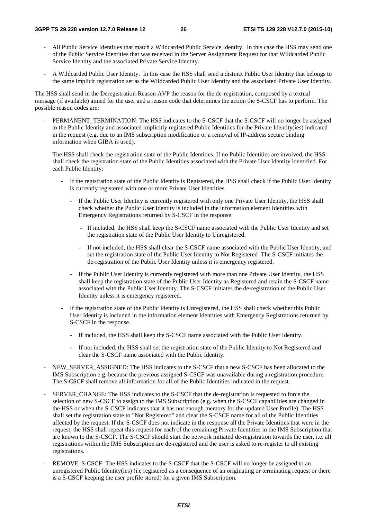- All Public Service Identities that match a Wildcarded Public Service Identity. In this case the HSS may send one of the Public Service Identities that was received in the Server Assignment Request for that Wildcarded Public Service Identity and the associated Private Service Identity.
- A Wildcarded Public User Identity. In this case the HSS shall send a distinct Public User Identity that belongs to the same implicit registration set as the Wildcarded Public User Identity and the associated Private User Identity.

The HSS shall send in the Deregistration-Reason AVP the reason for the de-registration, composed by a textual message (if available) aimed for the user and a reason code that determines the action the S-CSCF has to perform. The possible reason codes are:

PERMANENT\_TERMINATION: The HSS indicates to the S-CSCF that the S-CSCF will no longer be assigned to the Public Identity and associated implicitly registered Public Identities for the Private Identity(ies) indicated in the request (e.g. due to an IMS subscription modification or a removal of IP-address secure binding information when GIBA is used).

The HSS shall check the registration state of the Public Identities. If no Public Identities are involved, the HSS shall check the registration state of the Public Identities associated with the Private User Identity identified. For each Public Identity:

- If the registration state of the Public Identity is Registered, the HSS shall check if the Public User Identity is currently registered with one or more Private User Identities.
	- If the Public User Identity is currently registered with only one Private User Identity, the HSS shall check whether the Public User Identity is included in the information element Identities with Emergency Registrations returned by S-CSCF in the response.
		- If included, the HSS shall keep the S-CSCF name associated with the Public User Identity and set the registration state of the Public User Identity to Unregistered.
		- If not included, the HSS shall clear the S-CSCF name associated with the Public User Identity, and set the registration state of the Public User Identity to Not Registered The S-CSCF initiates the de-registration of the Public User Identity unless it is emergency registered.
	- If the Public User Identity is currently registered with more than one Private User Identity, the HSS shall keep the registration state of the Public User Identity as Registered and retain the S-CSCF name associated with the Public User Identity. The S-CSCF initiates the de-registration of the Public User Identity unless it is emergency registered.
- If the registration state of the Public Identity is Unregistered, the HSS shall check whether this Public User Identity is included in the information element Identities with Emergency Registrations returned by S-CSCF in the response.
	- If included, the HSS shall keep the S-CSCF name associated with the Public User Identity.
	- If not included, the HSS shall set the registration state of the Public Identity to Not Registered and clear the S-CSCF name associated with the Public Identity.
- NEW\_SERVER\_ASSIGNED: The HSS indicates to the S-CSCF that a new S-CSCF has been allocated to the IMS Subscription e.g. because the previous assigned S-CSCF was unavailable during a registration procedure. The S-CSCF shall remove all information for all of the Public Identities indicated in the request.
- SERVER\_CHANGE: The HSS indicates to the S-CSCF that the de-registration is requested to force the selection of new S-CSCF to assign to the IMS Subscription (e.g. when the S-CSCF capabilities are changed in the HSS or when the S-CSCF indicates that it has not enough memory for the updated User Profile). The HSS shall set the registration state to "Not Registered" and clear the S-CSCF name for all of the Public Identities affected by the request. If the S-CSCF does not indicate in the response all the Private Identities that were in the request, the HSS shall repeat this request for each of the remaining Private Identities in the IMS Subscription that are known to the S-CSCF. The S-CSCF should start the network initiated de-registration towards the user, i.e. all registrations within the IMS Subscription are de-registered and the user is asked to re-register to all existing registrations.
- REMOVE\_S-CSCF: The HSS indicates to the S-CSCF that the S-CSCF will no longer be assigned to an unregistered Public Identity(ies) (i.e registered as a consequence of an originating or terminating request or there is a S-CSCF keeping the user profile stored) for a given IMS Subscription.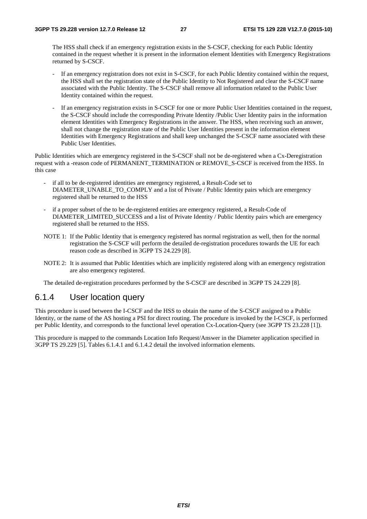The HSS shall check if an emergency registration exists in the S-CSCF, checking for each Public Identity contained in the request whether it is present in the information element Identities with Emergency Registrations returned by S-CSCF.

- If an emergency registration does not exist in S-CSCF, for each Public Identity contained within the request, the HSS shall set the registration state of the Public Identity to Not Registered and clear the S-CSCF name associated with the Public Identity. The S-CSCF shall remove all information related to the Public User Identity contained within the request.
- If an emergency registration exists in S-CSCF for one or more Public User Identities contained in the request, the S-CSCF should include the corresponding Private Identity /Public User Identity pairs in the information element Identities with Emergency Registrations in the answer. The HSS, when receiving such an answer, shall not change the registration state of the Public User Identities present in the information element Identities with Emergency Registrations and shall keep unchanged the S-CSCF name associated with these Public User Identities.

Public Identities which are emergency registered in the S-CSCF shall not be de-registered when a Cx-Deregistration request with a -reason code of PERMANENT\_TERMINATION or REMOVE\_S-CSCF is received from the HSS. In this case

- if all to be de-registered identities are emergency registered, a Result-Code set to DIAMETER\_UNABLE\_TO\_COMPLY and a list of Private / Public Identity pairs which are emergency registered shall be returned to the HSS
- if a proper subset of the to be de-registered entities are emergency registered, a Result-Code of DIAMETER\_LIMITED\_SUCCESS and a list of Private Identity / Public Identity pairs which are emergency registered shall be returned to the HSS.
- NOTE 1: If the Public Identity that is emergency registered has normal registration as well, then for the normal registration the S-CSCF will perform the detailed de-registration procedures towards the UE for each reason code as described in 3GPP TS 24.229 [8].
- NOTE 2: It is assumed that Public Identities which are implicitly registered along with an emergency registration are also emergency registered.

The detailed de-registration procedures performed by the S-CSCF are described in 3GPP TS 24.229 [8].

### 6.1.4 User location query

This procedure is used between the I-CSCF and the HSS to obtain the name of the S-CSCF assigned to a Public Identity, or the name of the AS hosting a PSI for direct routing. The procedure is invoked by the I-CSCF, is performed per Public Identity, and corresponds to the functional level operation Cx-Location-Query (see 3GPP TS 23.228 [1]).

This procedure is mapped to the commands Location Info Request/Answer in the Diameter application specified in 3GPP TS 29.229 [5]. Tables 6.1.4.1 and 6.1.4.2 detail the involved information elements.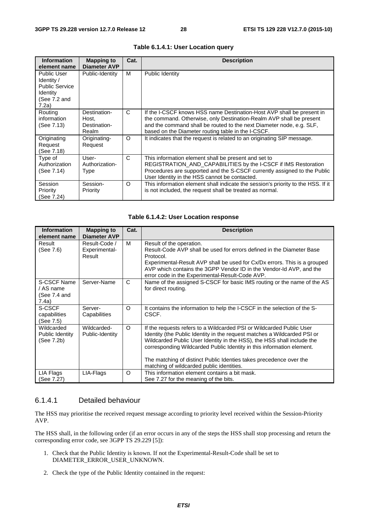| <b>Information</b><br>element name                                                             | Mapping to<br><b>Diameter AVP</b>              | Cat.     | <b>Description</b>                                                                                                                                                                                                                                                         |
|------------------------------------------------------------------------------------------------|------------------------------------------------|----------|----------------------------------------------------------------------------------------------------------------------------------------------------------------------------------------------------------------------------------------------------------------------------|
| <b>Public User</b><br>Identity /<br><b>Public Service</b><br>Identity<br>(See 7.2 and<br>7.2a) | Public-Identity                                | M        | Public Identity                                                                                                                                                                                                                                                            |
| Routing<br>information<br>(See 7.13)                                                           | Destination-<br>Host.<br>Destination-<br>Realm | C        | If the I-CSCF knows HSS name Destination-Host AVP shall be present in<br>the command. Otherwise, only Destination-Realm AVP shall be present<br>and the command shall be routed to the next Diameter node, e.g. SLF,<br>based on the Diameter routing table in the I-CSCF. |
| Originating<br>Request<br>(See 7.18)                                                           | Originating-<br>Request                        | $\Omega$ | It indicates that the request is related to an originating SIP message.                                                                                                                                                                                                    |
| Type of<br>Authorization<br>(See 7.14)                                                         | User-<br>Authorization-<br>Type                | C        | This information element shall be present and set to<br>REGISTRATION_AND_CAPABILITIES by the I-CSCF if IMS Restoration<br>Procedures are supported and the S-CSCF currently assigned to the Public<br>User Identity in the HSS cannot be contacted.                        |
| Session<br>Priority<br>(See 7.24)                                                              | Session-<br>Priority                           | O        | This information element shall indicate the session's priority to the HSS. If it<br>is not included, the request shall be treated as normal.                                                                                                                               |

#### **Table 6.1.4.1: User Location query**

#### **Table 6.1.4.2: User Location response**

| <b>Information</b><br>element name                | <b>Mapping to</b><br><b>Diameter AVP</b> | Cat.     | <b>Description</b>                                                                                                                                                                                                                                                                                                                                                                                                     |
|---------------------------------------------------|------------------------------------------|----------|------------------------------------------------------------------------------------------------------------------------------------------------------------------------------------------------------------------------------------------------------------------------------------------------------------------------------------------------------------------------------------------------------------------------|
| Result<br>(See 7.6)                               | Result-Code /<br>Experimental-<br>Result | м        | Result of the operation.<br>Result-Code AVP shall be used for errors defined in the Diameter Base<br>Protocol.<br>Experimental-Result AVP shall be used for Cx/Dx errors. This is a grouped<br>AVP which contains the 3GPP Vendor ID in the Vendor-Id AVP, and the<br>error code in the Experimental-Result-Code AVP.                                                                                                  |
| S-CSCF Name<br>/ AS name<br>(See 7.4 and<br>7.4a) | Server-Name                              | C        | Name of the assigned S-CSCF for basic IMS routing or the name of the AS<br>for direct routing.                                                                                                                                                                                                                                                                                                                         |
| S-CSCF<br>capabilities<br>(See 7.5)               | Server-<br>Capabilities                  | O        | It contains the information to help the I-CSCF in the selection of the S-<br>CSCF.                                                                                                                                                                                                                                                                                                                                     |
| Wildcarded<br>Public Identity<br>(See 7.2b)       | Wildcarded-<br>Public-Identity           | $\Omega$ | If the requests refers to a Wildcarded PSI or Wildcarded Public User<br>Identity (the Public Identity in the request matches a Wildcarded PSI or<br>Wildcarded Public User Identity in the HSS), the HSS shall include the<br>corresponding Wildcarded Public Identity in this information element.<br>The matching of distinct Public Identies takes precedence over the<br>matching of wildcarded public identities. |
| LIA Flags<br>(See 7.27)                           | LIA-Flags                                | $\circ$  | This information element contains a bit mask.<br>See 7.27 for the meaning of the bits.                                                                                                                                                                                                                                                                                                                                 |

#### 6.1.4.1 Detailed behaviour

The HSS may prioritise the received request message according to priority level received within the Session-Priority AVP.

The HSS shall, in the following order (if an error occurs in any of the steps the HSS shall stop processing and return the corresponding error code, see 3GPP TS 29.229 [5]):

- 1. Check that the Public Identity is known. If not the Experimental-Result-Code shall be set to DIAMETER\_ERROR\_USER\_UNKNOWN.
- 2. Check the type of the Public Identity contained in the request: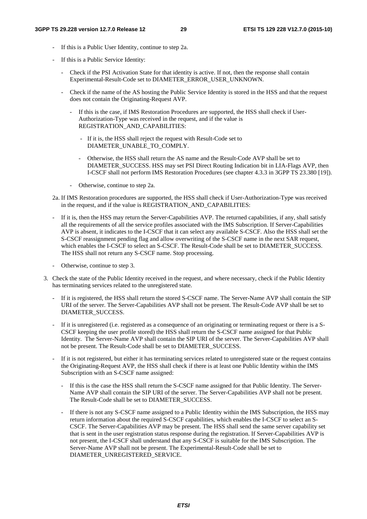- If this is a Public User Identity, continue to step 2a.
- If this is a Public Service Identity:
	- Check if the PSI Activation State for that identity is active. If not, then the response shall contain Experimental-Result-Code set to DIAMETER\_ERROR\_USER\_UNKNOWN.
	- Check if the name of the AS hosting the Public Service Identity is stored in the HSS and that the request does not contain the Originating-Request AVP.
		- If this is the case, if IMS Restoration Procedures are supported, the HSS shall check if User-Authorization-Type was received in the request, and if the value is REGISTRATION\_AND\_CAPABILITIES:
			- If it is, the HSS shall reject the request with Result-Code set to DIAMETER\_UNABLE\_TO\_COMPLY.
			- Otherwise, the HSS shall return the AS name and the Result-Code AVP shall be set to DIAMETER\_SUCCESS. HSS may set PSI Direct Routing Indication bit in LIA-Flags AVP, then I-CSCF shall not perform IMS Restoration Procedures (see chapter 4.3.3 in 3GPP TS 23.380 [19]).
		- Otherwise, continue to step 2a.
- 2a. If IMS Restoration procedures are supported, the HSS shall check if User-Authorization-Type was received in the request, and if the value is REGISTRATION\_AND\_CAPABILITIES:
- If it is, then the HSS may return the Server-Capabilities AVP. The returned capabilities, if any, shall satisfy all the requirements of all the service profiles associated with the IMS Subscription. If Server-Capabilities AVP is absent, it indicates to the I-CSCF that it can select any available S-CSCF. Also the HSS shall set the S-CSCF reassignment pending flag and allow overwriting of the S-CSCF name in the next SAR request, which enables the I-CSCF to select an S-CSCF. The Result-Code shall be set to DIAMETER\_SUCCESS. The HSS shall not return any S-CSCF name. Stop processing.
- Otherwise, continue to step 3.
- 3. Check the state of the Public Identity received in the request, and where necessary, check if the Public Identity has terminating services related to the unregistered state.
	- If it is registered, the HSS shall return the stored S-CSCF name. The Server-Name AVP shall contain the SIP URI of the server. The Server-Capabilities AVP shall not be present. The Result-Code AVP shall be set to DIAMETER\_SUCCESS.
	- If it is unregistered (i.e. registered as a consequence of an originating or terminating request or there is a S-CSCF keeping the user profile stored) the HSS shall return the S-CSCF name assigned for that Public Identity. The Server-Name AVP shall contain the SIP URI of the server. The Server-Capabilities AVP shall not be present. The Result-Code shall be set to DIAMETER\_SUCCESS.
	- If it is not registered, but either it has terminating services related to unregistered state or the request contains the Originating-Request AVP, the HSS shall check if there is at least one Public Identity within the IMS Subscription with an S-CSCF name assigned:
		- If this is the case the HSS shall return the S-CSCF name assigned for that Public Identity. The Server-Name AVP shall contain the SIP URI of the server. The Server-Capabilities AVP shall not be present. The Result-Code shall be set to DIAMETER\_SUCCESS.
		- If there is not any S-CSCF name assigned to a Public Identity within the IMS Subscription, the HSS may return information about the required S-CSCF capabilities, which enables the I-CSCF to select an S-CSCF. The Server-Capabilities AVP may be present. The HSS shall send the same server capability set that is sent in the user registration status response during the registration. If Server-Capabilities AVP is not present, the I-CSCF shall understand that any S-CSCF is suitable for the IMS Subscription. The Server-Name AVP shall not be present. The Experimental-Result-Code shall be set to DIAMETER\_UNREGISTERED\_SERVICE.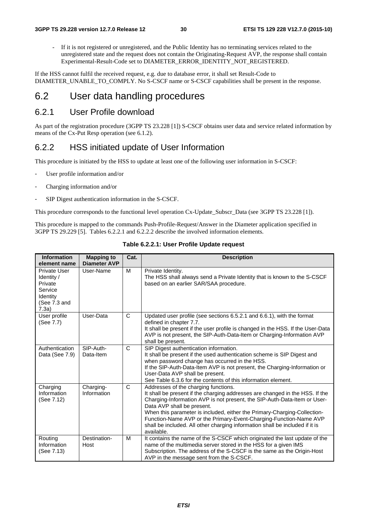- If it is not registered or unregistered, and the Public Identity has no terminating services related to the unregistered state and the request does not contain the Originating-Request AVP, the response shall contain Experimental-Result-Code set to DIAMETER\_ERROR\_IDENTITY\_NOT\_REGISTERED.

If the HSS cannot fulfil the received request, e.g. due to database error, it shall set Result-Code to DIAMETER\_UNABLE\_TO\_COMPLY. No S-CSCF name or S-CSCF capabilities shall be present in the response.

# 6.2 User data handling procedures

### 6.2.1 User Profile download

As part of the registration procedure (3GPP TS 23.228 [1]) S-CSCF obtains user data and service related information by means of the Cx-Put Resp operation (see 6.1.2).

### 6.2.2 HSS initiated update of User Information

This procedure is initiated by the HSS to update at least one of the following user information in S-CSCF:

- User profile information and/or
- Charging information and/or
- SIP Digest authentication information in the S-CSCF.

This procedure corresponds to the functional level operation Cx-Update\_Subscr\_Data (see 3GPP TS 23.228 [1]).

This procedure is mapped to the commands Push-Profile-Request/Answer in the Diameter application specified in 3GPP TS 29.229 [5]. Tables 6.2.2.1 and 6.2.2.2 describe the involved information elements.

| <b>Information</b><br>element name                                                    | <b>Mapping to</b><br><b>Diameter AVP</b> | Cat. | <b>Description</b>                                                                                                                                                                                                                                                                                                                                                                                                                                                            |
|---------------------------------------------------------------------------------------|------------------------------------------|------|-------------------------------------------------------------------------------------------------------------------------------------------------------------------------------------------------------------------------------------------------------------------------------------------------------------------------------------------------------------------------------------------------------------------------------------------------------------------------------|
| Private User<br>Identity /<br>Private<br>Service<br>Identity<br>(See 7.3 and<br>7.3a) | User-Name                                | м    | Private Identity.<br>The HSS shall always send a Private Identity that is known to the S-CSCF<br>based on an earlier SAR/SAA procedure.                                                                                                                                                                                                                                                                                                                                       |
| User profile<br>(See 7.7)                                                             | User-Data                                | C    | Updated user profile (see sections 6.5.2.1 and 6.6.1), with the format<br>defined in chapter 7.7.<br>It shall be present if the user profile is changed in the HSS. If the User-Data<br>AVP is not present, the SIP-Auth-Data-Item or Charging-Information AVP<br>shall be present.                                                                                                                                                                                           |
| Authentication<br>Data (See 7.9)                                                      | SIP-Auth-<br>Data-Item                   | C    | SIP Digest authentication information.<br>It shall be present if the used authentication scheme is SIP Digest and<br>when password change has occurred in the HSS.<br>If the SIP-Auth-Data-Item AVP is not present, the Charging-Information or<br>User-Data AVP shall be present.<br>See Table 6.3.6 for the contents of this information element.                                                                                                                           |
| Charging<br>Information<br>(See 7.12)                                                 | Charging-<br>Information                 | C    | Addresses of the charging functions.<br>It shall be present if the charging addresses are changed in the HSS. If the<br>Charging-Information AVP is not present, the SIP-Auth-Data-Item or User-<br>Data AVP shall be present.<br>When this parameter is included, either the Primary-Charging-Collection-<br>Function-Name AVP or the Primary-Event-Charging-Function-Name AVP<br>shall be included. All other charging information shall be included if it is<br>available. |
| Routing<br>Information<br>(See 7.13)                                                  | Destination-<br>Host                     | M    | It contains the name of the S-CSCF which originated the last update of the<br>name of the multimedia server stored in the HSS for a given IMS<br>Subscription. The address of the S-CSCF is the same as the Origin-Host<br>AVP in the message sent from the S-CSCF.                                                                                                                                                                                                           |

#### **Table 6.2.2.1: User Profile Update request**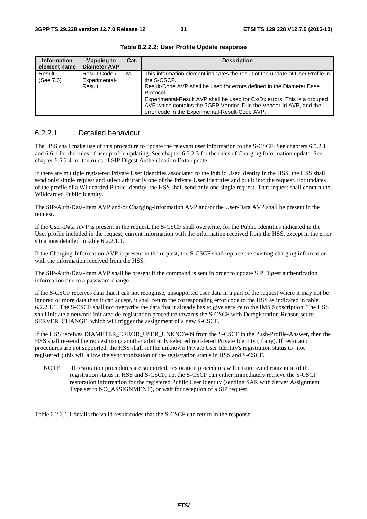| <b>Information</b><br>element name | <b>Mapping to</b><br><b>Diameter AVP</b> | Cat. | <b>Description</b>                                                                                                                                                                                                                                                                                                                                                                         |
|------------------------------------|------------------------------------------|------|--------------------------------------------------------------------------------------------------------------------------------------------------------------------------------------------------------------------------------------------------------------------------------------------------------------------------------------------------------------------------------------------|
| Result<br>(See 7.6)                | Result-Code /<br>Experimental-<br>Result | м    | This information element indicates the result of the update of User Profile in<br>the S-CSCF.<br>Result-Code AVP shall be used for errors defined in the Diameter Base<br>Protocol.<br>Experimental-Result AVP shall be used for Cx/Dx errors. This is a grouped<br>AVP which contains the 3GPP Vendor ID in the Vendor-Id AVP, and the<br>error code in the Experimental-Result-Code AVP. |

**Table 6.2.2.2: User Profile Update response** 

#### 6.2.2.1 Detailed behaviour

The HSS shall make use of this procedure to update the relevant user information to the S-CSCF. See chapters 6.5.2.1 and 6.6.1 for the rules of user profile updating. See chapter 6.5.2.3 for the rules of Charging Information update. See chapter 6.5.2.4 for the rules of SIP Digest Authentication Data update.

If there are multiple registered Private User Identities associated to the Public User Identity in the HSS, the HSS shall send only single request and select arbitrarily one of the Private User Identities and put it into the request. For updates of the profile of a Wildcarded Public Identity, the HSS shall send only one single request. That request shall contain the Wildcarded Public Identity.

The SIP-Auth-Data-Item AVP and/or Charging-Information AVP and/or the User-Data AVP shall be present in the request.

If the User-Data AVP is present in the request, the S-CSCF shall overwrite, for the Public Identities indicated in the User profile included in the request, current information with the information received from the HSS, except in the error situations detailed in table 6.2.2.1.1.

If the Charging-Information AVP is present in the request, the S-CSCF shall replace the existing charging information with the information received from the HSS.

The SIP-Auth-Data-Item AVP shall be present if the command is sent in order to update SIP Digest authentication information due to a password change.

If the S-CSCF receives data that it can not recognise, unsupported user data in a part of the request where it may not be ignored or more data than it can accept, it shall return the corresponding error code to the HSS as indicated in table 6.2.2.1.1. The S-CSCF shall not overwrite the data that it already has to give service to the IMS Subscription. The HSS shall initiate a network-initiated de-registration procedure towards the S-CSCF with Deregistration-Reason set to SERVER\_CHANGE, which will trigger the assignment of a new S-CSCF.

If the HSS receives DIAMETER\_ERROR\_USER\_UNKNOWN from the S-CSCF in the Push-Profile-Answer, then the HSS shall re-send the request using another arbitrarily selected registered Private Identity (if any). If restoration procedures are not supported, the HSS shall set the unknown Private User Identity's registration status to "not registered"; this will allow the synchronization of the registration status in HSS and S-CSCF.

NOTE: If restoration procedures are supported, restoration procedures will ensure synchronization of the registration status in HSS and S-CSCF, i.e. the S-CSCF can either immediately retrieve the S-CSCF restoration information for the registered Public User Identity (sending SAR with Server Assignment Type set to NO\_ASSIGNMENT), or wait for reception of a SIP request.

Table 6.2.2.1.1 details the valid result codes that the S-CSCF can return in the response.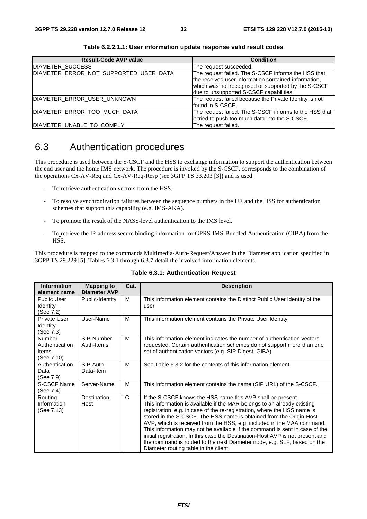| <b>Result-Code AVP value</b>           | <b>Condition</b>                                       |
|----------------------------------------|--------------------------------------------------------|
| DIAMETER_SUCCESS                       | The request succeeded.                                 |
| DIAMETER ERROR NOT SUPPORTED USER DATA | The request failed. The S-CSCF informs the HSS that    |
|                                        | the received user information contained information,   |
|                                        | which was not recognised or supported by the S-CSCF    |
|                                        | due to unsupported S-CSCF capabilities.                |
| DIAMETER ERROR USER UNKNOWN            | The request failed because the Private Identity is not |
|                                        | found in S-CSCF.                                       |
| DIAMETER_ERROR_TOO_MUCH_DATA           | The request failed. The S-CSCF informs to the HSS that |
|                                        | it tried to push too much data into the S-CSCF.        |
| DIAMETER UNABLE TO COMPLY              | The request failed.                                    |

**Table 6.2.2.1.1: User information update response valid result codes** 

# 6.3 Authentication procedures

This procedure is used between the S-CSCF and the HSS to exchange information to support the authentication between the end user and the home IMS network. The procedure is invoked by the S-CSCF, corresponds to the combination of the operations Cx-AV-Req and Cx-AV-Req-Resp (see 3GPP TS 33.203 [3]) and is used:

- To retrieve authentication vectors from the HSS.
- To resolve synchronization failures between the sequence numbers in the UE and the HSS for authentication schemes that support this capability (e.g. IMS-AKA).
- To promote the result of the NASS-level authentication to the IMS level.
- To retrieve the IP-address secure binding information for GPRS-IMS-Bundled Authentication (GIBA) from the HSS.

This procedure is mapped to the commands Multimedia-Auth-Request/Answer in the Diameter application specified in 3GPP TS 29.229 [5]. Tables 6.3.1 through 6.3.7 detail the involved information elements.

| <b>Information</b><br>element name                            | <b>Mapping to</b><br><b>Diameter AVP</b> | Cat. | <b>Description</b>                                                                                                                                                                                                                                                                                                                                                                                                                                                                                                                                                                                                                                       |
|---------------------------------------------------------------|------------------------------------------|------|----------------------------------------------------------------------------------------------------------------------------------------------------------------------------------------------------------------------------------------------------------------------------------------------------------------------------------------------------------------------------------------------------------------------------------------------------------------------------------------------------------------------------------------------------------------------------------------------------------------------------------------------------------|
| <b>Public User</b><br>Identity<br>(See 7.2)                   | Public-Identity                          | M    | This information element contains the Distinct Public User Identity of the<br>user                                                                                                                                                                                                                                                                                                                                                                                                                                                                                                                                                                       |
| <b>Private User</b><br>Identity<br>(See 7.3)                  | User-Name                                | м    | This information element contains the Private User Identity                                                                                                                                                                                                                                                                                                                                                                                                                                                                                                                                                                                              |
| <b>Number</b><br>Authentication<br><b>Items</b><br>(See 7.10) | SIP-Number-<br>Auth-Items                | M    | This information element indicates the number of authentication vectors<br>requested. Certain authentication schemes do not support more than one<br>set of authentication vectors (e.g. SIP Digest, GIBA).                                                                                                                                                                                                                                                                                                                                                                                                                                              |
| Authentication<br>Data<br>(See 7.9)                           | SIP-Auth-<br>Data-Item                   | м    | See Table 6.3.2 for the contents of this information element.                                                                                                                                                                                                                                                                                                                                                                                                                                                                                                                                                                                            |
| S-CSCF Name<br>(See 7.4)                                      | Server-Name                              | M    | This information element contains the name (SIP URL) of the S-CSCF.                                                                                                                                                                                                                                                                                                                                                                                                                                                                                                                                                                                      |
| Routing<br>Information<br>(See 7.13)                          | Destination-<br>Host                     | C    | If the S-CSCF knows the HSS name this AVP shall be present.<br>This information is available if the MAR belongs to an already existing<br>registration, e.g. in case of the re-registration, where the HSS name is<br>stored in the S-CSCF. The HSS name is obtained from the Origin-Host<br>AVP, which is received from the HSS, e.g. included in the MAA command.<br>This information may not be available if the command is sent in case of the<br>initial registration. In this case the Destination-Host AVP is not present and<br>the command is routed to the next Diameter node, e.g. SLF, based on the<br>Diameter routing table in the client. |

#### **Table 6.3.1: Authentication Request**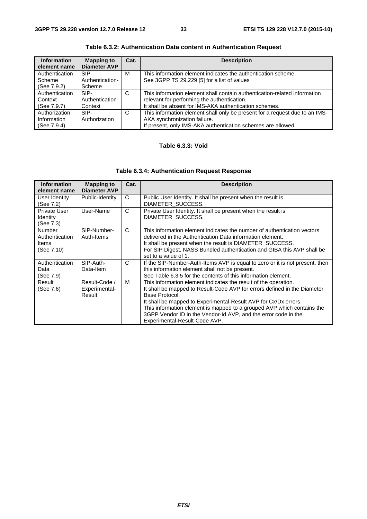| <b>Information</b><br>element name | <b>Mapping to</b><br><b>Diameter AVP</b> | Cat. | <b>Description</b>                                                          |
|------------------------------------|------------------------------------------|------|-----------------------------------------------------------------------------|
| Authentication                     | SIP-                                     | М    | This information element indicates the authentication scheme.               |
| Scheme                             | Authentication-                          |      | See 3GPP TS 29.229 [5] for a list of values                                 |
| (See 7.9.2)                        | Scheme                                   |      |                                                                             |
| Authentication                     | SIP-                                     | C    | This information element shall contain authentication-related information   |
| Context                            | Authentication-                          |      | relevant for performing the authentication.                                 |
| (See 7.9.7)                        | Context                                  |      | It shall be absent for IMS-AKA authentication schemes.                      |
| Authorization                      | SIP-                                     | C    | This information element shall only be present for a request due to an IMS- |
| Information                        | Authorization                            |      | AKA synchronization failure.                                                |
| (See 7.9.4)                        |                                          |      | If present, only IMS-AKA authentication schemes are allowed.                |

**Table 6.3.2: Authentication Data content in Authentication Request** 

#### **Table 6.3.3: Void**

#### **Table 6.3.4: Authentication Request Response**

| <b>Information</b><br>element name                     | <b>Mapping to</b><br><b>Diameter AVP</b> | Cat. | <b>Description</b>                                                                                                                                                                                                                                                                                                                                                                                            |
|--------------------------------------------------------|------------------------------------------|------|---------------------------------------------------------------------------------------------------------------------------------------------------------------------------------------------------------------------------------------------------------------------------------------------------------------------------------------------------------------------------------------------------------------|
| User Identity<br>(See 7.2)                             | Public-Identity                          | C    | Public User Identity. It shall be present when the result is<br>DIAMETER SUCCESS.                                                                                                                                                                                                                                                                                                                             |
| Private User<br><b>Identity</b><br>(See 7.3)           | User-Name                                | C    | Private User Identity. It shall be present when the result is<br>DIAMETER SUCCESS.                                                                                                                                                                                                                                                                                                                            |
| <b>Number</b><br>Authentication<br>Items<br>(See 7.10) | SIP-Number-<br>Auth-Items                | C    | This information element indicates the number of authentication vectors<br>delivered in the Authentication Data information element.<br>It shall be present when the result is DIAMETER_SUCCESS.<br>For SIP Digest, NASS Bundled authentication and GIBA this AVP shall be<br>set to a value of 1.                                                                                                            |
| Authentication<br>Data<br>(See 7.9)                    | SIP-Auth-<br>Data-Item                   | C    | If the SIP-Number-Auth-Items AVP is equal to zero or it is not present, then<br>this information element shall not be present.<br>See Table 6.3.5 for the contents of this information element.                                                                                                                                                                                                               |
| Result<br>(See 7.6)                                    | Result-Code /<br>Experimental-<br>Result | м    | This information element indicates the result of the operation.<br>It shall be mapped to Result-Code AVP for errors defined in the Diameter<br>Base Protocol.<br>It shall be mapped to Experimental-Result AVP for Cx/Dx errors.<br>This information element is mapped to a grouped AVP which contains the<br>3GPP Vendor ID in the Vendor-Id AVP, and the error code in the<br>Experimental-Result-Code AVP. |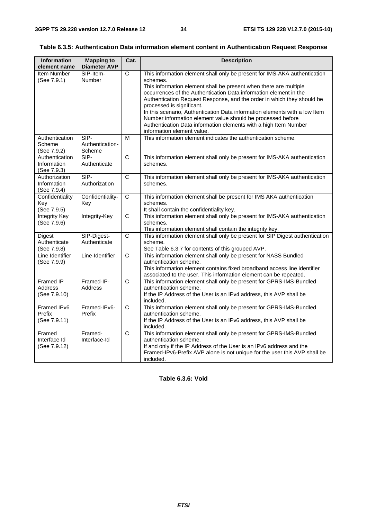#### **Table 6.3.5: Authentication Data information element content in Authentication Request Response**

| <b>Information</b><br>element name           | <b>Mapping to</b><br><b>Diameter AVP</b> | Cat.           | <b>Description</b>                                                                                                                                                                                                                                                                                                                                                                                                                                                                                                                                                                    |
|----------------------------------------------|------------------------------------------|----------------|---------------------------------------------------------------------------------------------------------------------------------------------------------------------------------------------------------------------------------------------------------------------------------------------------------------------------------------------------------------------------------------------------------------------------------------------------------------------------------------------------------------------------------------------------------------------------------------|
| Item Number<br>(See 7.9.1)                   | SIP-Item-<br>Number                      | $\mathsf{C}$   | This information element shall only be present for IMS-AKA authentication<br>schemes.<br>This information element shall be present when there are multiple<br>occurrences of the Authentication Data information element in the<br>Authentication Request Response, and the order in which they should be<br>processed is significant.<br>In this scenario, Authentication Data information elements with a low Item<br>Number information element value should be processed before<br>Authentication Data information elements with a high Item Number<br>information element value. |
| Authentication<br>Scheme<br>(See 7.9.2)      | SIP-<br>Authentication-<br>Scheme        | M              | This information element indicates the authentication scheme.                                                                                                                                                                                                                                                                                                                                                                                                                                                                                                                         |
| Authentication<br>Information<br>(See 7.9.3) | SIP-<br>Authenticate                     | $\overline{C}$ | This information element shall only be present for IMS-AKA authentication<br>schemes.                                                                                                                                                                                                                                                                                                                                                                                                                                                                                                 |
| Authorization<br>Information<br>(See 7.9.4)  | SIP-<br>Authorization                    | $\overline{C}$ | This information element shall only be present for IMS-AKA authentication<br>schemes.                                                                                                                                                                                                                                                                                                                                                                                                                                                                                                 |
| Confidentiality<br>Key<br>(See 7.9.5)        | Confidentiality-<br>Key                  | $\overline{C}$ | This information element shall be present for IMS AKA authentication<br>schemes.<br>It shall contain the confidentiality key.                                                                                                                                                                                                                                                                                                                                                                                                                                                         |
| Integrity Key<br>(See 7.9.6)                 | Integrity-Key                            | $\mathsf{C}$   | This information element shall only be present for IMS-AKA authentication<br>schemes.<br>This information element shall contain the integrity key.                                                                                                                                                                                                                                                                                                                                                                                                                                    |
| Digest<br>Authenticate<br>(See 7.9.8)        | SIP-Digest-<br>Authenticate              | C              | This information element shall only be present for SIP Digest authentication<br>scheme.<br>See Table 6.3.7 for contents of this grouped AVP.                                                                                                                                                                                                                                                                                                                                                                                                                                          |
| Line Identifier<br>(See 7.9.9)               | Line-Identifier                          | $\overline{C}$ | This information element shall only be present for NASS Bundled<br>authentication scheme.<br>This information element contains fixed broadband access line identifier<br>associated to the user. This information element can be repeated.                                                                                                                                                                                                                                                                                                                                            |
| Framed IP<br>Address<br>(See 7.9.10)         | Framed-IP-<br>Address                    | C              | This information element shall only be present for GPRS-IMS-Bundled<br>authentication scheme.<br>If the IP Address of the User is an IPv4 address, this AVP shall be<br>included.                                                                                                                                                                                                                                                                                                                                                                                                     |
| Framed IPv6<br>Prefix<br>(See 7.9.11)        | Framed-IPv6-<br>Prefix                   | $\mathsf{C}$   | This information element shall only be present for GPRS-IMS-Bundled<br>authentication scheme.<br>If the IP Address of the User is an IPv6 address, this AVP shall be<br>included.                                                                                                                                                                                                                                                                                                                                                                                                     |
| Framed<br>Interface Id<br>(See 7.9.12)       | Framed-<br>Interface-Id                  | $\overline{C}$ | This information element shall only be present for GPRS-IMS-Bundled<br>authentication scheme.<br>If and only if the IP Address of the User is an IPv6 address and the<br>Framed-IPv6-Prefix AVP alone is not unique for the user this AVP shall be<br>included.                                                                                                                                                                                                                                                                                                                       |

**Table 6.3.6: Void**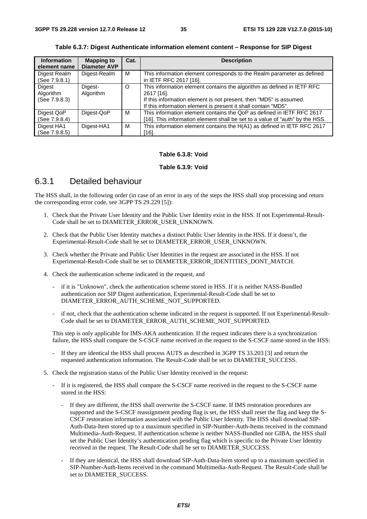| <b>Information</b><br>element name   | <b>Mapping to</b><br><b>Diameter AVP</b> | Cat. | <b>Description</b>                                                                                                                                                                                                           |
|--------------------------------------|------------------------------------------|------|------------------------------------------------------------------------------------------------------------------------------------------------------------------------------------------------------------------------------|
| Digest Realm<br>(See 7.9.8.1)        | Digest-Realm                             | м    | This information element corresponds to the Realm parameter as defined<br>in IETF RFC 2617 [16].                                                                                                                             |
| Digest<br>Algorithm<br>(See 7.9.8.3) | Digest-<br>Algorithm                     | O    | This information element contains the algorithm as defined in IETF RFC<br>2617 [16].<br>If this information element is not present, then "MD5" is assumed.<br>If this information element is present it shall contain "MD5". |
| Digest QoP<br>(See 7.9.8.4)          | Digest-QoP                               | м    | This information element contains the QoP as defined in IETF RFC 2617<br>[16]. This information element shall be set to a value of "auth" by the HSS.                                                                        |
| Digest HA1<br>(See 7.9.8.5)          | Digest-HA1                               | м    | This information element contains the H(A1) as defined in IETF RFC 2617<br>[16].                                                                                                                                             |

**Table 6.3.7: Digest Authenticate information element content – Response for SIP Digest** 

#### **Table 6.3.8: Void**

#### **Table 6.3.9: Void**

### 6.3.1 Detailed behaviour

The HSS shall, in the following order (in case of an error in any of the steps the HSS shall stop processing and return the corresponding error code, see 3GPP TS 29.229 [5]):

- 1. Check that the Private User Identity and the Public User Identity exist in the HSS. If not Experimental-Result-Code shall be set to DIAMETER\_ERROR\_USER\_UNKNOWN.
- 2. Check that the Public User Identity matches a distinct Public User Identity in the HSS. If it doesn't, the Experimental-Result-Code shall be set to DIAMETER\_ERROR\_USER\_UNKNOWN.
- 3. Check whether the Private and Public User Identities in the request are associated in the HSS. If not Experimental-Result-Code shall be set to DIAMETER\_ERROR\_IDENTITIES\_DONT\_MATCH.
- 4. Check the authentication scheme indicated in the request, and
	- if it is "Unknown", check the authentication scheme stored in HSS. If it is neither NASS-Bundled authentication nor SIP Digest authentication, Experimental-Result-Code shall be set to DIAMETER\_ERROR\_AUTH\_SCHEME\_NOT\_SUPPORTED.
	- if not, check that the authentication scheme indicated in the request is supported. If not Experimental-Result-Code shall be set to DIAMETER\_ERROR\_AUTH\_SCHEME\_NOT\_SUPPORTED.

 This step is only applicable for IMS-AKA authentication. If the request indicates there is a synchronization failure, the HSS shall compare the S-CSCF name received in the request to the S-CSCF name stored in the HSS:

- If they are identical the HSS shall process AUTS as described in 3GPP TS 33.203 [3] and return the requested authentication information. The Result-Code shall be set to DIAMETER\_SUCCESS.
- 5. Check the registration status of the Public User Identity received in the request:
	- If it is registered, the HSS shall compare the S-CSCF name received in the request to the S-CSCF name stored in the HSS:
		- If they are different, the HSS shall overwrite the S-CSCF name. If IMS restoration procedures are supported and the S-CSCF reassignment pending flag is set, the HSS shall reset the flag and keep the S-CSCF restoration information associated with the Public User Identity. The HSS shall download SIP-Auth-Data-Item stored up to a maximum specified in SIP-Number-Auth-Items received in the command Multimedia-Auth-Request. If authentication scheme is neither NASS-Bundled nor GIBA, the HSS shall set the Public User Identity's authentication pending flag which is specific to the Private User Identity received in the request. The Result-Code shall be set to DIAMETER\_SUCCESS.
		- If they are identical, the HSS shall download SIP-Auth-Data-Item stored up to a maximum specified in SIP-Number-Auth-Items received in the command Multimedia-Auth-Request. The Result-Code shall be set to DIAMETER\_SUCCESS.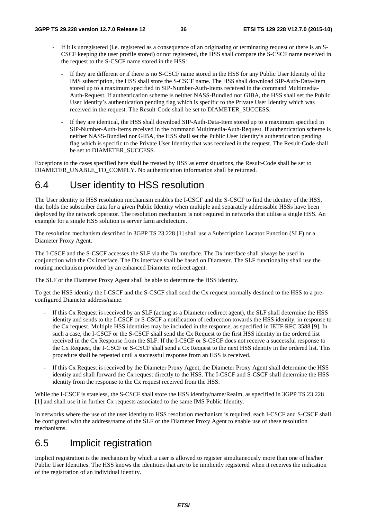- If it is unregistered (i.e. registered as a consequence of an originating or terminating request or there is an S-CSCF keeping the user profile stored) or not registered, the HSS shall compare the S-CSCF name received in the request to the S-CSCF name stored in the HSS:
	- If they are different or if there is no S-CSCF name stored in the HSS for any Public User Identity of the IMS subscription, the HSS shall store the S-CSCF name. The HSS shall download SIP-Auth-Data-Item stored up to a maximum specified in SIP-Number-Auth-Items received in the command Multimedia-Auth-Request. If authentication scheme is neither NASS-Bundled nor GIBA, the HSS shall set the Public User Identity's authentication pending flag which is specific to the Private User Identity which was received in the request. The Result-Code shall be set to DIAMETER\_SUCCESS.
	- If they are identical, the HSS shall download SIP-Auth-Data-Item stored up to a maximum specified in SIP-Number-Auth-Items received in the command Multimedia-Auth-Request. If authentication scheme is neither NASS-Bundled nor GIBA, the HSS shall set the Public User Identity's authentication pending flag which is specific to the Private User Identity that was received in the request. The Result-Code shall be set to DIAMETER\_SUCCESS.

Exceptions to the cases specified here shall be treated by HSS as error situations, the Result-Code shall be set to DIAMETER\_UNABLE\_TO\_COMPLY. No authentication information shall be returned.

### 6.4 User identity to HSS resolution

The User identity to HSS resolution mechanism enables the I-CSCF and the S-CSCF to find the identity of the HSS, that holds the subscriber data for a given Public Identity when multiple and separately addressable HSSs have been deployed by the network operator. The resolution mechanism is not required in networks that utilise a single HSS. An example for a single HSS solution is server farm architecture.

The resolution mechanism described in 3GPP TS 23.228 [1] shall use a Subscription Locator Function (SLF) or a Diameter Proxy Agent.

The I-CSCF and the S-CSCF accesses the SLF via the Dx interface. The Dx interface shall always be used in conjunction with the Cx interface. The Dx interface shall be based on Diameter. The SLF functionality shall use the routing mechanism provided by an enhanced Diameter redirect agent.

The SLF or the Diameter Proxy Agent shall be able to determine the HSS identity.

To get the HSS identity the I-CSCF and the S-CSCF shall send the Cx request normally destined to the HSS to a preconfigured Diameter address/name.

- If this Cx Request is received by an SLF (acting as a Diameter redirect agent), the SLF shall determine the HSS identity and sends to the I-CSCF or S-CSCF a notification of redirection towards the HSS identity, in response to the Cx request. Multiple HSS identities may be included in the response, as specified in IETF RFC 3588 [9]. In such a case, the I-CSCF or the S-CSCF shall send the Cx Request to the first HSS identity in the ordered list received in the Cx Response from the SLF. If the I-CSCF or S-CSCF does not receive a successful response to the Cx Request, the I-CSCF or S-CSCF shall send a Cx Request to the next HSS identity in the ordered list. This procedure shall be repeated until a successful response from an HSS is received.
- If this Cx Request is received by the Diameter Proxy Agent, the Diameter Proxy Agent shall determine the HSS identity and shall forward the Cx request directly to the HSS. The I-CSCF and S-CSCF shall determine the HSS identity from the response to the Cx request received from the HSS.

While the I-CSCF is stateless, the S-CSCF shall store the HSS identity/name/Realm, as specified in 3GPP TS 23.228 [1] and shall use it in further Cx requests associated to the same IMS Public Identity.

In networks where the use of the user identity to HSS resolution mechanism is required, each I-CSCF and S-CSCF shall be configured with the address/name of the SLF or the Diameter Proxy Agent to enable use of these resolution mechanisms.

### 6.5 Implicit registration

Implicit registration is the mechanism by which a user is allowed to register simultaneously more than one of his/her Public User Identities. The HSS knows the identities that are to be implicitly registered when it receives the indication of the registration of an individual identity.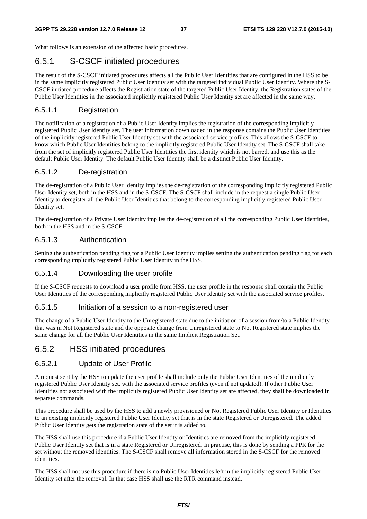What follows is an extension of the affected basic procedures.

#### 6.5.1 S-CSCF initiated procedures

The result of the S-CSCF initiated procedures affects all the Public User Identities that are configured in the HSS to be in the same implicitly registered Public User Identity set with the targeted individual Public User Identity. Where the S-CSCF initiated procedure affects the Registration state of the targeted Public User Identity, the Registration states of the Public User Identities in the associated implicitly registered Public User Identity set are affected in the same way.

#### 6.5.1.1 Registration

The notification of a registration of a Public User Identity implies the registration of the corresponding implicitly registered Public User Identity set. The user information downloaded in the response contains the Public User Identities of the implicitly registered Public User Identity set with the associated service profiles. This allows the S-CSCF to know which Public User Identities belong to the implicitly registered Public User Identity set. The S-CSCF shall take from the set of implicitly registered Public User Identities the first identity which is not barred, and use this as the default Public User Identity. The default Public User Identity shall be a distinct Public User Identity.

#### 6.5.1.2 De-registration

The de-registration of a Public User Identity implies the de-registration of the corresponding implicitly registered Public User Identity set, both in the HSS and in the S-CSCF. The S-CSCF shall include in the request a single Public User Identity to deregister all the Public User Identities that belong to the corresponding implicitly registered Public User Identity set.

The de-registration of a Private User Identity implies the de-registration of all the corresponding Public User Identities, both in the HSS and in the S-CSCF.

#### 6.5.1.3 Authentication

Setting the authentication pending flag for a Public User Identity implies setting the authentication pending flag for each corresponding implicitly registered Public User Identity in the HSS.

#### 6.5.1.4 Downloading the user profile

If the S-CSCF requests to download a user profile from HSS, the user profile in the response shall contain the Public User Identities of the corresponding implicitly registered Public User Identity set with the associated service profiles.

#### 6.5.1.5 Initiation of a session to a non-registered user

The change of a Public User Identity to the Unregistered state due to the initiation of a session from/to a Public Identity that was in Not Registered state and the opposite change from Unregistered state to Not Registered state implies the same change for all the Public User Identities in the same Implicit Registration Set.

#### 6.5.2 HSS initiated procedures

#### 6.5.2.1 Update of User Profile

A request sent by the HSS to update the user profile shall include only the Public User Identities of the implicitly registered Public User Identity set, with the associated service profiles (even if not updated). If other Public User Identities not associated with the implicitly registered Public User Identity set are affected, they shall be downloaded in separate commands.

This procedure shall be used by the HSS to add a newly provisioned or Not Registered Public User Identity or Identities to an existing implicitly registered Public User Identity set that is in the state Registered or Unregistered. The added Public User Identity gets the registration state of the set it is added to.

The HSS shall use this procedure if a Public User Identity or Identities are removed from the implicitly registered Public User Identity set that is in a state Registered or Unregistered. In practise, this is done by sending a PPR for the set without the removed identities. The S-CSCF shall remove all information stored in the S-CSCF for the removed identities.

The HSS shall not use this procedure if there is no Public User Identities left in the implicitly registered Public User Identity set after the removal. In that case HSS shall use the RTR command instead.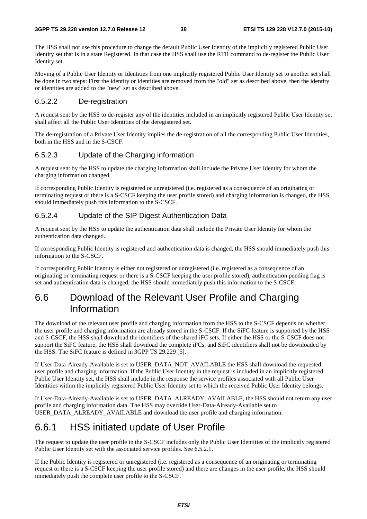The HSS shall not use this procedure to change the default Public User Identity of the implicitly registered Public User Identity set that is in a state Registered. In that case the HSS shall use the RTR command to de-register the Public User Identity set.

Moving of a Public User Identity or Identities from one implicitly registered Public User Identity set to another set shall be done in two steps: First the identity or identities are removed from the "old" set as described above, then the identity or identities are added to the "new" set as described above.

#### 6.5.2.2 De-registration

A request sent by the HSS to de-register any of the identities included in an implicitly registered Public User Identity set shall affect all the Public User Identities of the deregistered set.

The de-registration of a Private User Identity implies the de-registration of all the corresponding Public User Identities, both in the HSS and in the S-CSCF.

#### 6.5.2.3 Update of the Charging information

A request sent by the HSS to update the charging information shall include the Private User Identity for whom the charging information changed.

If corresponding Public Identity is registered or unregistered (i.e. registered as a consequence of an originating or terminating request or there is a S-CSCF keeping the user profile stored) and charging information is changed, the HSS should immediately push this information to the S-CSCF.

#### 6.5.2.4 Update of the SIP Digest Authentication Data

A request sent by the HSS to update the authentication data shall include the Private User Identity for whom the authentication data changed.

If corresponding Public Identity is registered and authentication data is changed, the HSS should immediately push this information to the S-CSCF.

If corresponding Public Identity is either not registered or unregistered (i.e. registered as a consequence of an originating or terminating request or there is a S-CSCF keeping the user profile stored), authentication pending flag is set and authentication data is changed, the HSS should immediately push this information to the S-CSCF.

## 6.6 Download of the Relevant User Profile and Charging Information

The download of the relevant user profile and charging information from the HSS to the S-CSCF depends on whether the user profile and charging information are already stored in the S-CSCF. If the SiFC feature is supported by the HSS and S-CSCF, the HSS shall download the identifiers of the shared iFC sets. If either the HSS or the S-CSCF does not support the SiFC feature, the HSS shall download the complete iFCs, and SiFC identifiers shall not be downloaded by the HSS. The SiFC feature is defined in 3GPP TS 29.229 [5].

If User-Data-Already-Available is set to USER\_DATA\_NOT\_AVAILABLE the HSS shall download the requested user profile and charging information. If the Public User Identity in the request is included in an implicitly registered Public User Identity set, the HSS shall include in the response the service profiles associated with all Public User Identities within the implicitly registered Public User Identity set to which the received Public User Identity belongs.

If User-Data-Already-Available is set to USER\_DATA\_ALREADY\_AVAILABLE, the HSS should not return any user profile and charging information data. The HSS may override User-Data-Already-Available set to USER\_DATA\_ALREADY\_AVAILABLE and download the user profile and charging information.

### 6.6.1 HSS initiated update of User Profile

The request to update the user profile in the S-CSCF includes only the Public User Identities of the implicitly registered Public User Identity set with the associated service profiles. See 6.5.2.1.

If the Public Identity is registered or unregistered (i.e. registered as a consequence of an originating or terminating request or there is a S-CSCF keeping the user profile stored) and there are changes in the user profile, the HSS should immediately push the complete user profile to the S-CSCF.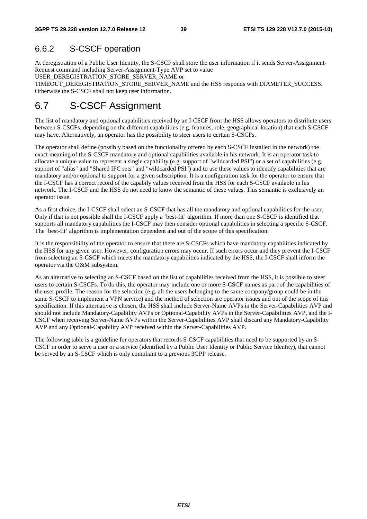#### 6.6.2 S-CSCF operation

At deregistration of a Public User Identity, the S-CSCF shall store the user information if it sends Server-Assignment-Request command including Server-Assignment-Type AVP set to value

USER\_DEREGISTRATION\_STORE\_SERVER\_NAME or

TIMEOUT\_DEREGISTRATION\_STORE\_SERVER\_NAME and the HSS responds with DIAMETER\_SUCCESS. Otherwise the S-CSCF shall not keep user information.

## 6.7 S-CSCF Assignment

The list of mandatory and optional capabilities received by an I-CSCF from the HSS allows operators to distribute users between S-CSCFs, depending on the different capabilities (e.g. features, role, geographical location) that each S-CSCF may have. Alternatively, an operator has the possibility to steer users to certain S-CSCFs.

The operator shall define (possibly based on the functionality offered by each S-CSCF installed in the network) the exact meaning of the S-CSCF mandatory and optional capabilities available in his network. It is an operator task to allocate a unique value to represent a single capability (e.g. support of "wildcarded PSI") or a set of capabilities (e.g. support of "alias" and "Shared IFC sets" and "wildcarded PSI") and to use these values to identify capabilities that are mandatory and/or optional to support for a given subscription. It is a configuration task for the operator to ensure that the I-CSCF has a correct record of the capabily values received from the HSS for each S-CSCF available in his network. The I-CSCF and the HSS do not need to know the semantic of these values. This semantic is exclusively an operator issue.

As a first choice, the I-CSCF shall select an S-CSCF that has all the mandatory and optional capabilities for the user. Only if that is not possible shall the I-CSCF apply a 'best-fit' algorithm. If more than one S-CSCF is identified that supports all mandatory capabilities the I-CSCF may then consider optional capabilities in selecting a specific S-CSCF. The 'best-fit' algorithm is implementation dependent and out of the scope of this specification.

It is the responsibility of the operator to ensure that there are S-CSCFs which have mandatory capabilities indicated by the HSS for any given user. However, configuration errors may occur. If such errors occur and they prevent the I-CSCF from selecting an S-CSCF which meets the mandatory capabilities indicated by the HSS, the I-CSCF shall inform the operator via the O&M subsystem.

As an alternative to selecting an S-CSCF based on the list of capabilities received from the HSS, it is possible to steer users to certain S-CSCFs. To do this, the operator may include one or more S-CSCF names as part of the capabilities of the user profile. The reason for the selection (e.g. all the users belonging to the same company/group could be in the same S-CSCF to implement a VPN service) and the method of selection are operator issues and out of the scope of this specification. If this alternative is chosen, the HSS shall include Server-Name AVPs in the Server-Capabilities AVP and should not include Mandatory-Capability AVPs or Optional-Capability AVPs in the Server-Capabilities AVP, and the I-CSCF when receiving Server-Name AVPs within the Server-Capabilities AVP shall discard any Mandatory-Capability AVP and any Optional-Capability AVP received within the Server-Capabilities AVP.

The following table is a guideline for operators that records S-CSCF capabilities that need to be supported by an S-CSCF in order to serve a user or a service (identified by a Public User Identity or Public Service Identity), that cannot be served by an S-CSCF which is only compliant to a previous 3GPP release.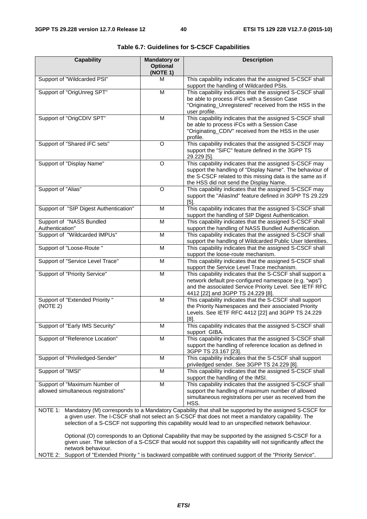| <b>Capability</b>                                                    | <b>Mandatory or</b><br><b>Optional</b><br>(NOTE 1) | <b>Description</b>                                                                                                                                                                                                                                                                                                   |
|----------------------------------------------------------------------|----------------------------------------------------|----------------------------------------------------------------------------------------------------------------------------------------------------------------------------------------------------------------------------------------------------------------------------------------------------------------------|
| Support of "Wildcarded PSI"                                          | м                                                  | This capability indicates that the assigned S-CSCF shall<br>support the handling of Wildcarded PSIs.                                                                                                                                                                                                                 |
| Support of "OrigUnreg SPT"                                           | M                                                  | This capability indicates that the assigned S-CSCF shall<br>be able to process iFCs with a Session Case<br>"Originating_Unregistered" received from the HSS in the<br>user profile.                                                                                                                                  |
| Support of "OrigCDIV SPT"                                            | M                                                  | This capability indicates that the assigned S-CSCF shall<br>be able to process iFCs with a Session Case<br>"Originating_CDIV" received from the HSS in the user<br>profile.                                                                                                                                          |
| Support of "Shared iFC sets"                                         | $\Omega$                                           | This capability indicates that the assigned S-CSCF may<br>support the "SiFC" feature defined in the 3GPP TS<br>29.229 [5].                                                                                                                                                                                           |
| Support of "Display Name"                                            | O                                                  | This capability indicates that the assigned S-CSCF may<br>support the handling of "Display Name". The behaviour of<br>the S-CSCF related to this missing data is the same as if<br>the HSS did not send the Display Name.                                                                                            |
| Support of "Alias"                                                   | O                                                  | This capability indicates that the assigned S-CSCF may<br>support the "AliasInd" feature defined in 3GPP TS 29.229<br>[5]                                                                                                                                                                                            |
| Support of "SIP Digest Authentication"                               | M                                                  | This capability indicates that the assigned S-CSCF shall<br>support the handling of SIP Digest Authentication.                                                                                                                                                                                                       |
| Support of "NASS Bundled<br>Authentication"                          | M                                                  | This capability indicates that the assigned S-CSCF shall<br>support the handling of NASS Bundled Authentication.                                                                                                                                                                                                     |
| Support of "Wildcarded IMPUs"                                        | M                                                  | This capability indicates that the assigned S-CSCF shall<br>support the handling of Wildcarded Public User Identities.                                                                                                                                                                                               |
| Support of "Loose-Route "                                            | M                                                  | This capability indicates that the assigned S-CSCF shall<br>support the loose-route mechanism.                                                                                                                                                                                                                       |
| Support of "Service Level Trace"                                     | M                                                  | This capability indicates that the assigned S-CSCF shall<br>support the Service Level Trace mechanism.                                                                                                                                                                                                               |
| Support of "Priority Service"                                        | M                                                  | This capability indicates that the S-CSCF shall support a<br>network default pre-configured namespace (e.g. "wps")<br>and the associated Service Priority Level. See IETF RFC<br>4412 [22] and 3GPP TS 24.229 [8].                                                                                                   |
| <b>Support of "Extended Priority"</b><br>(NOTE 2)                    | M                                                  | This capability indicates that the S-CSCF shall support<br>the Priority Namespaces and their associated Priority<br>Levels. See IETF RFC 4412 [22] and 3GPP TS 24.229<br>$[8]$ .                                                                                                                                     |
| Support of "Early IMS Security"                                      | M                                                  | This capability indicates that the assigned S-CSCF shall<br>support GIBA.                                                                                                                                                                                                                                            |
| Support of "Reference Location"                                      | M                                                  | This capability indicates that the assigned S-CSCF shall<br>support the handling of reference location as defined in<br>3GPP TS 23.167 [23].                                                                                                                                                                         |
| Support of "Priviledged-Sender"                                      | M                                                  | This capability indicates that the S-CSCF shall support<br>priviledged sender. See 3GPP TS 24.229 [8].                                                                                                                                                                                                               |
| Support of "IMSI"                                                    | M                                                  | This capability indicates that the assigned S-CSCF shall<br>support the handling of the IMSI.                                                                                                                                                                                                                        |
| Support of "Maximum Number of<br>allowed simultaneous registrations" | M                                                  | This capability indicates that the assigned S-CSCF shall<br>support the handling of maximum number of allowed<br>simultaneous registrations per user as received from the<br>HSS.                                                                                                                                    |
| NOTE 1:                                                              |                                                    | Mandatory (M) corresponds to a Mandatory Capability that shall be supported by the assigned S-CSCF for<br>a given user. The I-CSCF shall not select an S-CSCF that does not meet a mandatory capability. The<br>selection of a S-CSCF not supporting this capability would lead to an unspecified network behaviour. |
| network behaviour.                                                   |                                                    | Optional (O) corresponds to an Optional Capability that may be supported by the assigned S-CSCF for a<br>given user. The selection of a S-CSCF that would not support this capability will not significantly affect the                                                                                              |
| NOTE 2:                                                              |                                                    | Support of "Extended Priority" is backward compatible with continued support of the "Priority Service".                                                                                                                                                                                                              |

**Table 6.7: Guidelines for S-CSCF Capabilities**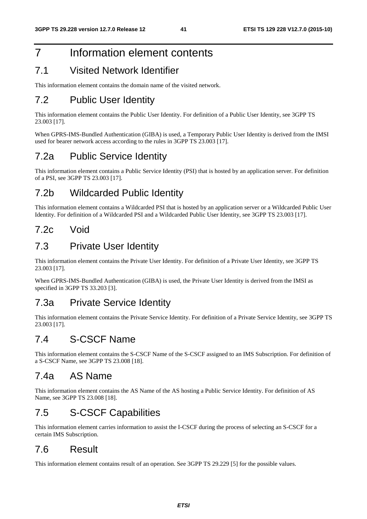# 7 Information element contents

## 7.1 Visited Network Identifier

This information element contains the domain name of the visited network.

## 7.2 Public User Identity

This information element contains the Public User Identity. For definition of a Public User Identity, see 3GPP TS 23.003 [17].

When GPRS-IMS-Bundled Authentication (GIBA) is used, a Temporary Public User Identity is derived from the IMSI used for bearer network access according to the rules in 3GPP TS 23.003 [17].

## 7.2a Public Service Identity

This information element contains a Public Service Identity (PSI) that is hosted by an application server. For definition of a PSI, see 3GPP TS 23.003 [17].

### 7.2b Wildcarded Public Identity

This information element contains a Wildcarded PSI that is hosted by an application server or a Wildcarded Public User Identity. For definition of a Wildcarded PSI and a Wildcarded Public User Identity, see 3GPP TS 23.003 [17].

### 7.2c Void

#### 7.3 Private User Identity

This information element contains the Private User Identity. For definition of a Private User Identity, see 3GPP TS 23.003 [17].

When GPRS-IMS-Bundled Authentication (GIBA) is used, the Private User Identity is derived from the IMSI as specified in 3GPP TS 33.203 [3].

### 7.3a Private Service Identity

This information element contains the Private Service Identity. For definition of a Private Service Identity, see 3GPP TS 23.003 [17].

### 7.4 S-CSCF Name

This information element contains the S-CSCF Name of the S-CSCF assigned to an IMS Subscription. For definition of a S-CSCF Name, see 3GPP TS 23.008 [18].

### 7.4a AS Name

This information element contains the AS Name of the AS hosting a Public Service Identity. For definition of AS Name, see 3GPP TS 23.008 [18].

### 7.5 S-CSCF Capabilities

This information element carries information to assist the I-CSCF during the process of selecting an S-CSCF for a certain IMS Subscription.

## 7.6 Result

This information element contains result of an operation. See 3GPP TS 29.229 [5] for the possible values.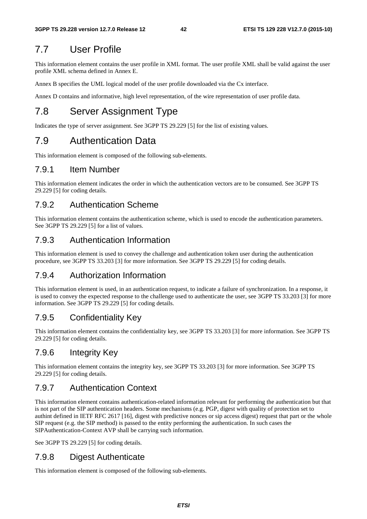## 7.7 User Profile

This information element contains the user profile in XML format. The user profile XML shall be valid against the user profile XML schema defined in Annex E.

Annex B specifies the UML logical model of the user profile downloaded via the Cx interface.

Annex D contains and informative, high level representation, of the wire representation of user profile data.

# 7.8 Server Assignment Type

Indicates the type of server assignment. See 3GPP TS 29.229 [5] for the list of existing values.

## 7.9 Authentication Data

This information element is composed of the following sub-elements.

#### 7.9.1 Item Number

This information element indicates the order in which the authentication vectors are to be consumed. See 3GPP TS 29.229 [5] for coding details.

#### 7.9.2 Authentication Scheme

This information element contains the authentication scheme, which is used to encode the authentication parameters. See 3GPP TS 29.229 [5] for a list of values.

#### 7.9.3 Authentication Information

This information element is used to convey the challenge and authentication token user during the authentication procedure, see 3GPP TS 33.203 [3] for more information. See 3GPP TS 29.229 [5] for coding details.

#### 7.9.4 Authorization Information

This information element is used, in an authentication request, to indicate a failure of synchronization. In a response, it is used to convey the expected response to the challenge used to authenticate the user, see 3GPP TS 33.203 [3] for more information. See 3GPP TS 29.229 [5] for coding details.

### 7.9.5 Confidentiality Key

This information element contains the confidentiality key, see 3GPP TS 33.203 [3] for more information. See 3GPP TS 29.229 [5] for coding details.

#### 7.9.6 Integrity Key

This information element contains the integrity key, see 3GPP TS 33.203 [3] for more information. See 3GPP TS 29.229 [5] for coding details.

#### 7.9.7 Authentication Context

This information element contains authentication-related information relevant for performing the authentication but that is not part of the SIP authentication headers. Some mechanisms (e.g. PGP, digest with quality of protection set to authint defined in IETF RFC 2617 [16], digest with predictive nonces or sip access digest) request that part or the whole SIP request (e.g. the SIP method) is passed to the entity performing the authentication. In such cases the SIPAuthentication-Context AVP shall be carrying such information.

See 3GPP TS 29.229 [5] for coding details.

#### 7.9.8 Digest Authenticate

This information element is composed of the following sub-elements.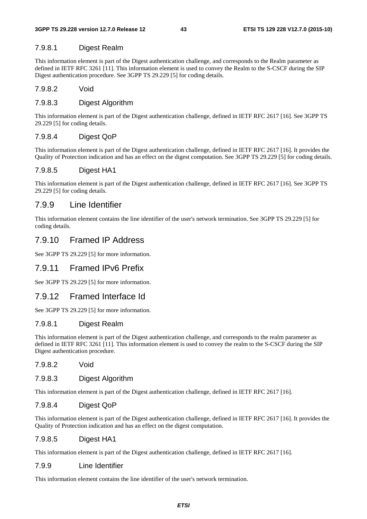#### 7.9.8.1 Digest Realm

This information element is part of the Digest authentication challenge, and corresponds to the Realm parameter as defined in IETF RFC 3261 [11]. This information element is used to convey the Realm to the S-CSCF during the SIP Digest authentication procedure. See 3GPP TS 29.229 [5] for coding details.

#### 7.9.8.2 Void

#### 7.9.8.3 Digest Algorithm

This information element is part of the Digest authentication challenge, defined in IETF RFC 2617 [16]. See 3GPP TS 29.229 [5] for coding details.

#### 7.9.8.4 Digest QoP

This information element is part of the Digest authentication challenge, defined in IETF RFC 2617 [16]. It provides the Quality of Protection indication and has an effect on the digest computation. See 3GPP TS 29.229 [5] for coding details.

#### 7.9.8.5 Digest HA1

This information element is part of the Digest authentication challenge, defined in IETF RFC 2617 [16]. See 3GPP TS 29.229 [5] for coding details.

#### 7.9.9 Line Identifier

This information element contains the line identifier of the user's network termination. See 3GPP TS 29.229 [5] for coding details.

#### 7.9.10 Framed IP Address

See 3GPP TS 29.229 [5] for more information.

#### 7.9.11 Framed IPv6 Prefix

See 3GPP TS 29.229 [5] for more information.

#### 7.9.12 Framed Interface Id

See 3GPP TS 29.229 [5] for more information.

#### 7.9.8.1 Digest Realm

This information element is part of the Digest authentication challenge, and corresponds to the realm parameter as defined in IETF RFC 3261 [11]. This information element is used to convey the realm to the S-CSCF during the SIP Digest authentication procedure.

#### 7.9.8.2 Void

#### 7.9.8.3 Digest Algorithm

This information element is part of the Digest authentication challenge, defined in IETF RFC 2617 [16].

#### 7.9.8.4 Digest QoP

This information element is part of the Digest authentication challenge, defined in IETF RFC 2617 [16]. It provides the Quality of Protection indication and has an effect on the digest computation.

#### 7.9.8.5 Digest HA1

This information element is part of the Digest authentication challenge, defined in IETF RFC 2617 [16].

#### 7.9.9 Line Identifier

This information element contains the line identifier of the user's network termination.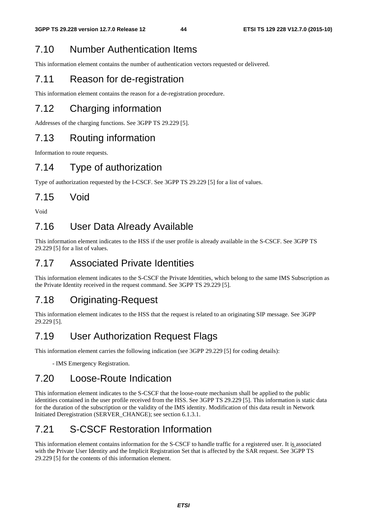## 7.10 Number Authentication Items

This information element contains the number of authentication vectors requested or delivered.

## 7.11 Reason for de-registration

This information element contains the reason for a de-registration procedure.

# 7.12 Charging information

Addresses of the charging functions. See 3GPP TS 29.229 [5].

### 7.13 Routing information

Information to route requests.

## 7.14 Type of authorization

Type of authorization requested by the I-CSCF. See 3GPP TS 29.229 [5] for a list of values.

### 7.15 Void

Void

## 7.16 User Data Already Available

This information element indicates to the HSS if the user profile is already available in the S-CSCF. See 3GPP TS 29.229 [5] for a list of values.

## 7.17 Associated Private Identities

This information element indicates to the S-CSCF the Private Identities, which belong to the same IMS Subscription as the Private Identity received in the request command. See 3GPP TS 29.229 [5].

## 7.18 Originating-Request

This information element indicates to the HSS that the request is related to an originating SIP message. See 3GPP 29.229 [5].

### 7.19 User Authorization Request Flags

This information element carries the following indication (see 3GPP 29.229 [5] for coding details):

- IMS Emergency Registration.

### 7.20 Loose-Route Indication

This information element indicates to the S-CSCF that the loose-route mechanism shall be applied to the public identities contained in the user profile received from the HSS. See 3GPP TS 29.229 [5]. This information is static data for the duration of the subscription or the validity of the IMS identity. Modification of this data result in Network Initiated Deregistration (SERVER\_CHANGE); see section 6.1.3.1.

# 7.21 S-CSCF Restoration Information

This information element contains information for the S-CSCF to handle traffic for a registered user. It is associated with the Private User Identity and the Implicit Registration Set that is affected by the SAR request. See 3GPP TS 29.229 [5] for the contents of this information element.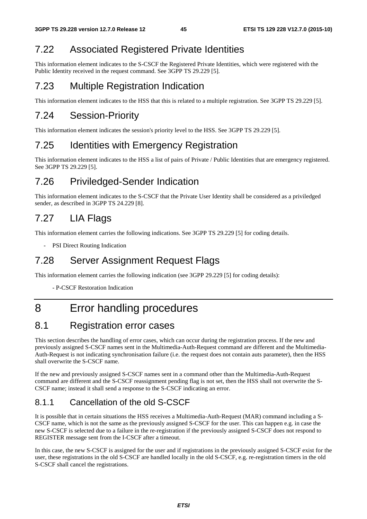## 7.22 Associated Registered Private Identities

This information element indicates to the S-CSCF the Registered Private Identities, which were registered with the Public Identity received in the request command. See 3GPP TS 29.229 [5].

## 7.23 Multiple Registration Indication

This information element indicates to the HSS that this is related to a multiple registration. See 3GPP TS 29.229 [5].

## 7.24 Session-Priority

This information element indicates the session's priority level to the HSS. See 3GPP TS 29.229 [5].

## 7.25 Identities with Emergency Registration

This information element indicates to the HSS a list of pairs of Private / Public Identities that are emergency registered. See 3GPP TS 29.229 [5].

## 7.26 Priviledged-Sender Indication

This information element indicates to the S-CSCF that the Private User Identity shall be considered as a priviledged sender, as described in 3GPP TS 24.229 [8].

# 7.27 LIA Flags

This information element carries the following indications. See 3GPP TS 29.229 [5] for coding details.

- PSI Direct Routing Indication

### 7.28 Server Assignment Request Flags

This information element carries the following indication (see 3GPP 29.229 [5] for coding details):

- P-CSCF Restoration Indication

# 8 Error handling procedures

### 8.1 Registration error cases

This section describes the handling of error cases, which can occur during the registration process. If the new and previously assigned S-CSCF names sent in the Multimedia-Auth-Request command are different and the Multimedia-Auth-Request is not indicating synchronisation failure (i.e. the request does not contain auts parameter), then the HSS shall overwrite the S-CSCF name.

If the new and previously assigned S-CSCF names sent in a command other than the Multimedia-Auth-Request command are different and the S-CSCF reassignment pending flag is not set, then the HSS shall not overwrite the S-CSCF name; instead it shall send a response to the S-CSCF indicating an error.

### 8.1.1 Cancellation of the old S-CSCF

It is possible that in certain situations the HSS receives a Multimedia-Auth-Request (MAR) command including a S-CSCF name, which is not the same as the previously assigned S-CSCF for the user. This can happen e.g. in case the new S-CSCF is selected due to a failure in the re-registration if the previously assigned S-CSCF does not respond to REGISTER message sent from the I-CSCF after a timeout.

In this case, the new S-CSCF is assigned for the user and if registrations in the previously assigned S-CSCF exist for the user, these registrations in the old S-CSCF are handled locally in the old S-CSCF, e.g. re-registration timers in the old S-CSCF shall cancel the registrations.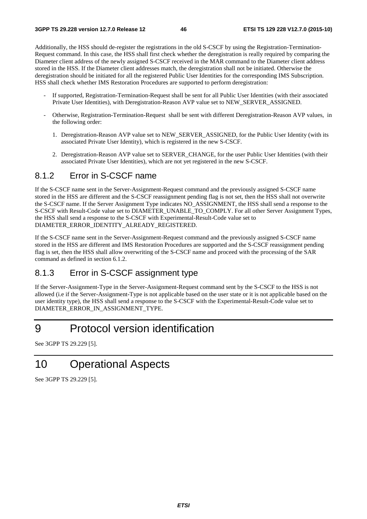Additionally, the HSS should de-register the registrations in the old S-CSCF by using the Registration-Termination-Request command. In this case, the HSS shall first check whether the deregistration is really required by comparing the Diameter client address of the newly assigned S-CSCF received in the MAR command to the Diameter client address stored in the HSS. If the Diameter client addresses match, the deregistration shall not be initiated. Otherwise the deregistration should be initiated for all the registered Public User Identities for the corresponding IMS Subscription. HSS shall check whether IMS Restoration Procedures are supported to perform deregistration:

- If supported, Registration-Termination-Request shall be sent for all Public User Identities (with their associated Private User Identities), with Deregistration-Reason AVP value set to NEW\_SERVER\_ASSIGNED.
- Otherwise, Registration-Termination-Request shall be sent with different Deregistration-Reason AVP values, in the following order:
	- 1. Deregistration-Reason AVP value set to NEW\_SERVER\_ASSIGNED, for the Public User Identity (with its associated Private User Identity), which is registered in the new S-CSCF.
	- 2. Deregistration-Reason AVP value set to SERVER\_CHANGE, for the user Public User Identities (with their associated Private User Identities), which are not yet registered in the new S-CSCF.

#### 8.1.2 Error in S-CSCF name

If the S-CSCF name sent in the Server-Assignment-Request command and the previously assigned S-CSCF name stored in the HSS are different and the S-CSCF reassignment pending flag is not set, then the HSS shall not overwrite the S-CSCF name. If the Server Assignment Type indicates NO\_ASSIGNMENT, the HSS shall send a response to the S-CSCF with Result-Code value set to DIAMETER\_UNABLE\_TO\_COMPLY. For all other Server Assignment Types, the HSS shall send a response to the S-CSCF with Experimental-Result-Code value set to DIAMETER\_ERROR\_IDENTITY\_ALREADY\_REGISTERED.

If the S-CSCF name sent in the Server-Assignment-Request command and the previously assigned S-CSCF name stored in the HSS are different and IMS Restoration Procedures are supported and the S-CSCF reassignment pending flag is set, then the HSS shall allow overwriting of the S-CSCF name and proceed with the processing of the SAR command as defined in section 6.1.2.

#### 8.1.3 Error in S-CSCF assignment type

If the Server-Assignment-Type in the Server-Assignment-Request command sent by the S-CSCF to the HSS is not allowed (i.e if the Server-Assignment-Type is not applicable based on the user state or it is not applicable based on the user identity type), the HSS shall send a response to the S-CSCF with the Experimental-Result-Code value set to DIAMETER\_ERROR\_IN\_ASSIGNMENT\_TYPE.

# 9 Protocol version identification

See 3GPP TS 29.229 [5].

# 10 Operational Aspects

See 3GPP TS 29.229 [5].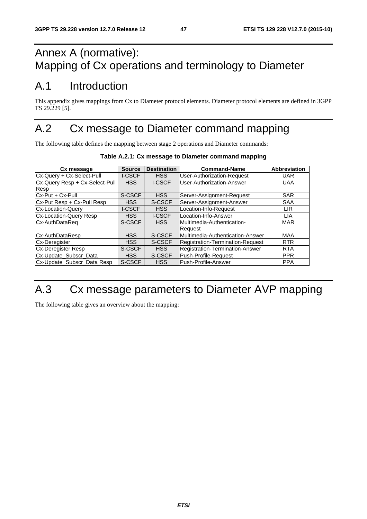# Annex A (normative): Mapping of Cx operations and terminology to Diameter

# A.1 Introduction

This appendix gives mappings from Cx to Diameter protocol elements. Diameter protocol elements are defined in 3GPP TS 29.229 [5].

# A.2 Cx message to Diameter command mapping

The following table defines the mapping between stage 2 operations and Diameter commands:

| Cx message                     | <b>Source</b> | <b>Destination</b> | <b>Command-Name</b>               | <b>Abbreviation</b> |
|--------------------------------|---------------|--------------------|-----------------------------------|---------------------|
| Cx-Query + Cx-Select-Pull      | <b>I-CSCF</b> | <b>HSS</b>         | <b>User-Authorization-Request</b> | <b>UAR</b>          |
| Cx-Query Resp + Cx-Select-Pull | <b>HSS</b>    | <b>I-CSCF</b>      | User-Authorization-Answer         | <b>UAA</b>          |
| Resp                           |               |                    |                                   |                     |
| Cx-Put + Cx-Pull               | S-CSCF        | <b>HSS</b>         | Server-Assignment-Request         | <b>SAR</b>          |
| Cx-Put Resp + Cx-Pull Resp     | <b>HSS</b>    | S-CSCF             | Server-Assignment-Answer          | <b>SAA</b>          |
| <b>Cx-Location-Query</b>       | <b>I-CSCF</b> | <b>HSS</b>         | Location-Info-Request             | <b>LIR</b>          |
| <b>Cx-Location-Query Resp</b>  | <b>HSS</b>    | <b>I-CSCF</b>      | Location-Info-Answer              | LIA                 |
| Cx-AuthDataReq                 | S-CSCF        | <b>HSS</b>         | Multimedia-Authentication-        | <b>MAR</b>          |
|                                |               |                    | Request                           |                     |
| Cx-AuthDataResp                | <b>HSS</b>    | S-CSCF             | Multimedia-Authentication-Answer  | MAA                 |
| Cx-Deregister                  | <b>HSS</b>    | S-CSCF             | Registration-Termination-Request  | <b>RTR</b>          |
| <b>Cx-Deregister Resp</b>      | S-CSCF        | <b>HSS</b>         | Registration-Termination-Answer   | <b>RTA</b>          |
| Cx-Update_Subscr_Data          | <b>HSS</b>    | S-CSCF             | Push-Profile-Request              | <b>PPR</b>          |
| Cx-Update_Subscr_Data Resp     | S-CSCF        | <b>HSS</b>         | Push-Profile-Answer               | <b>PPA</b>          |

#### **Table A.2.1: Cx message to Diameter command mapping**

# A.3 Cx message parameters to Diameter AVP mapping

The following table gives an overview about the mapping: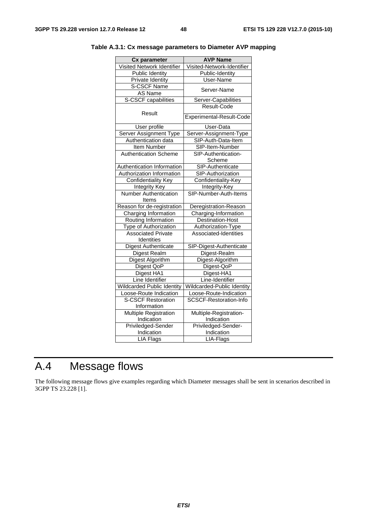| <b>Cx parameter</b>               | <b>AVP Name</b>               |
|-----------------------------------|-------------------------------|
| Visited Network Identifier        | Visited-Network-Identifier    |
| <b>Public Identity</b>            | Public-Identity               |
| Private Identity                  | User-Name                     |
| S-CSCF Name                       |                               |
| AS Name                           | Server-Name                   |
| S-CSCF capabilities               | Server-Capabilities           |
|                                   | Result-Code                   |
| Result                            | Experimental-Result-Code      |
| User profile                      | User-Data                     |
| Server Assignment Type            | Server-Assignment-Type        |
| Authentication data               | SIP-Auth-Data-Item            |
| Item Number                       | SIP-Item-Number               |
| <b>Authentication Scheme</b>      | SIP-Authentication-           |
|                                   | Scheme                        |
| Authentication Information        | SIP-Authenticate              |
| Authorization Information         | SIP-Authorization             |
| <b>Confidentiality Key</b>        | Confidentiality-Key           |
| <b>Integrity Key</b>              | Integrity-Key                 |
| <b>Number Authentication</b>      | SIP-Number-Auth-Items         |
| Items                             |                               |
| Reason for de-registration        | Deregistration-Reason         |
| Charging Information              | Charging-Information          |
| Routing Information               | Destination-Host              |
| Type of Authorization             | Authorization-Type            |
| <b>Associated Private</b>         | Associated-Identities         |
| Identities                        |                               |
| <b>Digest Authenticate</b>        | SIP-Digest-Authenticate       |
| Digest Realm                      | Digest-Realm                  |
| <b>Digest Algorithm</b>           | Digest-Algorithm              |
| Digest QoP                        | Digest-QoP                    |
| Digest HA1                        | Digest-HA1                    |
| Line Identifier                   | Line-Identifier               |
| <b>Wildcarded Public Identity</b> | Wildcarded-Public Identity    |
| Loose-Route Indication            | Loose-Route-Indication        |
| <b>S-CSCF Restoration</b>         | <b>SCSCF-Restoration-Info</b> |
| Information                       |                               |
| <b>Multiple Registration</b>      | Multiple-Registration-        |
| Indication                        | Indication                    |
| Priviledged-Sender                | Priviledged-Sender-           |
| Indication                        | Indication                    |
| <b>LIA Flags</b>                  | LIA-Flags                     |

**Table A.3.1: Cx message parameters to Diameter AVP mapping** 

# A.4 Message flows

The following message flows give examples regarding which Diameter messages shall be sent in scenarios described in 3GPP TS 23.228 [1].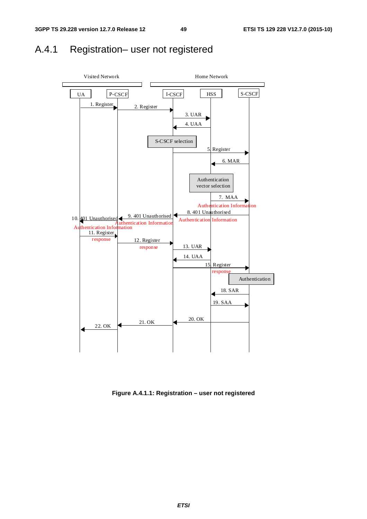## A.4.1 Registration– user not registered



**Figure A.4.1.1: Registration – user not registered**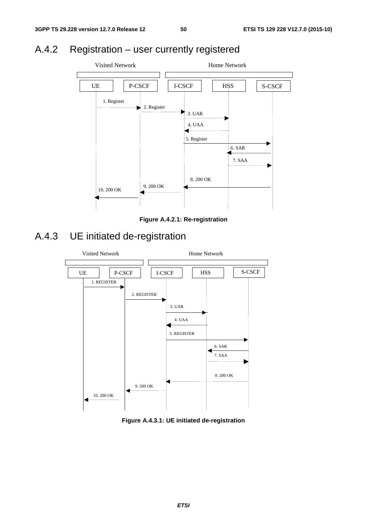# A.4.2 Registration – user currently registered



**Figure A.4.2.1: Re-registration** 

# A.4.3 UE initiated de-registration



**Figure A.4.3.1: UE initiated de-registration**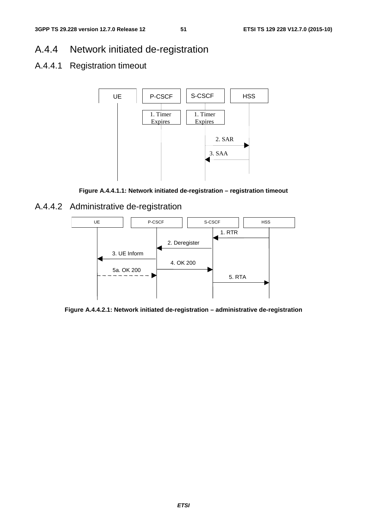### A.4.4 Network initiated de-registration

#### A.4.4.1 Registration timeout



**Figure A.4.4.1.1: Network initiated de-registration – registration timeout** 

#### A.4.4.2 Administrative de-registration



**Figure A.4.4.2.1: Network initiated de-registration – administrative de-registration**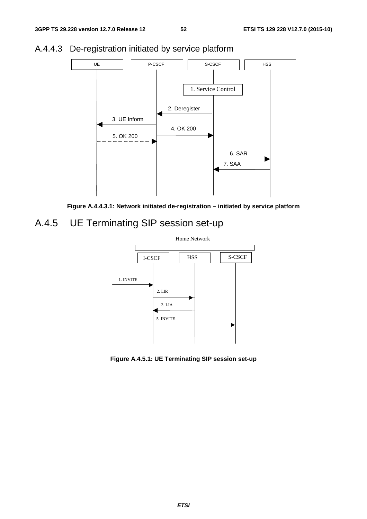

### A.4.4.3 De-registration initiated by service platform



## A.4.5 UE Terminating SIP session set-up



**Figure A.4.5.1: UE Terminating SIP session set-up**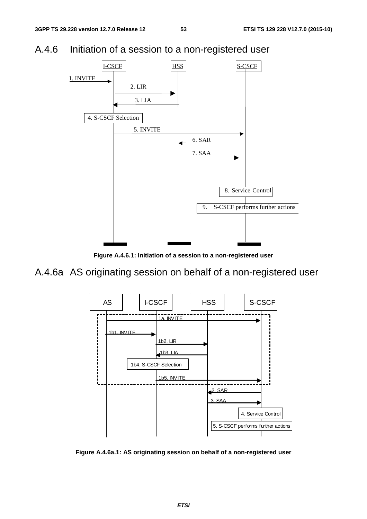### A.4.6 Initiation of a session to a non-registered user



**Figure A.4.6.1: Initiation of a session to a non-registered user** 

## A.4.6a AS originating session on behalf of a non-registered user



**Figure A.4.6a.1: AS originating session on behalf of a non-registered user**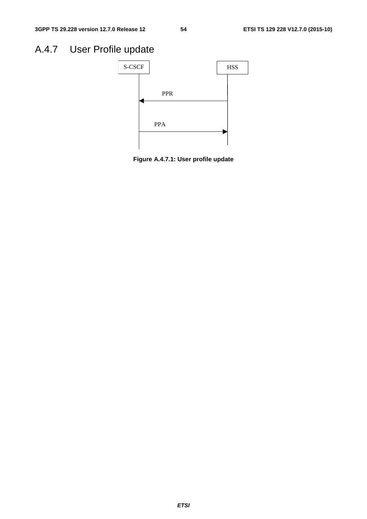# A.4.7 User Profile update



**Figure A.4.7.1: User profile update**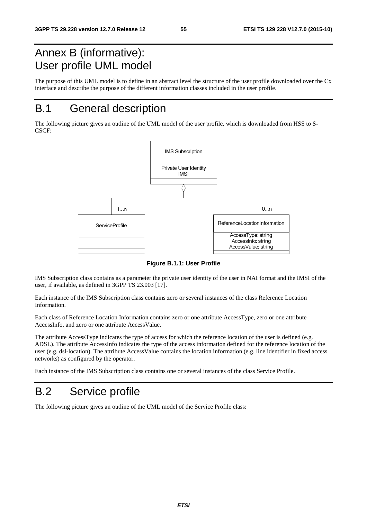# Annex B (informative): User profile UML model

The purpose of this UML model is to define in an abstract level the structure of the user profile downloaded over the Cx interface and describe the purpose of the different information classes included in the user profile.

# B.1 General description

The following picture gives an outline of the UML model of the user profile, which is downloaded from HSS to S-CSCF:



**Figure B.1.1: User Profile** 

IMS Subscription class contains as a parameter the private user identity of the user in NAI format and the IMSI of the user, if available, as defined in 3GPP TS 23.003 [17].

Each instance of the IMS Subscription class contains zero or several instances of the class Reference Location Information.

Each class of Reference Location Information contains zero or one attribute AccessType, zero or one attribute AccessInfo, and zero or one attribute AccessValue.

The attribute AccessType indicates the type of access for which the reference location of the user is defined (e.g. ADSL). The attribute AccessInfo indicates the type of the access information defined for the reference location of the user (e.g. dsl-location). The attribute AccessValue contains the location information (e.g. line identifier in fixed access networks) as configured by the operator.

Each instance of the IMS Subscription class contains one or several instances of the class Service Profile.

# B.2 Service profile

The following picture gives an outline of the UML model of the Service Profile class: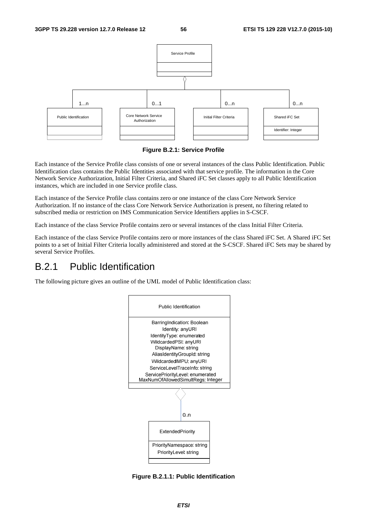

**Figure B.2.1: Service Profile** 

Each instance of the Service Profile class consists of one or several instances of the class Public Identification. Public Identification class contains the Public Identities associated with that service profile. The information in the Core Network Service Authorization, Initial Filter Criteria, and Shared iFC Set classes apply to all Public Identification instances, which are included in one Service profile class.

Each instance of the Service Profile class contains zero or one instance of the class Core Network Service Authorization. If no instance of the class Core Network Service Authorization is present, no filtering related to subscribed media or restriction on IMS Communication Service Identifiers applies in S-CSCF.

Each instance of the class Service Profile contains zero or several instances of the class Initial Filter Criteria.

Each instance of the class Service Profile contains zero or more instances of the class Shared iFC Set. A Shared iFC Set points to a set of Initial Filter Criteria locally administered and stored at the S-CSCF. Shared iFC Sets may be shared by several Service Profiles.

#### B.2.1 Public Identification

The following picture gives an outline of the UML model of Public Identification class:



**Figure B.2.1.1: Public Identification**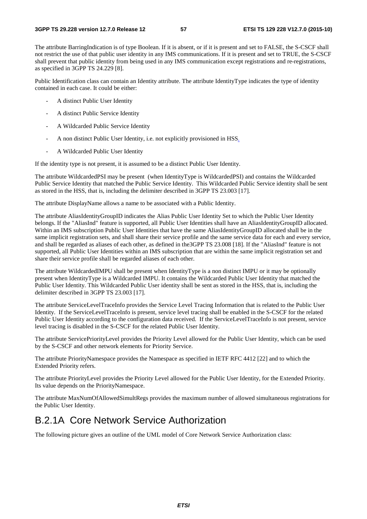The attribute BarringIndication is of type Boolean. If it is absent, or if it is present and set to FALSE, the S-CSCF shall not restrict the use of that public user identity in any IMS communications. If it is present and set to TRUE, the S-CSCF shall prevent that public identity from being used in any IMS communication except registrations and re-registrations, as specified in 3GPP TS 24.229 [8].

Public Identification class can contain an Identity attribute. The attribute IdentityType indicates the type of identity contained in each case. It could be either:

- A distinct Public User Identity
- A distinct Public Service Identity
- A Wildcarded Public Service Identity
- A non distinct Public User Identity, i.e. not explicitly provisioned in HSS.
- A Wildcarded Public User Identity

If the identity type is not present, it is assumed to be a distinct Public User Identity.

The attribute WildcardedPSI may be present (when IdentityType is WildcardedPSI) and contains the Wildcarded Public Service Identity that matched the Public Service Identity. This Wildcarded Public Service identity shall be sent as stored in the HSS, that is, including the delimiter described in 3GPP TS 23.003 [17].

The attribute DisplayName allows a name to be associated with a Public Identity.

The attribute AliasIdentityGroupID indicates the Alias Public User Identity Set to which the Public User Identity belongs. If the "AliasInd" feature is supported, all Public User Identities shall have an AliasIdentityGroupID allocated. Within an IMS subscription Public User Identities that have the same AliasIdentityGroupID allocated shall be in the same implicit registration sets, and shall share their service profile and the same service data for each and every service, and shall be regarded as aliases of each other, as defined in the3GPP TS 23.008 [18]. If the "AliasInd" feature is not supported, all Public User Identities within an IMS subscription that are within the same implicit registration set and share their service profile shall be regarded aliases of each other.

The attribute WildcardedIMPU shall be present when IdentityType is a non distinct IMPU or it may be optionally present when IdentityType is a Wildcarded IMPU. It contains the Wildcarded Public User Identity that matched the Public User Identity. This Wildcarded Public User identity shall be sent as stored in the HSS, that is, including the delimiter described in 3GPP TS 23.003 [17].

The attribute ServiceLevelTraceInfo provides the Service Level Tracing Information that is related to the Public User Identity. If the ServiceLevelTraceInfo is present, service level tracing shall be enabled in the S-CSCF for the related Public User Identity according to the configuration data received. If the ServiceLevelTraceInfo is not present, service level tracing is disabled in the S-CSCF for the related Public User Identity.

The attribute ServicePriorityLevel provides the Priority Level allowed for the Public User Identity, which can be used by the S-CSCF and other network elements for Priority Service.

The attribute PriorityNamespace provides the Namespace as specified in IETF RFC 4412 [22] and to which the Extended Priority refers.

The attribute PriorityLevel provides the Priority Level allowed for the Public User Identity, for the Extended Priority. Its value depends on the PriorityNamespace.

The attribute MaxNumOfAllowedSimultRegs provides the maximum number of allowed simultaneous registrations for the Public User Identity.

### B.2.1A Core Network Service Authorization

The following picture gives an outline of the UML model of Core Network Service Authorization class: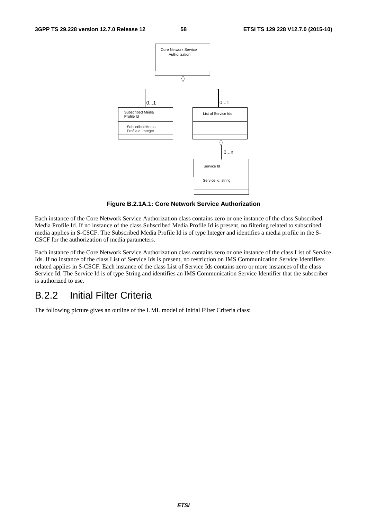

**Figure B.2.1A.1: Core Network Service Authorization** 

Each instance of the Core Network Service Authorization class contains zero or one instance of the class Subscribed Media Profile Id. If no instance of the class Subscribed Media Profile Id is present, no filtering related to subscribed media applies in S-CSCF. The Subscribed Media Profile Id is of type Integer and identifies a media profile in the S-CSCF for the authorization of media parameters.

Each instance of the Core Network Service Authorization class contains zero or one instance of the class List of Service Ids. If no instance of the class List of Service Ids is present, no restriction on IMS Communication Service Identifiers related applies in S-CSCF. Each instance of the class List of Service Ids contains zero or more instances of the class Service Id. The Service Id is of type String and identifies an IMS Communication Service Identifier that the subscriber is authorized to use.

### B.2.2 Initial Filter Criteria

The following picture gives an outline of the UML model of Initial Filter Criteria class: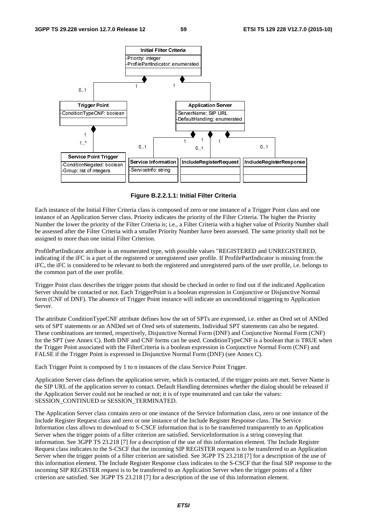

**Figure B.2.2.1.1: Initial Filter Criteria** 

Each instance of the Initial Filter Criteria class is composed of zero or one instance of a Trigger Point class and one instance of an Application Server class. Priority indicates the priority of the Filter Criteria. The higher the Priority Number the lower the priority of the Filter Criteria is; i.e., a Filter Criteria with a higher value of Priority Number shall be assessed after the Filter Criteria with a smaller Priority Number have been assessed. The same priority shall not be assigned to more than one initial Filter Criterion.

ProfilePartIndicator attribute is an enumerated type, with possible values "REGISTERED and UNREGISTERED, indicating if the iFC is a part of the registered or unregistered user profile. If ProfilePartIndicator is missing from the iFC, the iFC is considered to be relevant to both the registered and unregistered parts of the user profile, i.e. belongs to the common part of the user profile.

Trigger Point class describes the trigger points that should be checked in order to find out if the indicated Application Server should be contacted or not. Each TriggerPoint is a boolean expression in Conjunctive or Disjunctive Normal form (CNF of DNF). The absence of Trigger Point instance will indicate an unconditional triggering to Application Server.

The attribute ConditionTypeCNF attribute defines how the set of SPTs are expressed, i.e. either an Ored set of ANDed sets of SPT statements or an ANDed set of Ored sets of statements. Individual SPT statements can also be negated. These combinations are termed, respectively, Disjunctive Normal Form (DNF) and Conjunctive Normal Form (CNF) for the SPT (see Annex C). Both DNF and CNF forms can be used. ConditionTypeCNF is a boolean that is TRUE when the Trigger Point associated with the FilterCriteria is a boolean expression in Conjunctive Normal Form (CNF) and FALSE if the Trigger Point is expressed in Disjunctive Normal Form (DNF) (see Annex C).

Each Trigger Point is composed by 1 to n instances of the class Service Point Trigger.

Application Server class defines the application server, which is contacted, if the trigger points are met. Server Name is the SIP URL of the application server to contact. Default Handling determines whether the dialog should be released if the Application Server could not be reached or not; it is of type enumerated and can take the values: SESSION\_CONTINUED or SESSION\_TERMINATED.

The Application Server class contains zero or one instance of the Service Information class, zero or one instance of the Include Register Request class and zero or one instance of the Include Register Response class. The Service Information class allows to download to S-CSCF information that is to be transferred transparently to an Application Server when the trigger points of a filter criterion are satisfied. ServiceInformation is a string conveying that information. See 3GPP TS 23.218 [7] for a description of the use of this information element. The Include Register Request class indicates to the S-CSCF that the incoming SIP REGISTER request is to be transferred to an Application Server when the trigger points of a filter criterion are satisfied. See 3GPP TS 23.218 [7] for a description of the use of this information element. The Include Register Response class indicates to the S-CSCF that the final SIP response to the incoming SIP REGISTER request is to be transferred to an Application Server when the trigger points of a filter criterion are satisfied. See 3GPP TS 23.218 [7] for a description of the use of this information element.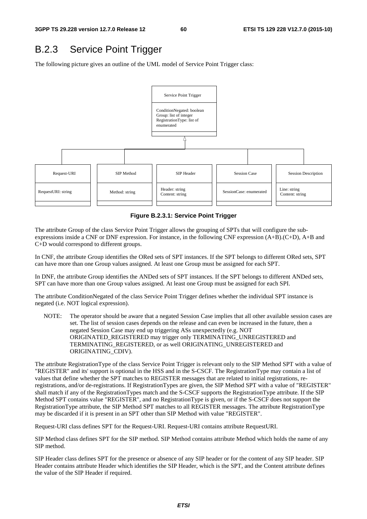### B.2.3 Service Point Trigger

The following picture gives an outline of the UML model of Service Point Trigger class:



**Figure B.2.3.1: Service Point Trigger** 

The attribute Group of the class Service Point Trigger allows the grouping of SPTs that will configure the subexpressions inside a CNF or DNF expression. For instance, in the following CNF expression (A+B).(C+D), A+B and C+D would correspond to different groups.

In CNF, the attribute Group identifies the ORed sets of SPT instances. If the SPT belongs to different ORed sets, SPT can have more than one Group values assigned. At least one Group must be assigned for each SPT.

In DNF, the attribute Group identifies the ANDed sets of SPT instances. If the SPT belongs to different ANDed sets, SPT can have more than one Group values assigned. At least one Group must be assigned for each SPI.

The attribute ConditionNegated of the class Service Point Trigger defines whether the individual SPT instance is negated (i.e. NOT logical expression).

NOTE: The operator should be aware that a negated Session Case implies that all other available session cases are set. The list of session cases depends on the release and can even be increased in the future, then a negated Session Case may end up triggering ASs unexpectedly (e.g. NOT ORIGINATED\_REGISTERED may trigger only TERMINATING\_UNREGISTERED and TERMINATING\_REGISTERED, or as well ORIGINATING\_UNREGISTERED and ORIGINATING\_CDIV).

The attribute RegistrationType of the class Service Point Trigger is relevant only to the SIP Method SPT with a value of "REGISTER" and its' support is optional in the HSS and in the S-CSCF. The RegistrationType may contain a list of values that define whether the SPT matches to REGISTER messages that are related to initial registrations, reregistrations, and/or de-registrations. If RegistrationTypes are given, the SIP Method SPT with a value of "REGISTER" shall match if any of the RegistrationTypes match and the S-CSCF supports the RegistrationType attribute. If the SIP Method SPT contains value "REGISTER", and no RegistrationType is given, or if the S-CSCF does not support the RegistrationType attribute, the SIP Method SPT matches to all REGISTER messages. The attribute RegistrationType may be discarded if it is present in an SPT other than SIP Method with value "REGISTER".

Request-URI class defines SPT for the Request-URI. Request-URI contains attribute RequestURI.

SIP Method class defines SPT for the SIP method. SIP Method contains attribute Method which holds the name of any SIP method.

SIP Header class defines SPT for the presence or absence of any SIP header or for the content of any SIP header. SIP Header contains attribute Header which identifies the SIP Header, which is the SPT, and the Content attribute defines the value of the SIP Header if required.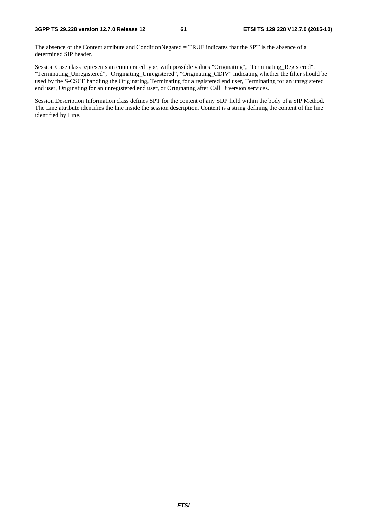The absence of the Content attribute and ConditionNegated = TRUE indicates that the SPT is the absence of a determined SIP header.

Session Case class represents an enumerated type, with possible values "Originating", "Terminating\_Registered", "Terminating\_Unregistered", "Originating\_Unregistered", "Originating\_CDIV" indicating whether the filter should be used by the S-CSCF handling the Originating, Terminating for a registered end user, Terminating for an unregistered end user, Originating for an unregistered end user, or Originating after Call Diversion services.

Session Description Information class defines SPT for the content of any SDP field within the body of a SIP Method. The Line attribute identifies the line inside the session description. Content is a string defining the content of the line identified by Line.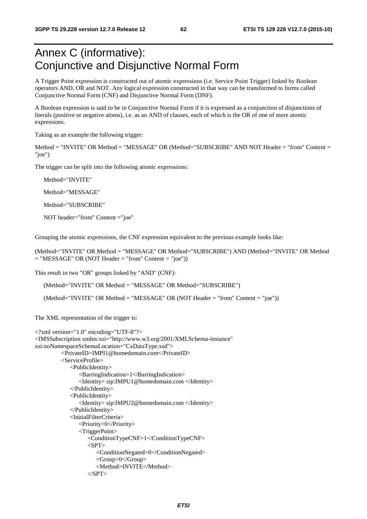# Annex C (informative): Conjunctive and Disjunctive Normal Form

A Trigger Point expression is constructed out of atomic expressions (i.e. Service Point Trigger) linked by Boolean operators AND, OR and NOT. Any logical expression constructed in that way can be transformed to forms called Conjunctive Normal Form (CNF) and Disjunctive Normal Form (DNF).

A Boolean expression is said to be in Conjunctive Normal Form if it is expressed as a conjunction of disjunctions of literals (positive or negative atoms), i.e. as an AND of clauses, each of which is the OR of one of more atomic expressions.

Taking as an example the following trigger:

Method = "INVITE" OR Method = "MESSAGE" OR (Method="SUBSCRIBE" AND NOT Header = "from" Content = "joe")

The trigger can be split into the following atomic expressions:

Method="INVITE"

Method="MESSAGE"

Method="SUBSCRIBE"

NOT header="from" Content ="joe"

Grouping the atomic expressions, the CNF expression equivalent to the previous example looks like:

(Method="INVITE" OR Method = "MESSAGE" OR Method="SUBSCRIBE") AND (Method="INVITE" OR Method  $=$  "MESSAGE" OR (NOT Header  $=$  "from" Content  $=$  "joe"))

This result in two "OR" groups linked by "AND" (CNF):

(Method="INVITE" OR Method = "MESSAGE" OR Method="SUBSCRIBE")

(Method="INVITE" OR Method = "MESSAGE" OR (NOT Header = "from" Content = "joe"))

The XML representation of the trigger is:

```
<?xml version="1.0" encoding="UTF-8"?> 
<IMSSubscription xmlns:xsi="http://www.w3.org/2001/XMLSchema-instance" 
xsi:noNamespaceSchemaLocation="CxDataType.xsd"> 
          <PrivateID>IMPI1@homedomain.com</PrivateID> 
          <ServiceProfile> 
              <PublicIdentity> 
                 <BarringIndication>1</BarringIndication> 
                 <Identity> sip:IMPU1@homedomain.com </Identity> 
              </PublicIdentity> 
              <PublicIdentity> 
                 <Identity> sip:IMPU2@homedomain.com </Identity> 
              </PublicIdentity> 
              <InitialFilterCriteria> 
                 <Priority>0</Priority> 
                 <TriggerPoint> 
                    <ConditionTypeCNF>1</ConditionTypeCNF> 
                   <SPT> <ConditionNegated>0</ConditionNegated> 
                        <Group>0</Group> 
                        <Method>INVITE</Method> 
                   <SPT>
```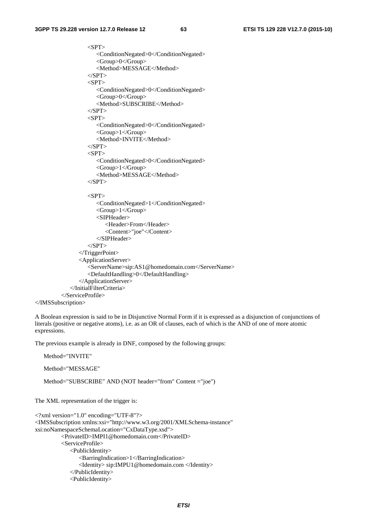```
\langleSPT> <ConditionNegated>0</ConditionNegated> 
              <Group>0</Group> 
              <Method>MESSAGE</Method> 
         <SPT><SPT> <ConditionNegated>0</ConditionNegated> 
              <Group>0</Group> 
              <Method>SUBSCRIBE</Method> 
         </SPT>
         <SPT> <ConditionNegated>0</ConditionNegated> 
             <Group>1</Group> 
              <Method>INVITE</Method> 
         \langle/SPT><SPT> <ConditionNegated>0</ConditionNegated> 
             <Group>1</Group> 
              <Method>MESSAGE</Method> 
         </SPT>\langleSPT> <ConditionNegated>1</ConditionNegated> 
             <Group>1</Group> 
             <SIPHeader> 
                 <Header>From</Header> 
                 <Content>"joe"</Content> 
              </SIPHeader> 
         </SPT>
       </TriggerPoint> 
       <ApplicationServer> 
          <ServerName>sip:AS1@homedomain.com</ServerName> 
          <DefaultHandling>0</DefaultHandling> 
       </ApplicationServer> 
    </InitialFilterCriteria> 
 </ServiceProfile>
```

```
</IMSSubscription>
```
A Boolean expression is said to be in Disjunctive Normal Form if it is expressed as a disjunction of conjunctions of literals (positive or negative atoms), i.e. as an OR of clauses, each of which is the AND of one of more atomic expressions.

The previous example is already in DNF, composed by the following groups:

```
Method="INVITE" 
Method="MESSAGE"
```
Method="SUBSCRIBE" AND (NOT header="from" Content ="joe")

The XML representation of the trigger is:

```
<?xml version="1.0" encoding="UTF-8"?> 
<IMSSubscription xmlns:xsi="http://www.w3.org/2001/XMLSchema-instance" 
xsi:noNamespaceSchemaLocation="CxDataType.xsd"> 
           <PrivateID>IMPI1@homedomain.com</PrivateID> 
           <ServiceProfile> 
              <PublicIdentity> 
                 <BarringIndication>1</BarringIndication> 
                 <Identity> sip:IMPU1@homedomain.com </Identity> 
              </PublicIdentity> 
              <PublicIdentity>
```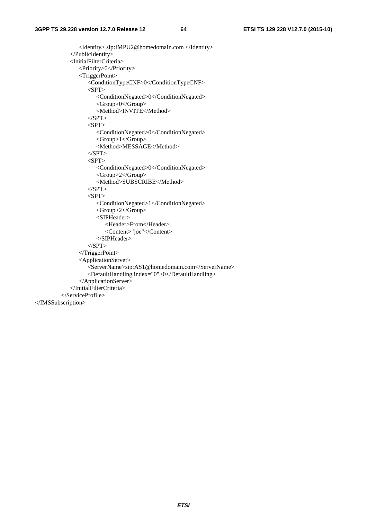<Identity> sip:IMPU2@homedomain.com </Identity> </PublicIdentity> <InitialFilterCriteria> <Priority>0</Priority> <TriggerPoint> <ConditionTypeCNF>0</ConditionTypeCNF>  $<$ SPT $>$  <ConditionNegated>0</ConditionNegated> <Group>0</Group> <Method>INVITE</Method>  $\langle$ SPT>  $<$ SPT $>$  <ConditionNegated>0</ConditionNegated> <Group>1</Group> <Method>MESSAGE</Method>  $<$ /SPT>  $<$ SPT $>$  <ConditionNegated>0</ConditionNegated> <Group>2</Group> <Method>SUBSCRIBE</Method>  $<$ /SPT $>$  $<$ SPT $>$  <ConditionNegated>1</ConditionNegated> <Group>2</Group> <SIPHeader> <Header>From</Header> <Content>"joe"</Content> </SIPHeader>  $<$ /SPT> </TriggerPoint> <ApplicationServer> <ServerName>sip:AS1@homedomain.com</ServerName> <DefaultHandling index="0">0</DefaultHandling> </ApplicationServer> </InitialFilterCriteria> </ServiceProfile> </IMSSubscription>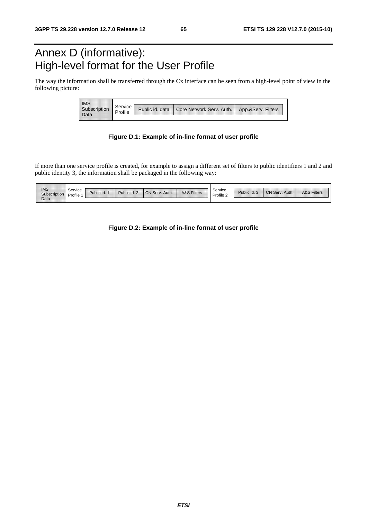# Annex D (informative): High-level format for the User Profile

The way the information shall be transferred through the Cx interface can be seen from a high-level point of view in the following picture:

| <br><br><b>IMS</b><br><br><br><br>. | Service<br>Profile |                 |                                               |  |
|-------------------------------------|--------------------|-----------------|-----------------------------------------------|--|
| <br>------------------<br><br><br>  |                    | Public id. data | Core Network Serv. Auth.   App.&Serv. Filters |  |

#### **Figure D.1: Example of in-line format of user profile**

If more than one service profile is created, for example to assign a different set of filters to public identifiers 1 and 2 and public identity 3, the information shall be packaged in the following way:

| <br><br><b>IMS</b><br>Subscription | Service<br>Profile | Public id. | <br>Public id. 2<br> | ,,,,,,,,,,,,,,,,,,,,,,,,,,,,,<br>CN Serv.<br>Auth. | <b>A&amp;S Filters</b> | Service<br>Profile, | Public id. .<br>______________________<br> | <b>CN Serv</b><br>. Auth. | <b>A&amp;S Filters</b><br> |
|------------------------------------|--------------------|------------|----------------------|----------------------------------------------------|------------------------|---------------------|--------------------------------------------|---------------------------|----------------------------|
| Data                               |                    |            |                      |                                                    |                        |                     |                                            |                           |                            |

#### **Figure D.2: Example of in-line format of user profile**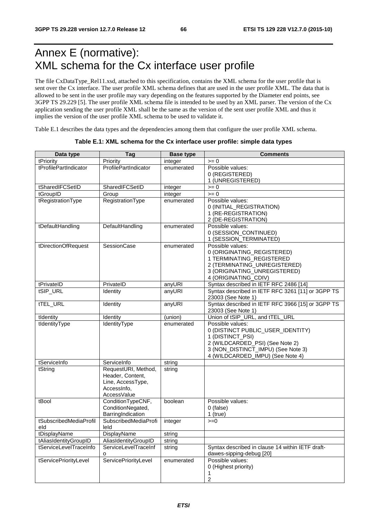# Annex E (normative): XML schema for the Cx interface user profile

The file CxDataType\_Rel11.xsd, attached to this specification, contains the XML schema for the user profile that is sent over the Cx interface. The user profile XML schema defines that are used in the user profile XML. The data that is allowed to be sent in the user profile may vary depending on the features supported by the Diameter end points, see 3GPP TS 29.229 [5]. The user profile XML schema file is intended to be used by an XML parser. The version of the Cx application sending the user profile XML shall be the same as the version of the sent user profile XML and thus it implies the version of the user profile XML schema to be used to validate it.

Table E.1 describes the data types and the dependencies among them that configure the user profile XML schema.

| Data type                     | Tag                                                                                        | <b>Base type</b> | <b>Comments</b>                                                                                                                                                                        |
|-------------------------------|--------------------------------------------------------------------------------------------|------------------|----------------------------------------------------------------------------------------------------------------------------------------------------------------------------------------|
| tPriority                     | Priority                                                                                   | integer          | $= 0$                                                                                                                                                                                  |
| tProfilePartIndicator         | ProfilePartIndicator                                                                       | enumerated       | Possible values:<br>0 (REGISTERED)                                                                                                                                                     |
|                               |                                                                                            |                  | 1 (UNREGISTERED)                                                                                                                                                                       |
| tSharedIFCSetID               | SharedIFCSetID                                                                             | integer          | $>= 0$                                                                                                                                                                                 |
| tGroupID                      | Group                                                                                      | integer          | $>= 0$                                                                                                                                                                                 |
| tRegistrationType             | RegistrationType                                                                           | enumerated       | Possible values:<br>0 (INITIAL_REGISTRATION)<br>1 (RE-REGISTRATION)<br>2 (DE-REGISTRATION)                                                                                             |
| tDefaultHandling              | DefaultHandling                                                                            | enumerated       | Possible values:<br>0 (SESSION_CONTINUED)<br>1 (SESSION_TERMINATED)                                                                                                                    |
| tDirectionOfRequest           | SessionCase                                                                                | enumerated       | Possible values:<br>0 (ORIGINATING_REGISTERED)<br>1 TERMINATING_REGISTERED<br>2 (TERMINATING_UNREGISTERED)<br>3 (ORIGINATING_UNREGISTERED)<br>4 (ORIGINATING_CDIV)                     |
| tPrivateID                    | PrivateID                                                                                  | anyURI           | Syntax described in IETF RFC 2486 [14]                                                                                                                                                 |
| tSIP_URL                      | Identity                                                                                   | anyURI           | Syntax described in IETF RFC 3261 [11] or 3GPP TS<br>23003 (See Note 1)                                                                                                                |
| tTEL_URL                      | Identity                                                                                   | anyURI           | Syntax described in IETF RFC 3966 [15] or 3GPP TS<br>23003 (See Note 1)                                                                                                                |
| tIdentity                     | Identity                                                                                   | (union)          | Union of tSIP_URL, and tTEL_URL                                                                                                                                                        |
| tIdentityType                 | IdentityType                                                                               | enumerated       | Possible values:<br>0 (DISTINCT PUBLIC_USER_IDENTITY)<br>1 (DISTINCT_PSI)<br>2 (WILDCARDED_PSI) (See Note 2)<br>3 (NON_DISTINCT_IMPU) (See Note 3)<br>4 (WILDCARDED_IMPU) (See Note 4) |
| tServiceInfo                  | ServiceInfo                                                                                | string           |                                                                                                                                                                                        |
| tString                       | RequestURI, Method,<br>Header, Content,<br>Line, AccessType,<br>AccessInfo,<br>AccessValue | string           |                                                                                                                                                                                        |
| tBool                         | ConditionTypeCNF,<br>ConditionNegated,<br>BarringIndication                                | boolean          | Possible values:<br>0 (false)<br>$1$ (true)                                                                                                                                            |
| tSubscribedMediaProfil<br>eld | SubscribedMediaProfi<br>leld                                                               | integer          | $>=0$                                                                                                                                                                                  |
| tDisplayName                  | DisplayName                                                                                | string           |                                                                                                                                                                                        |
| tAliasIdentityGroupID         | AliasIdentityGroupID                                                                       | string           |                                                                                                                                                                                        |
| tServiceLevelTraceInfo        | ServiceLevelTraceInf<br>o                                                                  | string           | Syntax described in clause 14 within IETF draft-<br>dawes-sipping-debug [20]                                                                                                           |
| tServicePriorityLevel         | ServicePriorityLevel                                                                       | enumerated       | Possible values:<br>0 (Highest priority)<br>1<br>$\boldsymbol{2}$                                                                                                                      |

#### **Table E.1: XML schema for the Cx interface user profile: simple data types**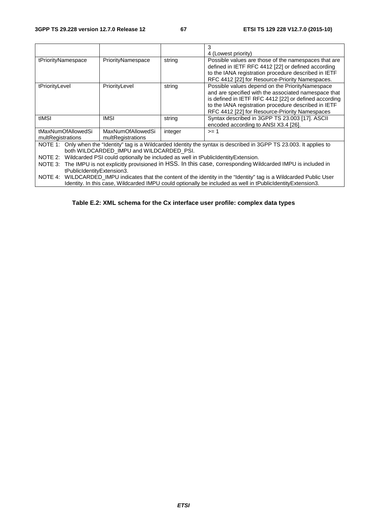|                                                                                                                   |                                                                                                                      |         | 3                                                                                                                      |  |  |
|-------------------------------------------------------------------------------------------------------------------|----------------------------------------------------------------------------------------------------------------------|---------|------------------------------------------------------------------------------------------------------------------------|--|--|
|                                                                                                                   |                                                                                                                      |         | 4 (Lowest priority)                                                                                                    |  |  |
| tPriorityNamespace                                                                                                | PriorityNamespace                                                                                                    | string  | Possible values are those of the namespaces that are                                                                   |  |  |
|                                                                                                                   |                                                                                                                      |         | defined in IETF RFC 4412 [22] or defined according                                                                     |  |  |
|                                                                                                                   |                                                                                                                      |         | to the IANA registration procedure described in IETF                                                                   |  |  |
|                                                                                                                   |                                                                                                                      |         | RFC 4412 [22] for Resource-Priority Namespaces.                                                                        |  |  |
| tPriorityLevel                                                                                                    | PriorityLevel                                                                                                        | string  | Possible values depend on the PriorityNamespace                                                                        |  |  |
|                                                                                                                   |                                                                                                                      |         | and are specified with the associated namespace that                                                                   |  |  |
|                                                                                                                   |                                                                                                                      |         | is defined in IETF RFC 4412 [22] or defined according                                                                  |  |  |
|                                                                                                                   |                                                                                                                      |         | to the IANA registration procedure described in IETF                                                                   |  |  |
|                                                                                                                   |                                                                                                                      |         | RFC 4412 [22] for Resource-Priority Namespaces                                                                         |  |  |
| tIMSI                                                                                                             | <b>IMSI</b>                                                                                                          | string  | Syntax described in 3GPP TS 23.003 [17]. ASCII                                                                         |  |  |
|                                                                                                                   |                                                                                                                      |         | encoded according to ANSI X3.4 [26].                                                                                   |  |  |
| tMaxNumOfAllowedSi                                                                                                | MaxNumOfAllowedSi                                                                                                    | integer | $>= 1$                                                                                                                 |  |  |
| multRegistrations                                                                                                 | multRegistrations                                                                                                    |         |                                                                                                                        |  |  |
|                                                                                                                   |                                                                                                                      |         | NOTE 1: Only when the "Identity" tag is a Wildcarded Identity the syntax is described in 3GPP TS 23.003. It applies to |  |  |
|                                                                                                                   | both WILDCARDED IMPU and WILDCARDED PSI.                                                                             |         |                                                                                                                        |  |  |
|                                                                                                                   | NOTE 2: Wildcarded PSI could optionally be included as well in tPublicIdentityExtension.                             |         |                                                                                                                        |  |  |
| NOTE 3: The IMPU is not explicitly provisioned in HSS. In this case, corresponding Wildcarded IMPU is included in |                                                                                                                      |         |                                                                                                                        |  |  |
| tPublicIdentityExtension3.                                                                                        |                                                                                                                      |         |                                                                                                                        |  |  |
|                                                                                                                   | NOTE 4: WILDCARDED_IMPU indicates that the content of the identity in the "Identity" tag is a Wildcarded Public User |         |                                                                                                                        |  |  |
|                                                                                                                   |                                                                                                                      |         | Identity. In this case, Wildcarded IMPU could optionally be included as well in tPublicIdentityExtension3.             |  |  |

**Table E.2: XML schema for the Cx interface user profile: complex data types**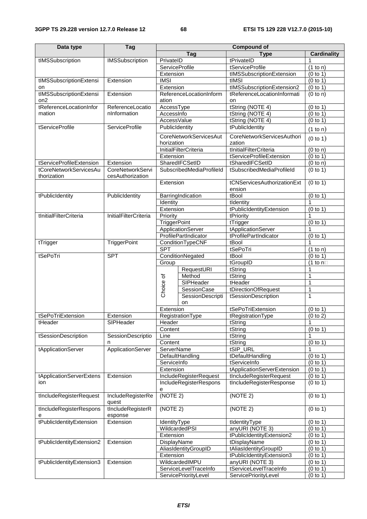| Data type                             | Tag                          | <b>Compound of</b>    |                               |                             |                       |
|---------------------------------------|------------------------------|-----------------------|-------------------------------|-----------------------------|-----------------------|
|                                       |                              |                       |                               | <b>Type</b><br>Tag          |                       |
| tIMSSubscription                      | <b>IMSSubscription</b>       | PrivateID             |                               | tPrivateID                  | <b>Cardinality</b>    |
|                                       |                              | <b>ServiceProfile</b> |                               | tServiceProfile             | (1 to n)              |
|                                       |                              | Extension             |                               | tIMSSubscriptionExtension   | (0 to 1)              |
| tIMSSubscriptionExtensi               | Extension                    | <b>IMSI</b>           |                               | tIMSI                       | (0 to 1)              |
| on                                    |                              | Extension             |                               | tlMSSubscriptionExtension2  | (0 to 1)              |
| tIMSSubscriptionExtensi               | Extension                    |                       | ReferenceLocationInform       | tReferenceLocationInformati | (0 to n)              |
| on <sub>2</sub>                       |                              | ation                 |                               | <b>on</b>                   |                       |
| tReferenceLocationInfor               | ReferenceLocatio             | AccessType            |                               | tString (NOTE 4)            | (0 to 1)              |
| mation                                | nInformation                 | Accessinfo            |                               | tString (NOTE 4)            | (0 to 1)              |
|                                       |                              | AccessValue           |                               | tString (NOTE 4)            | (0 to 1)              |
| tServiceProfile                       | <b>ServiceProfile</b>        | PublicIdentity        |                               | tPublicIdentity             | (1 to n)              |
|                                       |                              |                       | <b>CoreNetworkServicesAut</b> | CoreNetworkServicesAuthori  | (0 to 1)              |
|                                       |                              | horization            |                               | zation                      |                       |
|                                       |                              |                       | <b>InitialFilterCriteria</b>  | tInitialFilterCriteria      | (0 to n)              |
|                                       |                              | Extension             |                               | tServiceProfileExtension    | (0 to 1)              |
| tServiceProfileExtension              | Extension                    |                       | SharedIFCSetID                | tSharedIFCSetID             | (0 to n)              |
| tCoreNetworkServicesAu<br>thorization | <b>CoreNetworkServi</b>      |                       | SubscribedMediaProfileId      | tSubscribedMediaProfileId   | (0 to 1)              |
|                                       | cesAuthorization             | Extension             |                               | tCNServicesAuthorizationExt | (0 to 1)              |
|                                       |                              |                       |                               | ension                      |                       |
| tPublicIdentity                       | PublicIdentity               |                       | BarringIndication             | tBool                       | (0 to 1)              |
|                                       |                              | Identity              |                               | tIdentity                   | 1                     |
|                                       |                              | Extension             |                               | tPublicIdentityExtension    | (0 to 1)              |
| tInitialFilterCriteria                | <b>InitialFilterCriteria</b> | Priority              |                               | tPriority                   | 1                     |
|                                       |                              | <b>TriggerPoint</b>   |                               | tTrigger                    | (0 to 1)              |
|                                       |                              |                       | ApplicationServer             | tApplicationServer          | 1                     |
|                                       |                              |                       | ProfilePartIndicator          | tProfilePartIndicator       | (0 to 1)              |
| tTrigger                              | TriggerPoint                 |                       | ConditionTypeCNF              | tBool                       | 1                     |
|                                       |                              | <b>SPT</b>            |                               | tSePoTri                    | (1 to n)              |
| tSePoTri                              | <b>SPT</b>                   |                       | ConditionNegated              | tBool                       | (0 to 1)              |
|                                       |                              | Group                 |                               | tGroupID                    | (1 to $n\square$      |
|                                       |                              |                       | RequestURI                    | tString                     | 1                     |
|                                       |                              |                       | Method                        | tString                     | $\mathbf{1}$          |
|                                       |                              | Choice of             | SIPHeader                     | tHeader                     | $\mathbf{1}$          |
|                                       |                              |                       | SessionCase                   | tDirectionOfRequest         | $\mathbf{1}$          |
|                                       |                              |                       | <b>SessionDescripti</b>       | tSessionDescription         | 1                     |
|                                       |                              |                       | on                            | tSePoTriExtension           |                       |
| tSePoTriExtension                     | Extension                    | Extension             | RegistrationType              | tRegistrationType           | (0 to 1)<br>(0 to 2)  |
| tHeader                               | SIPHeader                    | Header                |                               | tString                     | $\mathbf{1}$          |
|                                       |                              | Content               |                               | tString                     | (0 to 1)              |
| tSessionDescription                   | SessionDescriptio            | Line                  |                               | tString                     | 1                     |
|                                       | n                            | Content               |                               | tString                     | (0 to 1)              |
| tApplicationServer                    | <b>ApplicationServer</b>     | ServerName            |                               | tSIP_URL                    | 1                     |
|                                       |                              |                       | DefaultHandling               | tDefaultHandling            | (0 to 1)              |
|                                       |                              | ServiceInfo           |                               | tServiceInfo                | (0 to 1)              |
|                                       |                              | Extension             |                               | tApplicationServerExtension | (0 to 1)              |
| tApplicationServerExtens              | Extension                    |                       | IncludeRegisterRequest        | tIncludeRegisterRequest     | (0 to 1)              |
| ion                                   |                              |                       | IncludeRegisterRespons        | tIncludeRegisterResponse    | $\overline{(0}$ to 1) |
|                                       |                              | е                     |                               |                             |                       |
| tIncludeRegisterRequest               | IncludeRegisterRe            | (NOTE 2)              |                               | (NOTE 2)                    | (0 to 1)              |
|                                       | quest                        | (NOTE 2)              |                               |                             |                       |
| tIncludeRegisterRespons<br>е          | tIncludeRegisterR<br>esponse |                       |                               | (NOTE 2)                    | (0 to 1)              |
| tPublicIdentityExtension<br>Extension |                              | IdentityType          |                               | tIdentityType               | (0 to 1)              |
|                                       |                              | WildcardedPSI         |                               | anyURI (NOTE 3)             | (0 to 1)              |
|                                       |                              | Extension             |                               | tPublicIdentityExtension2   | (0 to 1)              |
| tPublicIdentityExtension2             | Extension                    | DisplayName           |                               | tDisplayName                | (0 to 1)              |
|                                       |                              |                       | AliasIdentityGroupID          | tAliasIdentityGroupID       | (0 to 1)              |
|                                       |                              | Extension             |                               | tPublicIdentityExtension3   | (0 to 1)              |
| tPublicIdentityExtension3             | Extension                    |                       | WildcardedIMPU                | anyURI (NOTE 3)             | (0 to 1)              |
|                                       |                              |                       | ServiceLevelTraceInfo         | tServiceLevelTraceInfo      | (0 to 1)              |
|                                       |                              |                       | ServicePriorityLevel          | ServicePriorityLevel        | (0 to 1)              |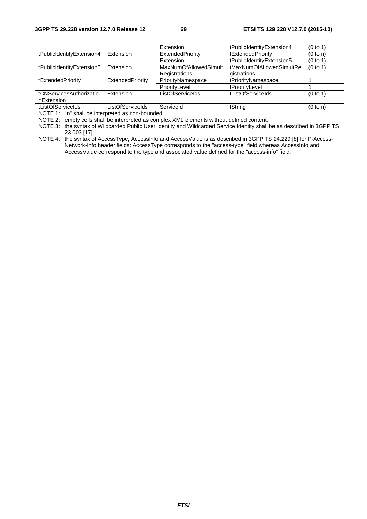|                                                                                                                        |                  | Extension                    | tPublicIdentityExtension4 | (0 to 1) |  |
|------------------------------------------------------------------------------------------------------------------------|------------------|------------------------------|---------------------------|----------|--|
| tPublicIdentityExtension4                                                                                              | Extension        | ExtendedPriority             | tExtendedPriority         | (0 to n) |  |
|                                                                                                                        |                  | Extension                    | tPublicIdentityExtension5 | (0 to 1) |  |
| tPublicIdentityExtension5                                                                                              | Extension        | <b>MaxNumOfAllowedSimult</b> | tMaxNumOfAllowedSimultRe  | (0 to 1) |  |
|                                                                                                                        |                  | Registrations                | gistrations               |          |  |
| tExtendedPriority                                                                                                      | ExtendedPriority | PriorityNamespace            | tPriorityNamespace        |          |  |
|                                                                                                                        |                  | PriorityLevel                | tPriorityLevel            |          |  |
| tCNServicesAuthorizatio                                                                                                | Extension        | ListOfServiceIds             | tListOfServiceIds         | (0 to 1) |  |
| nExtension                                                                                                             |                  |                              |                           |          |  |
| tListOfServiceIds                                                                                                      | ListOfServiceIds | Serviceld                    | tString                   | (0 to n) |  |
| NOTE 1: "n" shall be interpreted as non-bounded.                                                                       |                  |                              |                           |          |  |
| empty cells shall be interpreted as complex XML elements without defined content.<br>NOTE 2:                           |                  |                              |                           |          |  |
| NOTE 3: the syntax of Wildcarded Public User Identity and Wildcarded Service Identity shall be as described in 3GPP TS |                  |                              |                           |          |  |
| 23.003 [17].                                                                                                           |                  |                              |                           |          |  |
| NOTE $4$ the syntax of Access Type Access Info and Access Value is as described in 3GPP TS 24 229 [8] for P-Access-    |                  |                              |                           |          |  |

NOTE 4: the syntax of AccessType, AccessInfo and AccessValue is as described in 3GPP TS 24.229 [8] for P-Access-Network-Info header fields: AccessType corresponds to the "access-type" field whereas AccessInfo and AccessValue correspond to the type and associated value defined for the "access-info" field.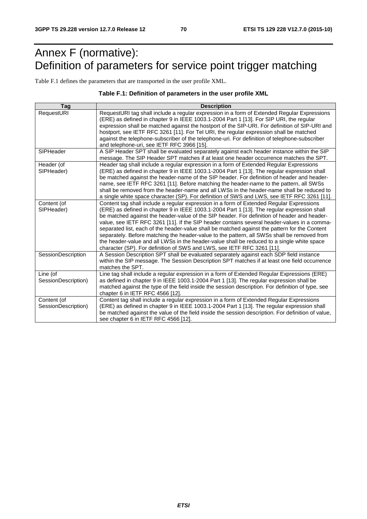# Annex F (normative): Definition of parameters for service point trigger matching

Table F.1 defines the parameters that are transported in the user profile XML.

#### **Table F.1: Definition of parameters in the user profile XML**

| Tag                 | <b>Description</b>                                                                                                                                                                     |
|---------------------|----------------------------------------------------------------------------------------------------------------------------------------------------------------------------------------|
| RequestURI          | RequestURI tag shall include a regular expression in a form of Extended Regular Expressions<br>(ERE) as defined in chapter 9 in IEEE 1003.1-2004 Part 1 [13]. For SIP URI, the regular |
|                     | expression shall be matched against the hostport of the SIP-URI. For definition of SIP-URI and                                                                                         |
|                     | hostport, see IETF RFC 3261 [11]. For Tel URI, the regular expression shall be matched                                                                                                 |
|                     | against the telephone-subscriber of the telephone-uri. For definition of telephone-subscriber<br>and telephone-uri, see IETF RFC 3966 [15].                                            |
| SIPHeader           | A SIP Header SPT shall be evaluated separately against each header instance within the SIP                                                                                             |
|                     | message. The SIP Header SPT matches if at least one header occurrence matches the SPT.                                                                                                 |
| Header (of          | Header tag shall include a regular expression in a form of Extended Regular Expressions                                                                                                |
| SIPHeader)          | (ERE) as defined in chapter 9 in IEEE 1003.1-2004 Part 1 [13]. The regular expression shall                                                                                            |
|                     | be matched against the header-name of the SIP header. For definition of header and header-                                                                                             |
|                     | name, see IETF RFC 3261 [11]. Before matching the header-name to the pattern, all SWSs                                                                                                 |
|                     | shall be removed from the header-name and all LWSs in the header-name shall be reduced to                                                                                              |
|                     | a single white space character (SP). For definition of SWS and LWS, see IETF RFC 3261 [11].                                                                                            |
| Content (of         | Content tag shall include a regular expression in a form of Extended Regular Expressions                                                                                               |
| SIPHeader)          | (ERE) as defined in chapter 9 in IEEE 1003.1-2004 Part 1 [13]. The regular expression shall                                                                                            |
|                     | be matched against the header-value of the SIP header. For definition of header and header-                                                                                            |
|                     | value, see IETF RFC 3261 [11]. If the SIP header contains several header-values in a comma-                                                                                            |
|                     | separated list, each of the header-value shall be matched against the pattern for the Content                                                                                          |
|                     | separately. Before matching the header-value to the pattern, all SWSs shall be removed from                                                                                            |
|                     | the header-value and all LWSs in the header-value shall be reduced to a single white space                                                                                             |
| SessionDescription  | character (SP). For definition of SWS and LWS, see IETF RFC 3261 [11].<br>A Session Description SPT shall be evaluated separately against each SDP field instance                      |
|                     | within the SIP message. The Session Description SPT matches if at least one field occurrence                                                                                           |
|                     | matches the SPT.                                                                                                                                                                       |
| Line (of            | Line tag shall include a regular expression in a form of Extended Regular Expressions (ERE)                                                                                            |
| SessionDescription) | as defined in chapter 9 in IEEE 1003.1-2004 Part 1 [13]. The regular expression shall be                                                                                               |
|                     | matched against the type of the field inside the session description. For definition of type, see                                                                                      |
|                     | chapter 6 in IETF RFC 4566 [12].                                                                                                                                                       |
| Content (of         | Content tag shall include a regular expression in a form of Extended Regular Expressions                                                                                               |
| SessionDescription) | (ERE) as defined in chapter 9 in IEEE 1003.1-2004 Part 1 [13]. The regular expression shall                                                                                            |
|                     | be matched against the value of the field inside the session description. For definition of value,                                                                                     |
|                     | see chapter 6 in IETF RFC 4566 [12].                                                                                                                                                   |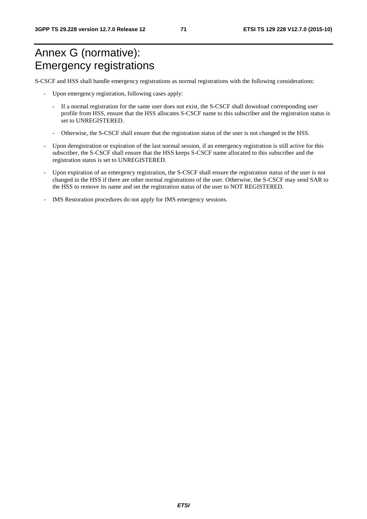# Annex G (normative): Emergency registrations

S-CSCF and HSS shall handle emergency registrations as normal registrations with the following considerations:

- Upon emergency registration, following cases apply:
	- If a normal registration for the same user does not exist, the S-CSCF shall download corresponding user profile from HSS, ensure that the HSS allocates S-CSCF name to this subscriber and the registration status is set to UNREGISTERED.
	- Otherwise, the S-CSCF shall ensure that the registration status of the user is not changed in the HSS.
- Upon deregistration or expiration of the last normal session, if an emergency registration is still active for this subscriber, the S-CSCF shall ensure that the HSS keeps S-CSCF name allocated to this subscriber and the registration status is set to UNREGISTERED.
- Upon expiration of an emergency registration, the S-CSCF shall ensure the registration status of the user is not changed in the HSS if there are other normal registrations of the user. Otherwise, the S-CSCF may send SAR to the HSS to remove its name and set the registration status of the user to NOT REGISTERED.
- IMS Restoration procedures do not apply for IMS emergency sessions.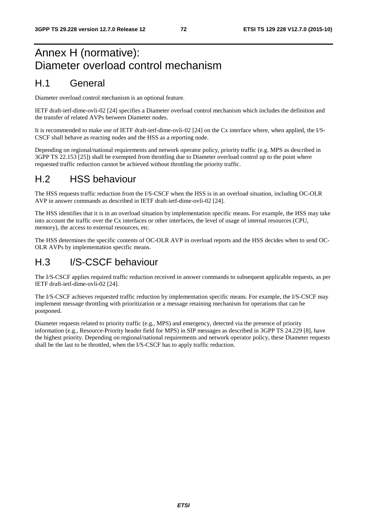## Annex H (normative): Diameter overload control mechanism

#### H.1 General

Diameter overload control mechanism is an optional feature.

IETF draft-ietf-dime-ovli-02 [24] specifies a Diameter overload control mechanism which includes the definition and the transfer of related AVPs between Diameter nodes.

It is recommended to make use of IETF draft-ietf-dime-ovli-02 [24] on the Cx interface where, when applied, the I/S-CSCF shall behave as reacting nodes and the HSS as a reporting node.

Depending on regional/national requirements and network operator policy, priority traffic (e.g. MPS as described in 3GPP TS 22.153 [25]) shall be exempted from throttling due to Diameter overload control up to the point where requested traffic reduction cannot be achieved without throttling the priority traffic.

### H.2 HSS behaviour

The HSS requests traffic reduction from the I/S-CSCF when the HSS is in an overload situation, including OC-OLR AVP in answer commands as described in IETF draft-ietf-dime-ovli-02 [24].

The HSS identifies that it is in an overload situation by implementation specific means. For example, the HSS may take into account the traffic over the Cx interfaces or other interfaces, the level of usage of internal resources (CPU, memory), the access to external resources, etc.

The HSS determines the specific contents of OC-OLR AVP in overload reports and the HSS decides when to send OC-OLR AVPs by implementation specific means.

## H.3 I/S-CSCF behaviour

The I/S-CSCF applies required traffic reduction received in answer commands to subsequent applicable requests, as per IETF draft-ietf-dime-ovli-02 [24].

The I/S-CSCF achieves requested traffic reduction by implementation specific means. For example, the I/S-CSCF may implement message throttling with prioritization or a message retaining mechanism for operations that can be postponed.

Diameter requests related to priority traffic (e.g., MPS) and emergency, detected via the presence of priority information (e.g., Resource-Priority header field for MPS) in SIP messages as described in 3GPP TS 24.229 [8], have the highest priority. Depending on regional/national requirements and network operator policy, these Diameter requests shall be the last to be throttled, when the I/S-CSCF has to apply traffic reduction.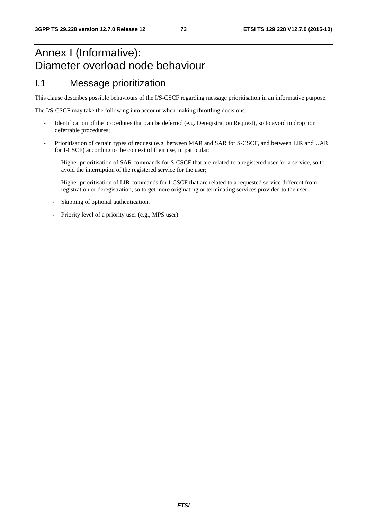## Annex I (Informative): Diameter overload node behaviour

#### I.1 Message prioritization

This clause describes possible behaviours of the I/S-CSCF regarding message prioritisation in an informative purpose.

The I/S-CSCF may take the following into account when making throttling decisions:

- Identification of the procedures that can be deferred (e.g. Deregistration Request), so to avoid to drop non deferrable procedures;
- Prioritisation of certain types of request (e.g. between MAR and SAR for S-CSCF, and between LIR and UAR for I-CSCF) according to the context of their use, in particular:
	- Higher prioritisation of SAR commands for S-CSCF that are related to a registered user for a service, so to avoid the interruption of the registered service for the user;
	- Higher prioritisation of LIR commands for I-CSCF that are related to a requested service different from registration or deregistration, so to get more originating or terminating services provided to the user;
	- Skipping of optional authentication.
	- Priority level of a priority user (e.g., MPS user).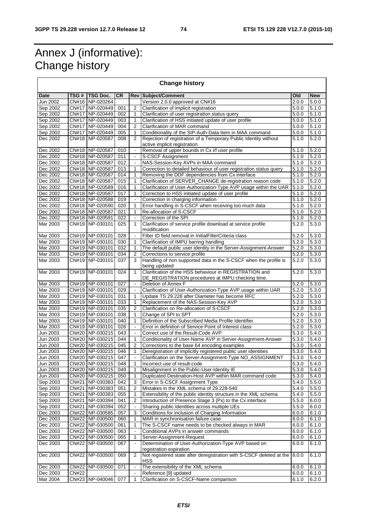## Annex J (informative): Change history

| <b>Change history</b>       |              |                                      |            |                                |                                                                                             |                    |                |
|-----------------------------|--------------|--------------------------------------|------------|--------------------------------|---------------------------------------------------------------------------------------------|--------------------|----------------|
| Date                        | TSG#         | <b>TSG Doc.</b>                      | <b>CR</b>  |                                | <b>Rev Subject/Comment</b>                                                                  | Old                | <b>New</b>     |
| Jun 2002                    |              | CN#16 NP-020264                      |            |                                | Version 2.0.0 approved at CN#16                                                             | 2.0.0              | 5.0.0          |
| Sep 2002                    |              | CN#17 NP-020449                      | 001        | 2                              | Clarification of implicit registration                                                      | 5.0.0              | 5.1.0          |
| Sep 2002                    |              | CN#17 NP-020449                      | 002        | 1                              | Clarification of user registration status query                                             | 5.0.0              | 5.1.0          |
| Sep 2002                    |              | CN#17 NP-020449                      | 003        | $\mathbf{1}$                   | Clarification of HSS initiated update of user profile                                       | 5.0.0              | 5.1.0          |
| Sep 2002                    |              | CN#17 NP-020449                      | 004        | 2                              | Clarification of MAR command                                                                | 5.0.0              | 5.1.0          |
| Sep 2002                    |              | CN#17 NP-020449                      | 005        | 1                              | Conditionality of the SIP-Auth-Data-Item in MAA command                                     | 5.0.0              | 5.1.0          |
| Dec 2002                    |              | CN#18 NP-020587                      | 008        | 2                              | Rejection of registration of a Temporary Public Identity without                            | 5.1.0              | 5.2.0          |
|                             |              |                                      |            |                                | active implicit registration                                                                |                    |                |
| Dec 2002                    |              | CN#18 NP-020587                      | 010        |                                | Removal of upper bounds in Cx i/f user profile                                              | 5.1.0              | 5.2.0          |
| Dec 2002                    |              | CN#18 NP-020587                      | 011        | $\blacksquare$                 | <b>S-CSCF Assignment</b>                                                                    | 5.1.0              | 5.2.0          |
| Dec 2002                    |              | CN#18 NP-020587                      | 012        |                                | NAS-Session-Key AVPs in MAA command                                                         | 5.1.0              | 5.2.0          |
| Dec 2002                    |              | CN#18 NP-020587                      | 013        | 1                              | Correction to detailed behaviour of user registration status query                          | 5.1.0              | 5.2.0          |
| Dec 2002                    |              | CN#18 NP-020587                      | 014        | 1                              | Removing the DDF dependencies from Cx interface                                             | 5.1.0              | 5.2.0          |
| Dec 2002                    |              | CN#18 NP-020587                      | 015        | 1                              | Clarification of SERVER_CHANGE de-registration reason code                                  | 5.1.0              | 5.2.0          |
| Dec 2002                    |              | CN#18 NP-020589                      | 016        | 1                              | Clarification of User-Authorization-Type AVP usage within the UAR                           | 5.1.0              | 5.2.0          |
| Dec 2002<br>Dec 2002        |              | CN#18 NP-020587<br>CN#18 NP-020588   | 017<br>019 | $\mathbf{1}$<br>$\blacksquare$ | Correction to HSS initiated update of user profile                                          | 5.1.0<br>5.1.0     | 5.2.0<br>5.2.0 |
| Dec 2002                    |              | CN#18 NP-020590                      | 020        | 1                              | Correction in charging information<br>Error handling in S-CSCF when receiving too much data | 5.1.0              | 5.2.0          |
| Dec 2002                    |              | CN#18 NP-020587                      | 021        | $\mathbf{1}$                   | Re-allocation of S-CSCF                                                                     | 5.1.0              | 5.2.0          |
| Dec 2002                    |              | CN#18 NP-020591                      | 022        | $\blacksquare$                 | Correction of the SPI                                                                       | 5.1.0              | 5.2.0          |
| Mar 2003                    |              | CN#19 NP-030101                      | 025        | 1                              | Clarification of service profile download at service profile                                | 5.2.0              | 5.3.0          |
|                             |              |                                      |            |                                | modification                                                                                |                    |                |
| Mar 2003                    |              | CN#19 NP-030101                      | 028        |                                | Filter ID field removal in InitialFilterCriteria class                                      | 5.2.0              | 5.3.0          |
| Mar 2003                    |              | CN#19 NP-030101                      | 030        | $\mathbf{1}$                   | Clarification of IMPU barring handling                                                      | 5.2.0              | 5.3.0          |
| Mar 2003                    |              | CN#19 NP-030101                      | 032        | 1                              | The default public user identity in the Server-Assignment-Answer                            | 5.2.0              | 5.3.0          |
| Mar 2003                    |              | CN#19 NP-030101                      | 034        | 2                              | Corrections to service profile                                                              | 5.2.0              | 5.3.0          |
| Mar 2003                    |              | CN#19 NP-030101                      | 037        | 3                              | Handling of non supported data in the S-CSCF when the profile is<br>being updated           | 5.2.0              | 5.3.0          |
| Mar 2003                    |              | CN#19 NP-030101                      | 024        | $\mathbf{1}$                   | Clarification of the HSS behaviour in REGISTRATION and                                      | 5.2.0              | 5.3.0          |
|                             |              |                                      |            |                                | DE_REGISTRATION procedures at IMPU checking time.                                           |                    |                |
| Mar 2003                    |              | CN#19 NP-030101                      | 027        |                                | Deletion of Annex F                                                                         | 5.2.0              | 5.3.0          |
| Mar 2003                    |              | CN#19 NP-030101                      | 029        | $\blacksquare$                 | Clarification of User-Authorization-Type AVP usage within UAR                               | 5.2.0              | 5.3.0          |
| Mar 2003                    |              | CN#19 NP-030101                      | 031        | 1                              | Update TS 29.228 after Diameter has become RFC                                              | 5.2.0              | 5.3.0          |
| Mar 2003                    |              | CN#19 NP-030101                      | 033        | $\mathbf{1}$                   | Replacement of the NAS-Session-Key AVP                                                      | 5.2.0              | 5.3.0          |
| Mar 2003                    |              | CN#19 NP-030101                      | 035        | $\overline{2}$                 | Clarification on Re-allocation of S-CSCF                                                    | 5.2.0              | 5.3.0          |
| Mar 2003                    |              | CN#19 NP-030101                      | 038        | 1                              | Change of SPI to SPT                                                                        | 5.2.0              | 5.3.0          |
| Mar 2003                    |              | CN#19 NP-030101                      | 040        | 1                              | Definition of the Subscribed Media Profile Identifier                                       | 5.2.0              | 5.3.0          |
| Mar 2003                    |              | CN#19 NP-030101                      | 026        | $\bar{\phantom{a}}$            | Error in definition of Service Point of Interest class                                      | $\overline{5.2.0}$ | 5.3.0          |
| Jun 2003                    |              | CN#20   NP-030215                    | 043        |                                | Correct use of the Result-Code AVP                                                          | 5.3.0              | 5.4.0          |
| Jun 2003                    |              | CN#20 NP-030215                      | 044        | $\mathbf{1}$                   | Conditionality of User-Name AVP in Server-Assignment-Answer                                 | 5.3.0              | 5.4.0          |
| Jun 2003                    |              | CN#20 NP-030215                      | 045        |                                | Corrections to the base 64 encoding examples                                                | 5.3.0              | 5.4.0          |
| Jun 2003<br><b>Jun 2003</b> |              | CN#20   NP-030215<br>CN#20 NP-030215 | 046        | 1                              | Deregistration of implicitly registered public user identities                              | 5.3.0              | 5.4.0<br>5.4.0 |
| Jun 2003                    |              | CN#20 NP-030215                      | 047        | 1                              | Clarification on the Server-Assignment-Type NO_ASSIGNMENT                                   | 5.3.0<br>5.3.0     | 5.4.0          |
| Jun 2003                    |              | CN#20 NP-030215                      | 048<br>049 | 1                              | Incorrect use of result-code<br>Misalignment in the Public-User-Identity IE                 | 5.3.0              | 5.4.0          |
| Jun 2003                    |              | CN#20 NP-030215                      | 050        | 1                              | Duplicated Destination-Host AVP within MAR command code                                     | 5.3.0              | 5.4.0          |
| Sep 2003                    |              | CN#21 NP-030383                      | 042        | 3                              | Error in S-CSCF Assignment Type                                                             | 5.4.0              | 5.5.0          |
| Sep 2003                    |              | CN#21 NP-030383                      | 051        | $\overline{2}$                 | Mistakes in the XML schema of 29.228-540                                                    | 5.4.0              | 5.5.0          |
| Sep 2003                    |              | CN#21 NP-030383                      | 055        | 1                              | Extensibility of the public identity structure in the XML schema                            | 5.4.0              | 5.5.0          |
| Sep 2003                    |              | CN#21 NP-030394                      | 041        | 2                              | Introduction of Presence Stage 3 (Px) to the Cx interface                                   | 5.5.0              | 6.0.0          |
| Sep 2003                    |              | CN#21 NP-030394                      | 052        |                                | Sharing public identities across multiple UEs                                               | 5.5.0              | 6.0.0          |
| Dec 2003                    |              | CN#22 NP-030585                      | 057        | 3                              | Conditions for inclusion of Charging Information                                            | 6.0.0              | 6.1.0          |
| Dec 2003                    |              | CN#22 NP-030500                      | 060        | 1                              | MAR in synchronisation failure case                                                         | 6.0.0              | 6.1.0          |
| Dec 2003                    |              | CN#22 NP-030500                      | 061        | 1                              | The S-CSCF name needs to be checked always in MAR                                           | 6.0.0              | 6.1.0          |
| Dec 2003                    |              | CN#22 NP-030500                      | 063        |                                | Conditional AVPs in answer commands                                                         | 6.0.0              | 6.1.0          |
| Dec 2003                    |              | CN#22 NP-030500                      | 065        | 1                              | Server-Assignment-Request                                                                   | 6.0.0              | 6.1.0          |
| Dec 2003                    |              | CN#22   NP-030500                    | 067        |                                | Determination of User-Authorization-Type AVP based on                                       | 6.0.0              | 6.1.0          |
|                             |              |                                      |            |                                | registration expiration                                                                     |                    |                |
| Dec 2003                    |              | CN#22 NP-030500                      | 069        | 2                              | Not registered state after deregistration with S-CSCF deleted at the                        | 6.0.0              | 6.1.0          |
|                             |              |                                      |            |                                | HSS                                                                                         |                    |                |
| Dec 2003                    |              | CN#22   NP-030500                    | 071        | $\blacksquare$                 | The extensibility of the XML schema                                                         | 6.0.0              | 6.1.0          |
| Dec 2003<br>Mar 2004        | <b>CN#22</b> |                                      |            |                                | Reference [9] updated                                                                       | 6.0.0              | 6.1.0          |
|                             |              | CN#23 NP-040046                      | 077        | $\mathbf{1}$                   | Clarification on S-CSCF-Name comparison                                                     | 6.1.0              | 6.2.0          |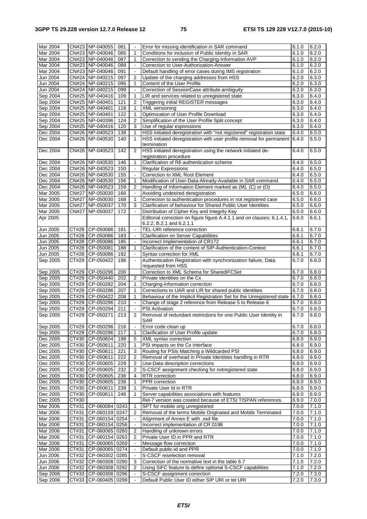| Mar 2004<br>Mar 2004 |              | CN#23 NP-040055                              | 081  | $\tilde{\phantom{a}}$    |                                                                        | 6.1.0 |                |
|----------------------|--------------|----------------------------------------------|------|--------------------------|------------------------------------------------------------------------|-------|----------------|
|                      |              |                                              |      |                          | Error for missing identification in SAR command                        |       | 6.2.0          |
|                      |              | CN#23 NP-040046                              | 085  | 1                        | Conditions for inclusion of Public Identity in SAR                     | 6.1.0 | 6.2.0          |
| Mar 2004             |              | CN#23 NP-040046                              | 087  | $\mathbf{1}$             | Correction to sending the Charging-Information AVP                     | 6.1.0 | 6.2.0          |
| Mar 2004             |              | CN#23 NP-040046                              | 089  | $\blacksquare$           | Correction to User-Authorization-Answer                                | 6.1.0 | 6.2.0          |
|                      |              |                                              |      |                          |                                                                        |       |                |
| Mar 2004             |              | CN#23 NP-040046                              | 091  | $\blacksquare$           | Default handling of error cases during IMS registration                | 6.1.0 | 6.2.0          |
| Jun 2004             |              | CN#24 NP-040215                              | 097  | $\overline{2}$           | Update of the charging addresses from HSS                              | 6.2.0 | 6.3.0          |
| Jun 2004             |              | CN#24 NP-040215                              | 095  | $\mathbf{1}$             | Content of the User Profile                                            | 6.2.0 | 6.3.0          |
|                      |              |                                              |      |                          |                                                                        |       |                |
| Jun 2004             |              | CN#24 NP-040215                              | 099  | $\blacksquare$           | Correction of SessionCase attribute ambiguity                          | 6.2.0 | 6.3.0          |
| Sep 2004             |              | CN#25 NP-040416                              | 109  | 1                        | LIR and services related to unregistered state                         | 6.3.0 | 6.4.0          |
| Sep 2004             |              | CN#25 NP-040401                              | 121  | $\overline{2}$           | Triggering initial REGISTER messages                                   | 6.3.0 | 6.4.0          |
|                      |              |                                              |      |                          |                                                                        |       |                |
| Sep 2004             |              | CN#25 NP-040401                              | 118  | $\mathbf{1}$             | XML versioning                                                         | 6.3.0 | 6.4.0          |
| Sep 2004             |              | CN#25 NP-040401                              | 122  | 1                        | Optimization of User Profile Download                                  | 6.3.0 | 6.4.0          |
| Sep 2004             |              | CN#25 NP-040396                              | 124  | $\overline{2}$           | Simplification of the User Profile Split concept                       | 6.3.0 | 6.4.0          |
|                      |              |                                              |      |                          |                                                                        |       |                |
| Sep 2004             |              | CN#25 NP-040416                              | 120  | 3                        | Use of regular expressions                                             | 6.3.0 | 6.4.0          |
| Dec 2004             |              | CN#26 NP-040523                              | 138  | 1                        | HSS initiated deregistration with "not registered" registration state  | 6.4.0 | 6.5.0          |
| Dec 2004             |              | CN#26 NP-040530                              | 140  | $\mathbf{1}$             | HSS initiated deregistration with user profile removal for permanent   | 6.4.0 | 6.5.0          |
|                      |              |                                              |      |                          | termination                                                            |       |                |
|                      |              |                                              |      |                          |                                                                        |       |                |
| Dec 2004             |              | CN#26 NP-040523                              | 142  | $\overline{2}$           | HSS initiated deregistration using the network initiated de-           | 6.4.0 | 6.5.0          |
|                      |              |                                              |      |                          | registration procedure                                                 |       |                |
| Dec 2004             |              | CN#26 NP-040530                              | 146  | 1                        | Clarification of R6 authentication scheme                              | 6.4.0 | 6.5.0          |
|                      |              |                                              |      |                          |                                                                        |       |                |
| Dec 2004             |              | CN#26 NP-040523                              | 150  | $\blacksquare$           | <b>Regular Expressions</b>                                             | 6.4.0 | 6.5.0          |
| Dec 2004             |              | CN#26 NP-040530                              | 155  | $\bar{\phantom{a}}$      | Correction to XML Root Element                                         | 6.4.0 | 6.5.0          |
| Dec 2004             |              | CN#26 NP-040530                              | 156  | 1                        | Modification of User-Data-Already-Available in SAR command.            | 6.4.0 | 6.5.0          |
|                      |              |                                              |      |                          |                                                                        |       |                |
| Dec 2004             |              | CN#26 NP-040523                              | 159  | $\overline{2}$           | Handling of Information Element marked as (M), (C) or (O)              | 6.4.0 | 6.5.0          |
| Mar 2005             |              | CN#27 NP-050030                              | 166  | $\tilde{\phantom{a}}$    | Avoiding undesired deregistration                                      | 6.5.0 | 6.6.0          |
| Mar 2005             |              | CN#27 NP-050030                              | 168  | 1                        | Correction to authentication procedures in not registered case         | 6.5.0 | 6.6.0          |
|                      |              |                                              |      |                          |                                                                        |       |                |
| Mar 2005             | <b>CN#27</b> | NP-050037                                    | 170  | 3                        | Clarification of behaviour for Shared Public User Identities           | 6.5.0 | 6.6.0          |
| Mar 2005             | <b>CN#27</b> | NP-050037                                    | 172  | $\mathbf{r}$             | Distribution of Cipher Key and Integrity Key                           | 6.5.0 | 6.6.0          |
| Apr 2005             |              |                                              |      |                          | Editorial correction on figure figure A.4.1.1 and on clauses: 6.1.4.1, | 6.6.0 | 6.6.1          |
|                      |              |                                              |      |                          | 6.2.2, B.2.1 and 6.2.1.1                                               |       |                |
|                      |              |                                              |      |                          |                                                                        |       |                |
| Jun 2005             | CT#28        | CP-050086                                    | 181  | $\blacksquare$           | TEL-URI reference correction                                           | 6.6.1 | 6.7.0          |
| Jun 2005             |              | CT#28 CP-050086                              | 183  | $\blacksquare$           | <b>Clarification on Server Capabilities</b>                            | 6.6.1 | 6.7.0          |
| Jun 2005             |              | CT#28 CP-050086                              | 185  | $\blacksquare$           | Incorrect Implementation of CR172                                      | 6.6.1 | 6.7.0          |
|                      |              |                                              |      | $\mathbf{1}$             |                                                                        |       |                |
| Jun 2005             |              | CT#28 CP-050081                              | 188  |                          | Clarification of the content of SIP-Authentication-Context             | 6.6.1 | 6.7.0          |
| Jun 2005             | CT#28        | CP-050086                                    | 192  | $\blacksquare$           | Syntax correction for XML                                              | 6.6.1 | 6.7.0          |
| Sep 2005             | CT#29        | CP-050422                                    | 196  | ä,                       | Authentication Registration with synchronization failure, Data         | 6.7.0 | 6.8.0          |
|                      |              |                                              |      |                          | requested from HSS                                                     |       |                |
| Sep 2005             | CT#29        | CP-050296                                    | 200  |                          | Correction to XML Schema for SharedIFCSet                              | 6.7.0 | 6.8.0          |
|                      |              |                                              |      |                          |                                                                        |       |                |
|                      |              |                                              |      | $\overline{2}$           | Private identities on the Cx                                           |       | 6.8.0          |
| Sep 2005             |              | CT#29 CP-050440                              | 202  |                          |                                                                        | 6.7.0 |                |
|                      |              |                                              |      |                          |                                                                        |       |                |
| Sep 2005             |              | CT#29 CP-050282                              | 204  | 1                        | Charging-Information correction                                        | 6.7.0 | 6.8.0          |
| Sep 2005             | CT#29        | CP-050296                                    | 207  | 1                        | Corrections to UAR and LIR for shared public identities                | 6.7.0 | 6.8.0          |
| Sep 2005             |              | CT#29 CP-050422                              | 208  | $\mathbf{1}$             | Behaviour of the Implicit Registration Set for the Unregistered state  | 6.7.0 | 6.8.0          |
| Sep 2005             |              | CP-050296                                    | 210  | $\blacksquare$           |                                                                        | 6.7.0 |                |
|                      | CT#29        |                                              |      |                          | Change of stage 2 reference from Release 5 to Release 6                |       | 6.8.0          |
| Sep 2005             | CT#29        | CP-050294                                    | 211  | $\blacksquare$           | <b>PSI</b> Activation                                                  | 6.7.0 | 6.8.0          |
| Sep 2005             | CT#29        | CP-050271                                    | 213  | $\overline{2}$           | Removal of redundant restrictions for one Public User Identity in      | 6.7.0 | 6.8.0          |
|                      |              |                                              |      |                          | SAR                                                                    |       |                |
|                      |              |                                              |      | $\blacksquare$           |                                                                        |       |                |
| Sep 2005             |              | CT#29 CP-050296                              | 216  |                          | Error code clean up                                                    | 6.7.0 | 6.8.0          |
| Sep 2005             |              | CT#29 CP-050296                              | 217  | 1                        | Clarification of User Profile update                                   | 6.7.0 | 6.8.0          |
| Dec 2005             |              | CT#30 CP-050604                              | 198  | 5                        | XML syntax correction                                                  | 6.8.0 | 6.9.0          |
| Dec 2005             |              | CT#30 CP-050611                              | 220  | $\mathbf{1}$             | PSI impacts on the Cx Interface                                        | 6.8.0 | 6.9.0          |
|                      |              |                                              |      |                          |                                                                        |       |                |
| Dec 2005             |              | CT#30 CP-050611                              | 221  | 3                        | Routing for PSIs Matching a Wildcarded PSI                             | 6.8.0 | 6.9.0          |
| Dec 2005             |              | CT#30 CP-050611                              | 222  | 2                        | Removal of overhead in Private Identities handling in RTR              | 6.8.0 | 6.9.0          |
| Dec 2005             |              | CT#30 CP-050605                              | 229  | 2                        | Use-Data description corrections                                       | 6.8.0 | 6.9.0          |
|                      |              |                                              |      | 2                        |                                                                        |       |                |
| Dec 2005             |              | CT#30 CP-050605                              | 232  |                          | S-CSCF assignment checking for notregistered state                     | 6.8.0 | 6.9.0          |
| Dec 2005             |              | CT#30 CP-050605                              | 236  | 4                        | RTR correction                                                         | 6.8.0 | 6.9.0          |
| Dec 2005             | CT#30        | CP-050605                                    | 238  | 1                        | PPR correction                                                         | 6.8.0 | 6.9.0          |
| Dec 2005             | CT#30        | CP-050611                                    | 239  | 1                        | Private User Id in RTR                                                 | 6.8.0 | 6.9.0          |
|                      |              |                                              |      |                          |                                                                        |       |                |
| Dec 2005             | CT#30        | CP-050611                                    | 246  | 1                        | Server capabilities associations with features                         | 6.8.0 | 6.9.0          |
| Dec 2005             | CT#30        |                                              |      |                          | Rel-7 version was created because of ETSI TISPAN references.           | 6.9.0 | 7.0.0          |
| Mar 2006             | CT#31        | CP-060084                                    | 0243 | 1                        | SPT for mobile orig unregistered                                       | 7.0.0 | 7.1.0          |
|                      |              |                                              |      | 2                        |                                                                        |       |                |
| Mar 2006             | CT#31        | CP-060159 0247                               |      |                          | Removal of the terms Mobile Originated and Mobile Terminated           | 7.0.0 | 7.1.0          |
| <b>Mar 2006</b>      | CT#31        | CP-060154 0254                               |      |                          | Alignment of Annex E with .xsd file                                    | 7.0.0 | 7.1.0          |
| Mar 2006             | CT#31        | CP-060154 0256                               |      | $\blacksquare$           | Incorrect implementation of CR 0198                                    | 7.0.0 | 7.1.0          |
|                      | CT#31        |                                              |      | 2                        |                                                                        | 7.0.0 |                |
| Mar 2006             |              | CP-060065 0260                               |      |                          | Handling of unknown errors                                             |       | 7.1.0          |
| Mar 2006             | CT#31        | CP-060154 0263                               |      | 2                        | Private User ID in PPR and RTR                                         | 7.0.0 | 7.1.0          |
| Mar 2006             | CT#31        | CP-060065 0269                               |      | $\blacksquare$           | Message flow correction                                                | 7.0.0 | 7.1.0          |
| Mar 2006             | CT#31        | CP-060065 0274                               |      | $\blacksquare$           | Default public-id and PPR                                              | 7.0.0 | 7.1.0          |
|                      |              |                                              |      | $\overline{\phantom{a}}$ |                                                                        |       |                |
| Jun 2006             |              | CT#32 CP-060302 0285                         |      |                          | S-CSCF reselection removal                                             | 7.1.0 | 7.2.0          |
| Jun 2006             |              | CT#32 CP-060308 0290                         |      | 3                        | Correction of the normative text in the table 6.7                      | 7.1.0 | 7.2.0          |
| Jun 2006             |              | CT#32 CP-060308 0292                         |      | 2                        | Using SiFC feature to define optional S-CSCF capabilities              | 7.1.0 | 7.2.0          |
| Sep 2006             |              | CT#33 CP-060308 0296<br>CT#33 CP-060405 0299 |      | $\blacksquare$           | S-CSCF assignment correction                                           | 7.2.0 | 7.3.0<br>7.3.0 |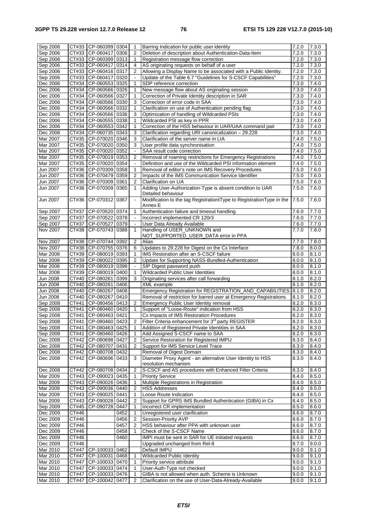| Sep 2006             |                    | CT#33 CP-060399 0304                       |      | $\mathbf{1}$             | Barring Indication for public user identity                                                                 | 7.2.0          | 7.3.0              |
|----------------------|--------------------|--------------------------------------------|------|--------------------------|-------------------------------------------------------------------------------------------------------------|----------------|--------------------|
| Sep 2006             | CT#33              | $ CP-060417 0306$                          |      | $\overline{2}$           | Deletion of description about Authentication-Data-Item                                                      | 7.2.0          | 7.3.0              |
| Sep 2006             |                    | CT#33 CP-060399 0313                       |      | $\mathbf{1}$             | Registration message flow correction                                                                        | 7.2.0          | 7.3.0              |
| Sep 2006             |                    | CT#33 CP-060417 0314                       |      | 4                        | AS originating requests on behalf of a user                                                                 | 7.2.0          | 7.3.0              |
|                      |                    |                                            |      |                          |                                                                                                             |                |                    |
| Sep 2006             |                    | CT#33 CP-060416 0317                       |      | 2                        | Allowing a Display Name to be associated with a Public Identity.                                            | 7.2.0          | 7.3.0              |
| Sep 2006             | CT#33              | CP-060417 0320                             |      |                          | Update of the Table 6.7 "Guidelines for S-CSCF Capabilities"                                                | 7.2.0          | 7.3.0              |
| Dec 2006             | CT#34              | CP-060553 0325                             |      | 1                        | SDP reference correction                                                                                    | 7.3.0          | 7.4.0              |
| Dec 2006             | CT#34              | CP-060566 0326                             |      | 1                        | New message flow about AS originating session                                                               | 7.3.0          | 7.4.0              |
|                      |                    |                                            |      |                          |                                                                                                             |                |                    |
| Dec 2006             | CT#34              | CP-060566 0327                             |      | 1                        | Correction of Private Identity description in SAR                                                           | 7.3.0          | 7.4.0              |
| Dec 2006             | CT#34              | CP-060566 0330                             |      | 3                        | Correction of error code in SAA                                                                             | 7.3.0          | 7.4.0              |
| Dec 2006             | CT#34              | CP-060566 0332                             |      | 1                        | Clarification on use of Authentication pending flag                                                         | 7.3.0          | 7.4.0              |
| Dec 2006             | CT#34              | CP-060566 0336                             |      | 3                        | Optimization of handling of Wildcarded PSIs                                                                 | 7.3.0          | 7.4.0              |
|                      |                    |                                            |      |                          |                                                                                                             |                |                    |
| Dec 2006             | CT#34              | CP-060555 0338                             |      | 1                        | Wildcarded PSI as key in PPR                                                                                | 7.3.0          | 7.4.0              |
| Dec 2006             | CT#34              | CP-060553 0342                             |      | $\mathbf{1}$             | Correction of the HSS behaviour in UAR/UAA command pair                                                     | 7.3.0          | 7.4.0              |
| Dec 2006             | CT#34              | CP-060735 0343                             |      | 3                        | Clarification regarding URI canonicalization - 29.228                                                       | 7.3.0          | 7.4.0              |
| Mar 2007             | CT#35              | CP-070020 0346                             |      | 3                        | Clarification of the server name in LIA                                                                     | 7.4.0          | $\overline{7.5.0}$ |
|                      |                    |                                            |      |                          |                                                                                                             |                |                    |
| Mar 2007             |                    | CT#35 CP-070020 0350                       |      | 3                        | User profile data synchronisation                                                                           | 7.4.0          | 7.5.0              |
| Mar 2007             | CT#35              | CP-070020 0352                             |      | $\blacksquare$           | SAA result code correction                                                                                  | 7.4.0          | 7.5.0              |
| Mar 2007             | CT#35              | CP-070019 0353                             |      | $\overline{2}$           | Removal of roaming restrictions for Emergency Registrations                                                 | 7.4.0          | 7.5.0              |
| Mar 2007             | CT#35              | CP-070020 0354                             |      | $\overline{\phantom{a}}$ | Definition and use of the Wildcarded PSI information element                                                | 7.4.0          | 7.5.0              |
|                      |                    |                                            |      |                          |                                                                                                             |                |                    |
| Jun 2007             | CT#36              | CP-070309 0358                             |      | 1                        | Removal of editor's note on IMS Recovery Procedures                                                         | 7.5.0          | 7.6.0              |
| Jun 2007             | CT#36              | CP-070479 0359                             |      | $\overline{2}$           | Impacts of the IMS Communication Service Identifier                                                         | 7.5.0          | 7.6.0              |
| Jun 2007             | CT#36              | CP-070309 0361                             |      | $\overline{2}$           | Clarification on LIA                                                                                        | 7.5.0          | 7.6.0              |
| Jun 2007             | CT#36              | CP-070309                                  | 0365 | 1                        | Adding User-Authorization-Type is absent condition to UAR                                                   | 7.5.0          | 7.6.0              |
|                      |                    |                                            |      |                          |                                                                                                             |                |                    |
|                      |                    |                                            |      |                          | Detailed behaviour                                                                                          |                |                    |
| Jun 2007             | CT#36              | CP-070312 0367                             |      | $\overline{\phantom{a}}$ | Modification to the tag RegistrationtType to RegistrationType in the                                        | 7.5.0          | 7.6.0              |
|                      |                    |                                            |      |                          | Annex E                                                                                                     |                |                    |
| Sep 2007             | CT#37              | CP-070520 0374                             |      | $\mathbf{1}$             | Authentication failure and timeout handling                                                                 | 7.6.0          | 7.7.0              |
| Sep 2007             | CT#37              | CP-070522 0378                             |      | $\blacksquare$           |                                                                                                             | 7.6.0          |                    |
|                      |                    |                                            |      |                          | Incorrect implemented CR 120r3                                                                              |                | 7.7.0              |
| Sep 2007             | CT#37              | CP-070527                                  | 0379 | $\blacksquare$           | User Data Already Available                                                                                 | 7.6.0          | 7.7.0              |
| <b>Nov 2007</b>      | CT#38              | CP-070743 0388                             |      | $\mathbf{1}$             | Handling of USER_UNKNOWN and                                                                                | 7.7.0          | 7.8.0              |
|                      |                    |                                            |      |                          | NOT_SUPPORTED_USER_DATA error in PPA                                                                        |                |                    |
| <b>Nov 2007</b>      | CT#38              | CP-070744 0392                             |      | $\overline{2}$           | Alias                                                                                                       | 7.7.0          | 7.8.0              |
|                      |                    |                                            |      |                          |                                                                                                             |                |                    |
| <b>Nov 2007</b>      |                    | CT#38 CP-070755 0376                       |      | 6                        | Updates to 29.228 for Digest on the Cx Interface                                                            | 7.8.0          | 8.0.0              |
| Mar 2008             | CT#39              | CP-080019 0393                             |      | 1                        | IMS Restoration after an S-CSCF failure                                                                     | 8.0.0          | 8.1.0              |
| Mar 2008             | CT#39              | CP-080022 0395                             |      | $\overline{2}$           | Update for Supporting NASS-Bundled-Authentication                                                           | 8.0.0          | 8.1.0              |
| Mar 2008             | CT#39              | CP-080019 0398                             |      |                          | SIP Digest password push                                                                                    | 8.0.0          | 8.1.0              |
|                      |                    |                                            |      |                          |                                                                                                             |                |                    |
|                      |                    |                                            |      |                          |                                                                                                             |                |                    |
| Mar 2008             | CT#39              | CP-080019 0400                             |      | 1                        | Wildcarded Public User Identities                                                                           | 8.0.0          | 8.1.0              |
| Jun 2008             | CT#40              | $ CP - 080261 0399$                        |      | 3                        | Originating services after call forwarding                                                                  | 8.1.0          | 8.2.0              |
|                      | CT#40              |                                            |      |                          |                                                                                                             |                |                    |
| Jun 2008             |                    | CP-080261                                  | 0406 |                          | <b>XML</b> example                                                                                          | 8.1.0          | 8.2.0              |
| Jun 2008             | CT#40              | CP-080267                                  | 0408 |                          | Emergency Registration for REGISTRATION_AND_CAPABILITIES                                                    | 8.1.0          | 8.2.0              |
| Jun 2008             | CT#40              | CP-080267 0410                             |      |                          | Removal of restriction for barred user at Emergency Registrations                                           | 8.1.0          | 8.2.0              |
| Sep 2008             | CT#41              | CP-080456 0413                             |      | $\overline{2}$           | <b>Emergency Public User Identity removal</b>                                                               | 8.2.0          | 8.3.0              |
| Sep 2008             | CT#41              | CP-080460 0420                             |      | 1                        | Support of "Loose-Route" indication from HSS                                                                | 8.2.0          | 8.3.0              |
|                      |                    |                                            |      |                          |                                                                                                             |                |                    |
| Sep 2008             | CT#41              | CP-080463 0421                             |      |                          | Cx Impacts of IMS Restoration Procedures                                                                    | 8.2.0          | 8.3.0              |
| Sep 2008             |                    | CT#41 CP-080460 0423                       |      | $\overline{2}$           | Filter Criteria enhancement for 3 <sup>rd</sup> party REGISTER                                              | 8.2.0          | 8.3.0              |
| Sep 2008             | CT#41              | CP-080463 0425                             |      | 1                        | Addition of Registered Private Identities in SAA                                                            | 8.2.0          | 8.3.0              |
| Sep 2008             | CT#41              | CP-080460 0426                             |      | $\mathbf{1}$             | Add Assigned S-CSCF name to SAA                                                                             | 8.2.0          | 8.3.0              |
|                      |                    |                                            |      |                          |                                                                                                             |                |                    |
| Dec 2008             |                    | CT#42 CP-080698 0427                       |      | 2                        | Service Restoration for Registered IMPU                                                                     | 8.3.0          | 8.4.0              |
| Dec 2008             |                    | CT#42 CP-080707 0431                       |      | 2                        | Support for IMS Service Level Trace                                                                         | 8.3.0          | 8.4.0              |
| Dec 2008             |                    | CT#42 CP-080708 0432                       |      |                          | Removal of Digest Domain                                                                                    | 8.3.0          | 8.4.0              |
| Dec 2008             | CT#42              | CP-080696 0433                             |      | 3                        | Diameter Proxy Agent - an alternative User Identity to HSS                                                  | 8.3.0          | 8.4.0              |
|                      |                    |                                            |      |                          | resolution mechanism                                                                                        |                |                    |
|                      |                    |                                            |      |                          |                                                                                                             |                |                    |
| Dec 2008             | CT#42              | CP-080708 0434                             |      | $\overline{2}$           | S-CSCF and AS procedures with Enhanced Filter Criteria                                                      | 8.3.0          | 8.4.0              |
| Mar 2009             |                    | CT#43 CP-090023 0435                       |      | 1                        | <b>Priority Service</b>                                                                                     | 8.4.0          | 8.5.0              |
| Mar 2009             |                    | CT#43 CP-090026 0436                       |      | 1                        | Multiple Registrations in Registration                                                                      | 8.4.0          | 8.5.0              |
| Mar 2009             |                    | CT#43 CP-090036 0440                       |      | $\overline{2}$           | <b>HSS Addresses</b>                                                                                        | 8.4.0          | 8.5.0              |
|                      |                    |                                            |      | 1                        |                                                                                                             | 8.4.0          |                    |
| <b>Mar 2009</b>      |                    | CT#43 CP-090025 0441                       |      |                          | Loose Route Indication                                                                                      |                | 8.5.0              |
| Mar 2009             |                    | CT#43   CP-090028   0442                   |      | 2                        | Support for GPRS IMS Bundled Authentication (GIBA) in Cx                                                    | 8.4.0          | 8.5.0              |
| Sep 2009             |                    | CT#45   CP-090728   0447                   |      | 1                        | Incorrect CR implementation                                                                                 | 8.5.0          | 8.6.0              |
| Dec 2009             | CT#46              |                                            | 0452 | 1                        | Unregistered user clarification                                                                             | 8.6.0          | 8.7.0              |
| Dec 2009             | CT#46              |                                            | 0456 | 2                        | Session-Priority AVP                                                                                        | 8.6.0          | 8.7.0              |
|                      |                    |                                            |      |                          |                                                                                                             |                |                    |
| Dec 2009             | CT#46              |                                            | 0457 | $\overline{2}$           | HSS behaviour after PPA with unknown user                                                                   | 8.6.0          | 8.7.0              |
| Dec 2009             | CT#46              |                                            | 0458 | 1                        | Check of the S-CSCF Name                                                                                    | 8.6.0          | 8.7.0              |
| Dec 2009             | $\overline{CT#46}$ |                                            | 0460 |                          | IMPI must be sent in SAR for UE initiated requests                                                          | 8.6.0          | 8.7.0              |
|                      | CT#46              |                                            |      |                          |                                                                                                             | 8.7.0          |                    |
| Dec 2009             |                    |                                            |      |                          | Upgraded unchanged from Rel-8                                                                               |                | 9.0.0              |
| Mar 2010             |                    | CT#47   CP-100033   0462                   |      |                          | Default IMPU                                                                                                | 9.0.0          | 9.1.0              |
| Mar 2010             |                    | CT#47 CP-100031 0468                       |      | 1                        | Wildcarded Public Identity                                                                                  | 9.0.0          | 9.1.0              |
| Mar 2010             | CT#47              | CP-100033 0470                             |      | 1                        | Priority service attribute                                                                                  | 9.0.0          | 9.1.0              |
|                      |                    |                                            |      | 1                        |                                                                                                             |                |                    |
| Mar 2010             | CT#47              | CP-100033 0474                             |      |                          | User-Auth-Type not checked                                                                                  | 9.0.0          | 9.1.0              |
| Mar 2010<br>Mar 2010 | CT#47              | CT#47   CP-100033   0476<br>CP-100042 0477 |      | 1<br>2                   | GIBA is not allowed when auth. Scheme is Unknown<br>Clarification on the use of User-Data-Already-Available | 9.0.0<br>9.0.0 | 9.1.0<br>9.1.0     |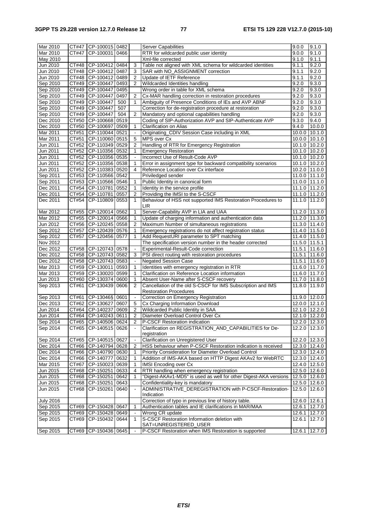| Mar 2010         |                     | CT#47 CP-100015 0482     |      |                     | <b>Server Capabilities</b>                                       | 9.0.0           | 9.1.0                      |
|------------------|---------------------|--------------------------|------|---------------------|------------------------------------------------------------------|-----------------|----------------------------|
| Mar 2010         | CT#47               | CP-100031                | 0466 |                     | RTR for wildcarded public user identity                          | 9.0.0           | 9.1.0                      |
| May 2010         |                     |                          |      |                     | Xml-file corrected                                               | 9.1.0           | 9.1.1                      |
| Jun 2010         | CT#48               | CP-100412 0484           |      | 3                   | Table not aligned with XML schema for wildcarded identities      | 9.1.1           | 9.2.0                      |
| Jun 2010         |                     | CT#48   CP-100412   0487 |      | 3                   | SAR with NO_ASSIGNMENT correction                                | 9.1.1           | 9.2.0                      |
| Jun 2010         |                     | CT#48 CP-100412 0489     |      | $\overline{2}$      | Update of IETF Reference                                         | 9.1.1           | 9.2.0                      |
|                  |                     |                          |      |                     |                                                                  |                 |                            |
| Sep 2010         |                     | CT#49 CP-100447          | 0493 | 2                   | Wildcarded Identities handling                                   | 9.2.0           | 9.3.0                      |
| Sep 2010         | CT#49               | CP-100447                | 0495 |                     | Wrong order in table for XML schema                              | 9.2.0           | 9.3.0                      |
| Sep 2010         |                     | CT#49 CP-100447          | 0497 | $\overline{2}$      | Cx-MAR handling correction in restoration procedures             | 9.2.0           | 9.3.0                      |
| Sep 2010         |                     | CT#49 CP-100447          | 500  | 1                   | Ambiguity of Presence Conditions of IEs and AVP ABNF             | 9.2.0           | 9.3.0                      |
| Sep 2010         |                     | CT#49 CP-100447          | 507  |                     | Correction for de-registration procedure at restoration          | 9.2.0           | 9.3.0                      |
| Sep 2010         |                     | CT#49 CP-100447          | 504  | $\overline{2}$      | Mandatory and optional capabilities handling                     | 9.2.0           | 9.3.0                      |
|                  |                     |                          |      |                     |                                                                  |                 |                            |
| Dec 2010         | CT#50               | CP-100668                | 0519 |                     | Coding of SIP-Authorization AVP and SIP-Authenticate AVP         | 9.3.0           | 9.4.0                      |
| Dec 2010         | CT#50               | CP-100697                | 0509 | 1                   | Clarification on Alias                                           | 9.4.0           | 10.0.0                     |
| Mar 2011         | CT#51               | CP-110044                | 0521 |                     | Originating_CDIV Session Case including in XML                   | 10.0.0          | 10.1.0                     |
| Mar 2011         | CT#51               | CP-110060 0515           |      | 5                   | MPS over Cx                                                      | 10.0.0          | 10.1.0                     |
| Jun 2011         |                     | CT#52 CP-110349 0529     |      | $\overline{2}$      | Handling of RTR for Emergency Registration                       |                 | 10.1.0 10.2.0              |
| Jun 2011         |                     | CT#52 CP-110356 0532     |      | 1                   | <b>Emergency Restoration</b>                                     |                 | 10.1.0 10.2.0              |
|                  |                     |                          |      |                     |                                                                  |                 |                            |
| Jun 2011         | CT#52               | CP-110356                | 0535 | $\blacksquare$      | Incorrect Use of Result-Code AVP                                 |                 | 10.1.0 10.2.0              |
| Jun 2011         | CT#52               | CP-110356 0538           |      | 1                   | Error in assignment type for backward compatibility scenarios    | 10.1.0 10.2.0   |                            |
| Jun 2011         | CT#52               | CP-110383                | 0520 | 4                   | Reference Location over Cx interface                             | 10.2.0          | 11.0.0                     |
| Sep 2011         |                     | CT#53 CP-110566 0542     |      |                     | Priviledged sender                                               |                 | 11.0.0 11.1.0              |
| Sep 2011         |                     | CT#53 CP-110566 0546     |      | 1                   | Public Identity in canonical form                                |                 | 11.0.0 11.1.0              |
| Dec 2011         | CT#54               | CP-110781                | 0552 | 1                   | Identity in the service profile                                  |                 | 11.1.0 11.2.0              |
|                  |                     |                          |      |                     |                                                                  |                 |                            |
| Dec 2011         | CT#54               | CP-110781                | 0557 | 2                   | Providing the IMSI to the S-CSCF                                 |                 | 11.1.0 11.2.0              |
| Dec 2011         | CT#54               | CP-110809                | 0553 | $\mathbf{1}$        | Behaviour of HSS not supported IMS Restoration Procedures to     | 11.1.0          | 11.2.0                     |
|                  |                     |                          |      |                     | <b>LIR</b>                                                       |                 |                            |
| Mar 2012         | CT#55               | CP-120014 0562           |      | 1                   | Server-Capability AVP in LIA and UAA                             |                 | 11.2.0 11.3.0              |
| Mar 2012         |                     | CT#55 CP-120014 0566     |      | 1                   | Update of charging information and authentication data           |                 | 11.2.0 11.3.0              |
| Jun 2012         |                     | CT#56 CP-120245          | 0558 | 2                   | Maximum Number of simultaneous registrations                     |                 | 11.3.0 11.4.0              |
| Sep 2012         | CT#57               | CP-120439                | 0576 | 1                   |                                                                  |                 | 11.4.0 11.5.0              |
|                  |                     |                          |      |                     | Emergency registrations do not affect registration status        |                 |                            |
| Sep 2012         | CT#57               | CP-120456 0577           |      | 1                   | Add RequestURI parameter to SPT matching                         |                 | 11.4.0 11.5.0              |
| Nov 2012         |                     |                          |      |                     | The specification version number in the header corrected         | $11.5.0$ 11.5.1 |                            |
| Dec 2012         | CT#58               | CP-120743 0578           |      |                     | Experimental-Result-Code correction                              |                 | 11.5.1 11.6.0              |
| Dec 2012         |                     | CT#58 CP-120743          | 0582 | 3                   | PSI direct routing with restoration procedures                   | 11.5.1          | 11.6.0                     |
| Dec 2012         |                     | CT#58   CP-120743   0583 |      | $\blacksquare$      | <b>Negated Session Case</b>                                      | 11.5.1          | 11.6.0                     |
| Mar 2013         |                     | CT#59 CP-130011          | 0593 | 1                   | Identities with emergency registration in RTR                    |                 | 11.6.0 11.7.0              |
|                  |                     | CP-130020 0599           |      |                     |                                                                  |                 |                            |
| Mar 2013         | CT#59               |                          |      | 1                   | Clarification on Reference Location information                  |                 | 11.6.0 11.7.0              |
| Jun 2013         |                     | CT#60 CP-130374 0600     |      | 1                   | Absent User-Name after S-CSCF recovery                           |                 | 11.7.0 11.8.0              |
| Sep 2013         | CT#61               | CP-130439                | 0606 | 2                   | Cancellation of the old S-CSCF for IMS Subscription and IMS      | 11.8.0          | 11.9.0                     |
|                  |                     |                          |      |                     | <b>Restoration Procedures</b>                                    |                 |                            |
| Sep 2013         | $\overline{C}$ T#61 | CP-13046§ 0601           |      |                     | Correction on Emergency Registration                             |                 | 11.9.0 12.0.0              |
| Dec 2013         |                     | CT#62 CP-130627 0607     |      | 5                   | Cx Charging Information Download                                 |                 | $12.0.0$ 12.1.0            |
| Jun 2014         |                     | CT#64 CP-140237          | 0609 | 2                   | Wildcarded Public Identity in SAA                                |                 | 12.1.0 12.2.0              |
| Jun 2014         | CT#64               | CP-140243                | 0611 | $\overline{2}$      | Diameter Overload Control Over Cx                                |                 | 12.1.0 12.2.0              |
|                  |                     |                          |      |                     |                                                                  |                 |                            |
| Sep 2014         |                     | CT#65   CP-140506   0624 |      | 2                   | P-CSCF Restoration indication                                    |                 | 12.2.0 12.3.0              |
| Sep 2014         |                     | CT#65 CP-140515 0626     |      |                     | Clarification on REGISTRATION AND CAPABILITIES for De-           |                 | 12.2.0 12.3.0              |
|                  |                     |                          |      |                     | registration                                                     |                 |                            |
| Sep 2014         |                     | CT#65 CP-140515 0627     |      | $\blacksquare$      | Clarification on Unregistered User                               |                 | 12.2.0 12.3.0              |
| Dec 2014         |                     | CT#66 CP-140794 0628     |      | 2                   | HSS behaviour when P-CSCF Restoration indication is received     |                 | $\overline{12.3.0}$ 12.4.0 |
| Dec 2014         |                     | CT#66   CP-140790   0630 |      | 1                   | Priority Consideration for Diameter Overload Control             |                 | 12.3.0 12.4.0              |
| Dec 2014         |                     | CT#66 CP-140777          | 0632 | 1                   | Addition of IMS-AKA based on HTTP Digest AKAv2 for WebRTC        |                 | 12.3.0 12.4.0              |
|                  |                     |                          |      |                     |                                                                  |                 |                            |
| Mar 2015         | CT#67               | CP-150023 0639           |      | 1                   | <b>IMSI Encoding over Cx</b>                                     |                 | 12.4.0 12.5.0              |
| Jun 2015         |                     | CT#68   CP-150251   0633 |      | 4                   | RTR handling when emergency registration                         |                 | 12.5.0 12.6.0              |
| Jun 2015         |                     | CT#68 CP-150251          | 0642 | 1                   | "Digest-AKAv1-MD5" is used as well for other Digest-AKA versions |                 | 12.5.0 12.6.0              |
| Jun 2015         | CT#68               | CP-150251                | 0643 |                     | Confidentiality-key is mandatory                                 |                 | 12.5.0 12.6.0              |
| Jun 2015         |                     | CT#68 CP-150261          | 0640 | $\bar{\phantom{a}}$ | ADMINISTRATIVE_DEREGISTRATION with P-CSCF-Restoration-           |                 | 12.5.0 12.6.0              |
|                  |                     |                          |      |                     | Indication                                                       |                 |                            |
|                  |                     |                          |      |                     |                                                                  |                 |                            |
| <b>July 2016</b> |                     |                          |      |                     | Correction of typo in previous line of history table.            |                 | 12.6.0 12.6.1              |
| Sep 2015         |                     | CT#69   CP-150428   0647 |      | $\mathbf{1}$        | Authentication tables and IE clarifications in MAR/MAA           |                 | 12.6.1 12.7.0              |
| Sep 2015         |                     | CT#69 CP-150428 0649     |      |                     | Wrong CR update                                                  |                 | 12.6.1 12.7.0              |
| Sep 2015         |                     | CT#69 CP-150432 0644     |      | $\mathbf{1}$        | S-CSCF Restoration Information deletion with                     |                 | 12.6.1 12.7.0              |
|                  |                     |                          |      |                     | SAT=UNREGISTERED_USER                                            |                 |                            |
| Sep 2015         |                     | CT#69 CP-150436 0645     |      |                     | P-CSCF Restoration when IMS Restoration is supported             |                 | 12.6.1 12.7.0              |